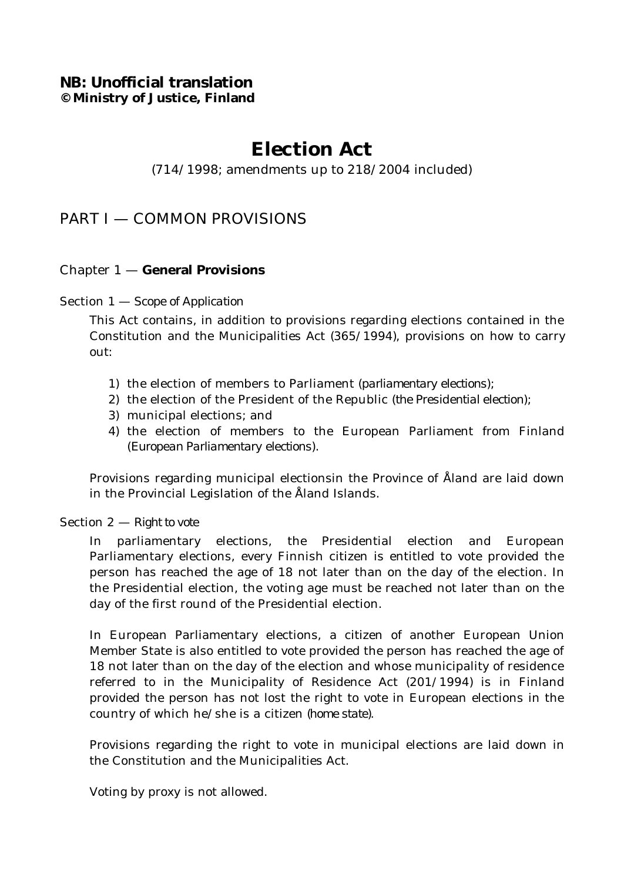# **NB: Unofficial translation © Ministry of Justice, Finland**

# **Election Act**

# (714/1998; amendments up to 218/2004 included)

# PART I — COMMON PROVISIONS

# Chapter 1 — **General Provisions**

# Section 1 — *Scope of Application*

This Act contains, in addition to provisions regarding elections contained in the Constitution and the Municipalities Act (365/1994), provisions on how to carry out:

- 1) the election of members to Parliament (*parliamentary elections*);
- 2) the election of the President of the Republic (*the Presidential election*);
- 3) municipal elections; and
- 4) the election of members to the European Parliament from Finland (*European Parliamentary elections*).

Provisions regarding municipal electionsin the Province of Åland are laid down in the Provincial Legislation of the Åland Islands.

### Section 2 — *Right to vote*

In parliamentary elections, the Presidential election and European Parliamentary elections, every Finnish citizen is entitled to vote provided the person has reached the age of 18 not later than on the day of the election. In the Presidential election, the voting age must be reached not later than on the day of the first round of the Presidential election.

In European Parliamentary elections, a citizen of another European Union Member State is also entitled to vote provided the person has reached the age of 18 not later than on the day of the election and whose municipality of residence referred to in the Municipality of Residence Act (201/1994) is in Finland provided the person has not lost the right to vote in European elections in the country of which he/she is a citizen *(home state)*.

Provisions regarding the right to vote in municipal elections are laid down in the Constitution and the Municipalities Act.

Voting by proxy is not allowed.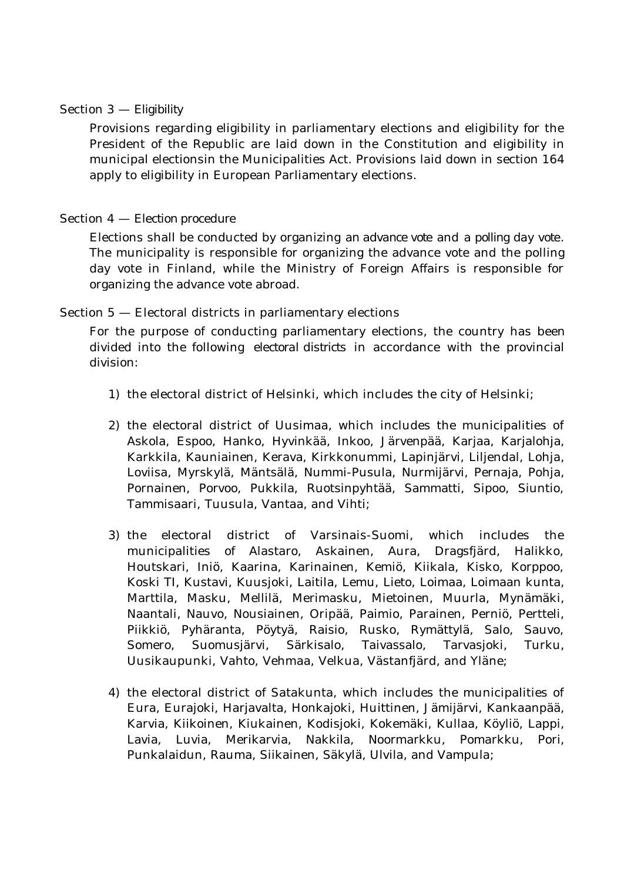### Section 3 — *Eligibility*

Provisions regarding eligibility in parliamentary elections and eligibility for the President of the Republic are laid down in the Constitution and eligibility in municipal electionsin the Municipalities Act. Provisions laid down in section 164 apply to eligibility in European Parliamentary elections.

### Section 4 — *Election procedure*

Elections shall be conducted by organizing *an advance vote* and *a polling day vote*. The municipality is responsible for organizing the advance vote and the polling day vote in Finland, while the Ministry of Foreign Affairs is responsible for organizing the advance vote abroad.

Section 5 — Electoral districts in parliamentary elections

For the purpose of conducting parliamentary elections, the country has been divided into the following *electoral districts* in accordance with the provincial division:

- 1) the electoral district of Helsinki, which includes the city of Helsinki;
- 2) the electoral district of Uusimaa, which includes the municipalities of Askola, Espoo, Hanko, Hyvinkää, Inkoo, Järvenpää, Karjaa, Karjalohja, Karkkila, Kauniainen, Kerava, Kirkkonummi, Lapinjärvi, Liljendal, Lohja, Loviisa, Myrskylä, Mäntsälä, Nummi-Pusula, Nurmijärvi, Pernaja, Pohja, Pornainen, Porvoo, Pukkila, Ruotsinpyhtää, Sammatti, Sipoo, Siuntio, Tammisaari, Tuusula, Vantaa, and Vihti;
- 3) the electoral district of Varsinais-Suomi, which includes the municipalities of Alastaro, Askainen, Aura, Dragsfjärd, Halikko, Houtskari, Iniö, Kaarina, Karinainen, Kemiö, Kiikala, Kisko, Korppoo, Koski TI, Kustavi, Kuusjoki, Laitila, Lemu, Lieto, Loimaa, Loimaan kunta, Marttila, Masku, Mellilä, Merimasku, Mietoinen, Muurla, Mynämäki, Naantali, Nauvo, Nousiainen, Oripää, Paimio, Parainen, Perniö, Pertteli, Piikkiö, Pyhäranta, Pöytyä, Raisio, Rusko, Rymättylä, Salo, Sauvo, Somero, Suomusjärvi, Särkisalo, Taivassalo, Tarvasjoki, Turku, Uusikaupunki, Vahto, Vehmaa, Velkua, Västanfjärd, and Yläne;
- 4) the electoral district of Satakunta, which includes the municipalities of Eura, Eurajoki, Harjavalta, Honkajoki, Huittinen, Jämijärvi, Kankaanpää, Karvia, Kiikoinen, Kiukainen, Kodisjoki, Kokemäki, Kullaa, Köyliö, Lappi, Lavia, Luvia, Merikarvia, Nakkila, Noormarkku, Pomarkku, Pori, Punkalaidun, Rauma, Siikainen, Säkylä, Ulvila, and Vampula;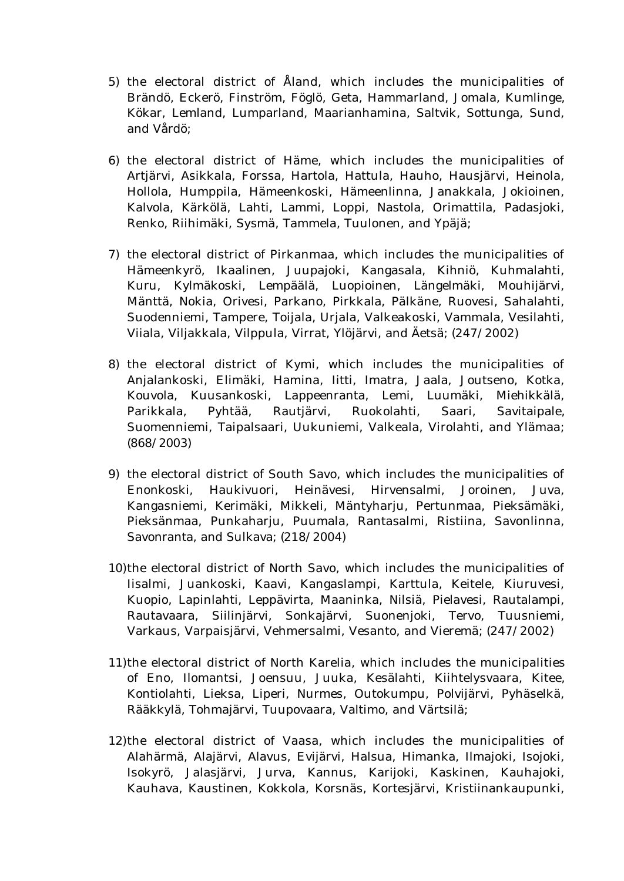- 5) the electoral district of Åland, which includes the municipalities of Brändö, Eckerö, Finström, Föglö, Geta, Hammarland, Jomala, Kumlinge, Kökar, Lemland, Lumparland, Maarianhamina, Saltvik, Sottunga, Sund, and Vårdö;
- 6) the electoral district of Häme, which includes the municipalities of Artjärvi, Asikkala, Forssa, Hartola, Hattula, Hauho, Hausjärvi, Heinola, Hollola, Humppila, Hämeenkoski, Hämeenlinna, Janakkala, Jokioinen, Kalvola, Kärkölä, Lahti, Lammi, Loppi, Nastola, Orimattila, Padasjoki, Renko, Riihimäki, Sysmä, Tammela, Tuulonen, and Ypäjä;
- 7) the electoral district of Pirkanmaa, which includes the municipalities of Hämeenkyrö, Ikaalinen, Juupajoki, Kangasala, Kihniö, Kuhmalahti, Kuru, Kylmäkoski, Lempäälä, Luopioinen, Längelmäki, Mouhijärvi, Mänttä, Nokia, Orivesi, Parkano, Pirkkala, Pälkäne, Ruovesi, Sahalahti, Suodenniemi, Tampere, Toijala, Urjala, Valkeakoski, Vammala, Vesilahti, Viiala, Viljakkala, Vilppula, Virrat, Ylöjärvi, and Äetsä; (247/2002)
- 8) the electoral district of Kymi, which includes the municipalities of Anjalankoski, Elimäki, Hamina, Iitti, Imatra, Jaala, Joutseno, Kotka, Kouvola, Kuusankoski, Lappeenranta, Lemi, Luumäki, Miehikkälä, Parikkala, Pyhtää, Rautjärvi, Ruokolahti, Saari, Savitaipale, Suomenniemi, Taipalsaari, Uukuniemi, Valkeala, Virolahti, and Ylämaa; (868/2003)
- 9) the electoral district of South Savo, which includes the municipalities of Enonkoski, Haukivuori, Heinävesi, Hirvensalmi, Joroinen, Juva, Kangasniemi, Kerimäki, Mikkeli, Mäntyharju, Pertunmaa, Pieksämäki, Pieksänmaa, Punkaharju, Puumala, Rantasalmi, Ristiina, Savonlinna, Savonranta, and Sulkava; (218/2004)
- 10)the electoral district of North Savo, which includes the municipalities of Iisalmi, Juankoski, Kaavi, Kangaslampi, Karttula, Keitele, Kiuruvesi, Kuopio, Lapinlahti, Leppävirta, Maaninka, Nilsiä, Pielavesi, Rautalampi, Rautavaara, Siilinjärvi, Sonkajärvi, Suonenjoki, Tervo, Tuusniemi, Varkaus, Varpaisjärvi, Vehmersalmi, Vesanto, and Vieremä; (247/2002)
- 11)the electoral district of North Karelia, which includes the municipalities of Eno, Ilomantsi, Joensuu, Juuka, Kesälahti, Kiihtelysvaara, Kitee, Kontiolahti, Lieksa, Liperi, Nurmes, Outokumpu, Polvijärvi, Pyhäselkä, Rääkkylä, Tohmajärvi, Tuupovaara, Valtimo, and Värtsilä;
- 12)the electoral district of Vaasa, which includes the municipalities of Alahärmä, Alajärvi, Alavus, Evijärvi, Halsua, Himanka, Ilmajoki, Isojoki, Isokyrö, Jalasjärvi, Jurva, Kannus, Karijoki, Kaskinen, Kauhajoki, Kauhava, Kaustinen, Kokkola, Korsnäs, Kortesjärvi, Kristiinankaupunki,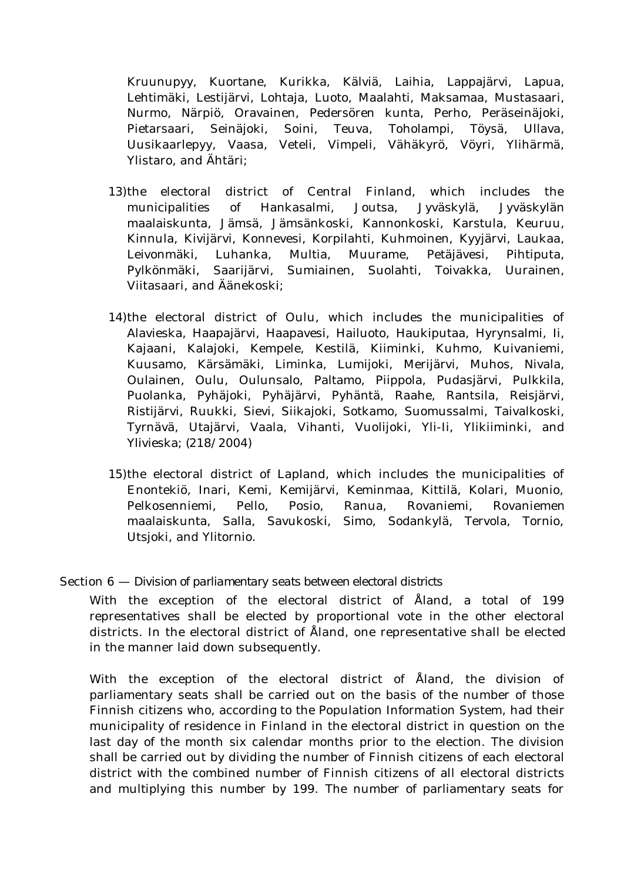Kruunupyy, Kuortane, Kurikka, Kälviä, Laihia, Lappajärvi, Lapua, Lehtimäki, Lestijärvi, Lohtaja, Luoto, Maalahti, Maksamaa, Mustasaari, Nurmo, Närpiö, Oravainen, Pedersören kunta, Perho, Peräseinäjoki, Pietarsaari, Seinäjoki, Soini, Teuva, Toholampi, Töysä, Ullava, Uusikaarlepyy, Vaasa, Veteli, Vimpeli, Vähäkyrö, Vöyri, Ylihärmä, Ylistaro, and Ähtäri;

- 13)the electoral district of Central Finland, which includes the municipalities of Hankasalmi, Joutsa, Jyväskylä, Jyväskylän maalaiskunta, Jämsä, Jämsänkoski, Kannonkoski, Karstula, Keuruu, Kinnula, Kivijärvi, Konnevesi, Korpilahti, Kuhmoinen, Kyyjärvi, Laukaa, Leivonmäki, Luhanka, Multia, Muurame, Petäjävesi, Pihtiputa, Pylkönmäki, Saarijärvi, Sumiainen, Suolahti, Toivakka, Uurainen, Viitasaari, and Äänekoski;
- 14)the electoral district of Oulu, which includes the municipalities of Alavieska, Haapajärvi, Haapavesi, Hailuoto, Haukiputaa, Hyrynsalmi, Ii, Kajaani, Kalajoki, Kempele, Kestilä, Kiiminki, Kuhmo, Kuivaniemi, Kuusamo, Kärsämäki, Liminka, Lumijoki, Merijärvi, Muhos, Nivala, Oulainen, Oulu, Oulunsalo, Paltamo, Piippola, Pudasjärvi, Pulkkila, Puolanka, Pyhäjoki, Pyhäjärvi, Pyhäntä, Raahe, Rantsila, Reisjärvi, Ristijärvi, Ruukki, Sievi, Siikajoki, Sotkamo, Suomussalmi, Taivalkoski, Tyrnävä, Utajärvi, Vaala, Vihanti, Vuolijoki, Yli-Ii, Ylikiiminki, and Ylivieska; (218/2004)
- 15)the electoral district of Lapland, which includes the municipalities of Enontekiö, Inari, Kemi, Kemijärvi, Keminmaa, Kittilä, Kolari, Muonio, Pelkosenniemi, Pello, Posio, Ranua, Rovaniemi, Rovaniemen maalaiskunta, Salla, Savukoski, Simo, Sodankylä, Tervola, Tornio, Utsjoki, and Ylitornio.

### Section 6 — *Division of parliamentary seats between electoral districts*

With the exception of the electoral district of Åland, a total of 199 representatives shall be elected by proportional vote in the other electoral districts. In the electoral district of Åland, one representative shall be elected in the manner laid down subsequently.

With the exception of the electoral district of Åland, the division of parliamentary seats shall be carried out on the basis of the number of those Finnish citizens who, according to the Population Information System, had their municipality of residence in Finland in the electoral district in question on the last day of the month six calendar months prior to the election. The division shall be carried out by dividing the number of Finnish citizens of each electoral district with the combined number of Finnish citizens of all electoral districts and multiplying this number by 199. The number of parliamentary seats for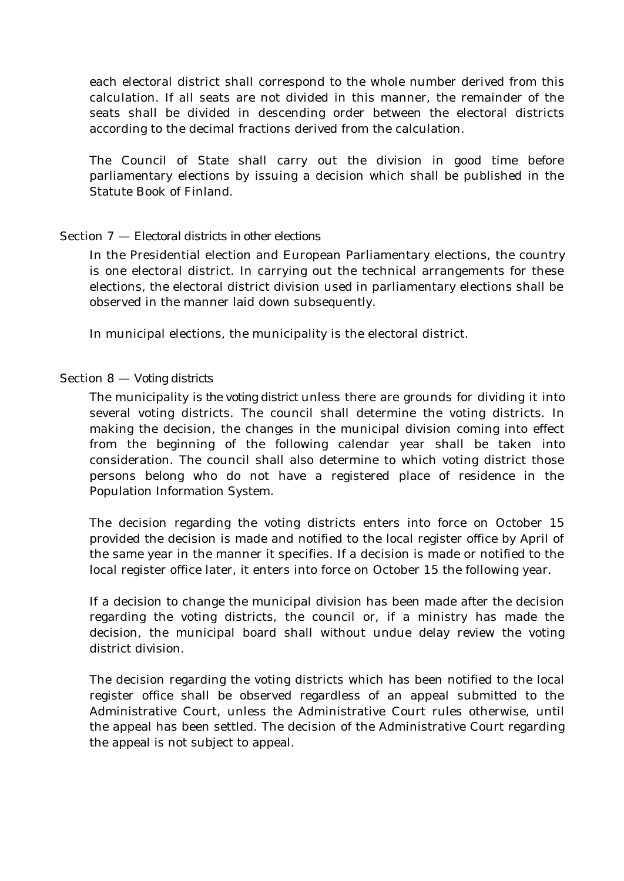each electoral district shall correspond to the whole number derived from this calculation. If all seats are not divided in this manner, the remainder of the seats shall be divided in descending order between the electoral districts according to the decimal fractions derived from the calculation.

The Council of State shall carry out the division in good time before parliamentary elections by issuing a decision which shall be published in the Statute Book of Finland.

# Section 7 — *Electoral districts in other elections*

In the Presidential election and European Parliamentary elections, the country is one electoral district. In carrying out the technical arrangements for these elections, the electoral district division used in parliamentary elections shall be observed in the manner laid down subsequently.

In municipal elections, the municipality is the electoral district.

# Section 8 — *Voting districts*

The municipality is *the voting district* unless there are grounds for dividing it into several voting districts. The council shall determine the voting districts. In making the decision, the changes in the municipal division coming into effect from the beginning of the following calendar year shall be taken into consideration. The council shall also determine to which voting district those persons belong who do not have a registered place of residence in the Population Information System.

The decision regarding the voting districts enters into force on October 15 provided the decision is made and notified to the local register office by April of the same year in the manner it specifies. If a decision is made or notified to the local register office later, it enters into force on October 15 the following year.

If a decision to change the municipal division has been made after the decision regarding the voting districts, the council or, if a ministry has made the decision, the municipal board shall without undue delay review the voting district division.

The decision regarding the voting districts which has been notified to the local register office shall be observed regardless of an appeal submitted to the Administrative Court, unless the Administrative Court rules otherwise, until the appeal has been settled. The decision of the Administrative Court regarding the appeal is not subject to appeal.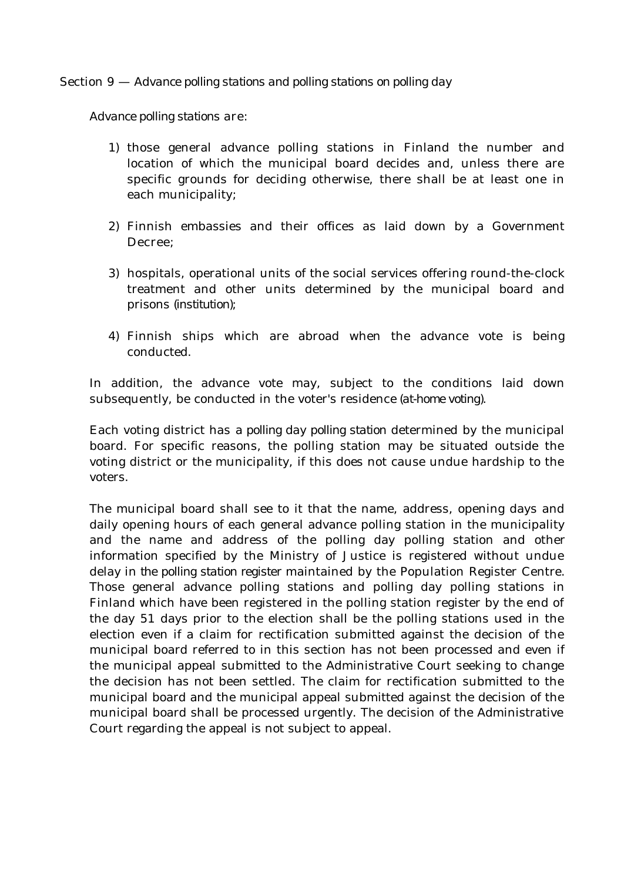Section 9 — *Advance polling stations and polling stations on polling day*

*Advance polling stations* are:

- 1) those general advance polling stations in Finland the number and location of which the municipal board decides and, unless there are specific grounds for deciding otherwise, there shall be at least one in each municipality;
- 2) Finnish embassies and their offices as laid down by a Government Decree;
- 3) hospitals, operational units of the social services offering round-the-clock treatment and other units determined by the municipal board and prisons *(institution)*;
- 4) Finnish ships which are abroad when the advance vote is being conducted.

In addition, the advance vote may, subject to the conditions laid down subsequently, be conducted in the voter's residence *(at-home voting)*.

Each voting district has *a polling day polling station* determined by the municipal board. For specific reasons, the polling station may be situated outside the voting district or the municipality, if this does not cause undue hardship to the voters.

The municipal board shall see to it that the name, address, opening days and daily opening hours of each general advance polling station in the municipality and the name and address of the polling day polling station and other information specified by the Ministry of Justice is registered without undue delay in *the polling station register* maintained by the Population Register Centre. Those general advance polling stations and polling day polling stations in Finland which have been registered in the polling station register by the end of the day 51 days prior to the election shall be the polling stations used in the election even if a claim for rectification submitted against the decision of the municipal board referred to in this section has not been processed and even if the municipal appeal submitted to the Administrative Court seeking to change the decision has not been settled. The claim for rectification submitted to the municipal board and the municipal appeal submitted against the decision of the municipal board shall be processed urgently. The decision of the Administrative Court regarding the appeal is not subject to appeal.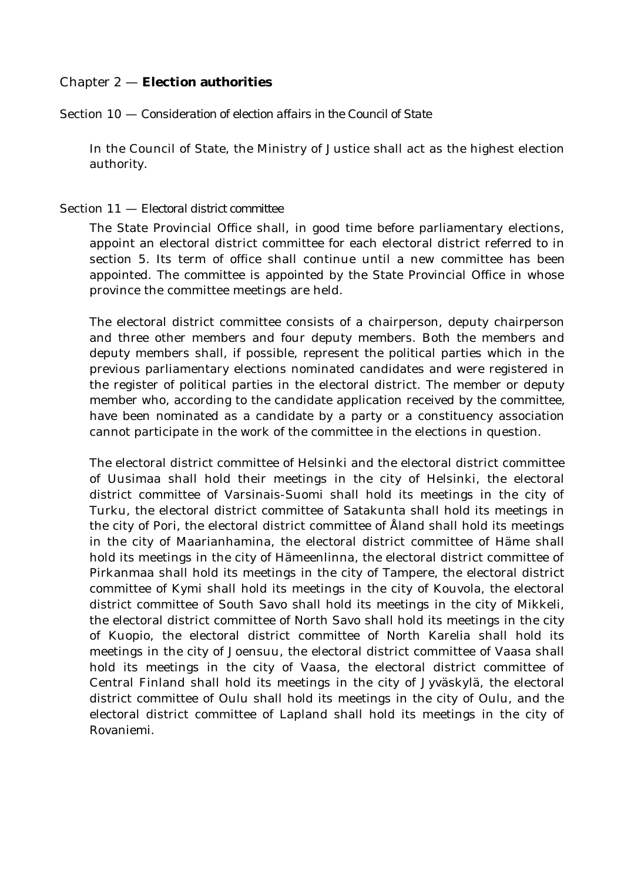# Chapter 2 — **Election authorities**

Section 10 — *Consideration of election affairs in the Council of State*

In the Council of State, the Ministry of Justice shall act as the highest election authority.

### Section 11 — *Electoral district committee*

The State Provincial Office shall, in good time before parliamentary elections, appoint an electoral district committee for each electoral district referred to in section 5. Its term of office shall continue until a new committee has been appointed. The committee is appointed by the State Provincial Office in whose province the committee meetings are held.

The electoral district committee consists of a chairperson, deputy chairperson and three other members and four deputy members. Both the members and deputy members shall, if possible, represent the political parties which in the previous parliamentary elections nominated candidates and were registered in the register of political parties in the electoral district. The member or deputy member who, according to the candidate application received by the committee, have been nominated as a candidate by a party or a constituency association cannot participate in the work of the committee in the elections in question.

The electoral district committee of Helsinki and the electoral district committee of Uusimaa shall hold their meetings in the city of Helsinki, the electoral district committee of Varsinais-Suomi shall hold its meetings in the city of Turku, the electoral district committee of Satakunta shall hold its meetings in the city of Pori, the electoral district committee of Åland shall hold its meetings in the city of Maarianhamina, the electoral district committee of Häme shall hold its meetings in the city of Hämeenlinna, the electoral district committee of Pirkanmaa shall hold its meetings in the city of Tampere, the electoral district committee of Kymi shall hold its meetings in the city of Kouvola, the electoral district committee of South Savo shall hold its meetings in the city of Mikkeli, the electoral district committee of North Savo shall hold its meetings in the city of Kuopio, the electoral district committee of North Karelia shall hold its meetings in the city of Joensuu, the electoral district committee of Vaasa shall hold its meetings in the city of Vaasa, the electoral district committee of Central Finland shall hold its meetings in the city of Jyväskylä, the electoral district committee of Oulu shall hold its meetings in the city of Oulu, and the electoral district committee of Lapland shall hold its meetings in the city of Rovaniemi.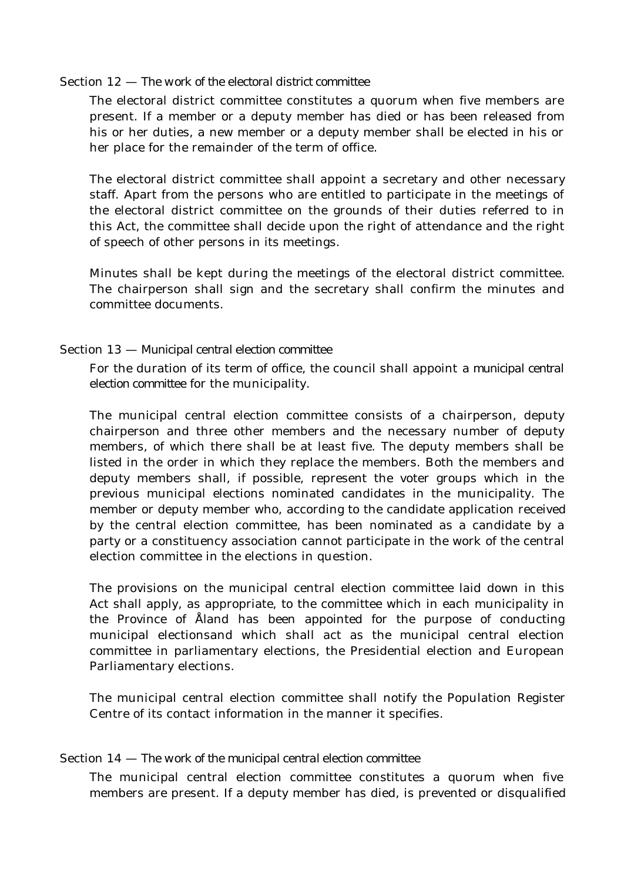#### Section 12 — *The work of the electoral district committee*

The electoral district committee constitutes a quorum when five members are present. If a member or a deputy member has died or has been released from his or her duties, a new member or a deputy member shall be elected in his or her place for the remainder of the term of office.

The electoral district committee shall appoint a secretary and other necessary staff. Apart from the persons who are entitled to participate in the meetings of the electoral district committee on the grounds of their duties referred to in this Act, the committee shall decide upon the right of attendance and the right of speech of other persons in its meetings.

Minutes shall be kept during the meetings of the electoral district committee. The chairperson shall sign and the secretary shall confirm the minutes and committee documents.

### Section 13 — *Municipal central election committee*

For the duration of its term of office, the council shall appoint *a municipal central election committee* for the municipality.

The municipal central election committee consists of a chairperson, deputy chairperson and three other members and the necessary number of deputy members, of which there shall be at least five. The deputy members shall be listed in the order in which they replace the members. Both the members and deputy members shall, if possible, represent the voter groups which in the previous municipal elections nominated candidates in the municipality. The member or deputy member who, according to the candidate application received by the central election committee, has been nominated as a candidate by a party or a constituency association cannot participate in the work of the central election committee in the elections in question.

The provisions on the municipal central election committee laid down in this Act shall apply, as appropriate, to the committee which in each municipality in the Province of Åland has been appointed for the purpose of conducting municipal electionsand which shall act as the municipal central election committee in parliamentary elections, the Presidential election and European Parliamentary elections.

The municipal central election committee shall notify the Population Register Centre of its contact information in the manner it specifies.

### Section 14 — *The work of the municipal central election committee*

The municipal central election committee constitutes a quorum when five members are present. If a deputy member has died, is prevented or disqualified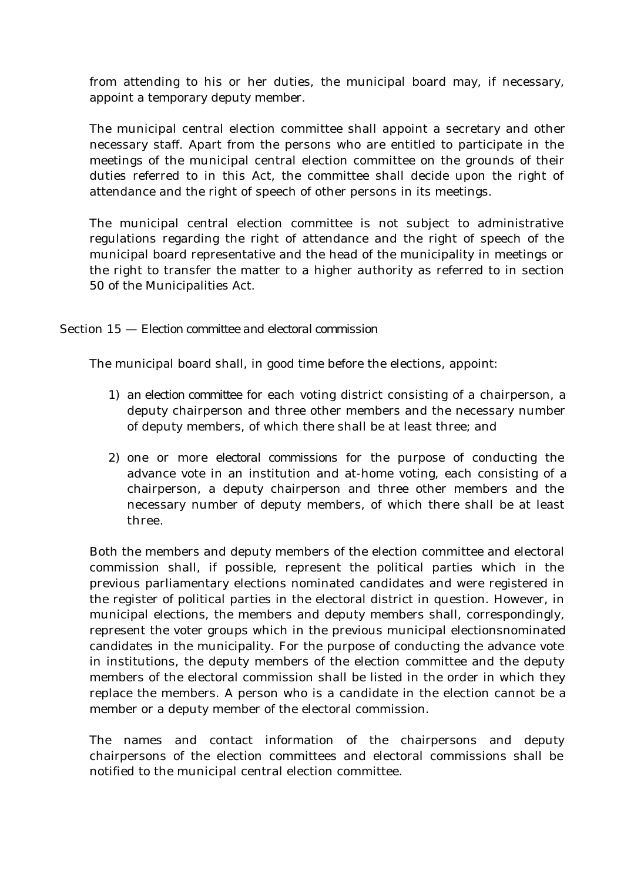from attending to his or her duties, the municipal board may, if necessary, appoint a temporary deputy member.

The municipal central election committee shall appoint a secretary and other necessary staff. Apart from the persons who are entitled to participate in the meetings of the municipal central election committee on the grounds of their duties referred to in this Act, the committee shall decide upon the right of attendance and the right of speech of other persons in its meetings.

The municipal central election committee is not subject to administrative regulations regarding the right of attendance and the right of speech of the municipal board representative and the head of the municipality in meetings or the right to transfer the matter to a higher authority as referred to in section 50 of the Municipalities Act.

# Section 15 — *Election committee and electoral commission*

The municipal board shall, in good time before the elections, appoint:

- 1) *an election committee* for each voting district consisting of a chairperson, a deputy chairperson and three other members and the necessary number of deputy members, of which there shall be at least three; and
- 2) one or more *electoral commissions* for the purpose of conducting the advance vote in an institution and at-home voting, each consisting of a chairperson, a deputy chairperson and three other members and the necessary number of deputy members, of which there shall be at least three.

Both the members and deputy members of the election committee and electoral commission shall, if possible, represent the political parties which in the previous parliamentary elections nominated candidates and were registered in the register of political parties in the electoral district in question. However, in municipal elections, the members and deputy members shall, correspondingly, represent the voter groups which in the previous municipal electionsnominated candidates in the municipality. For the purpose of conducting the advance vote in institutions, the deputy members of the election committee and the deputy members of the electoral commission shall be listed in the order in which they replace the members. A person who is a candidate in the election cannot be a member or a deputy member of the electoral commission.

The names and contact information of the chairpersons and deputy chairpersons of the election committees and electoral commissions shall be notified to the municipal central election committee.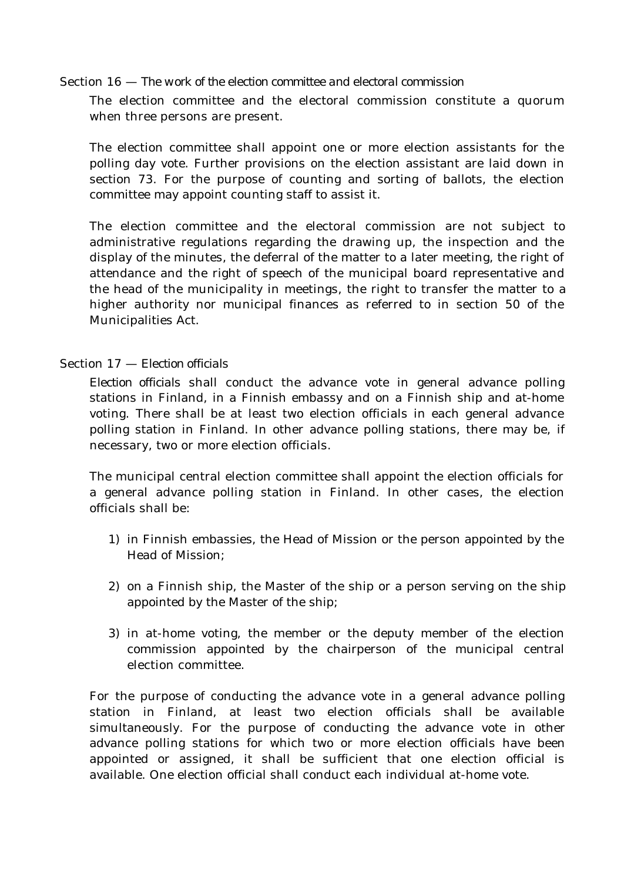### Section 16 — *The work of the election committee and electoral commission*

The election committee and the electoral commission constitute a quorum when three persons are present.

The election committee shall appoint one or more election assistants for the polling day vote. Further provisions on the election assistant are laid down in section 73. For the purpose of counting and sorting of ballots, the election committee may appoint counting staff to assist it.

The election committee and the electoral commission are not subject to administrative regulations regarding the drawing up, the inspection and the display of the minutes, the deferral of the matter to a later meeting, the right of attendance and the right of speech of the municipal board representative and the head of the municipality in meetings, the right to transfer the matter to a higher authority nor municipal finances as referred to in section 50 of the Municipalities Act.

# Section 17 — *Election officials*

*Election officials* shall conduct the advance vote in general advance polling stations in Finland, in a Finnish embassy and on a Finnish ship and at-home voting. There shall be at least two election officials in each general advance polling station in Finland. In other advance polling stations, there may be, if necessary, two or more election officials.

The municipal central election committee shall appoint the election officials for a general advance polling station in Finland. In other cases, the election officials shall be:

- 1) in Finnish embassies, the Head of Mission or the person appointed by the Head of Mission;
- 2) on a Finnish ship, the Master of the ship or a person serving on the ship appointed by the Master of the ship;
- 3) in at-home voting, the member or the deputy member of the election commission appointed by the chairperson of the municipal central election committee.

For the purpose of conducting the advance vote in a general advance polling station in Finland, at least two election officials shall be available simultaneously. For the purpose of conducting the advance vote in other advance polling stations for which two or more election officials have been appointed or assigned, it shall be sufficient that one election official is available. One election official shall conduct each individual at-home vote.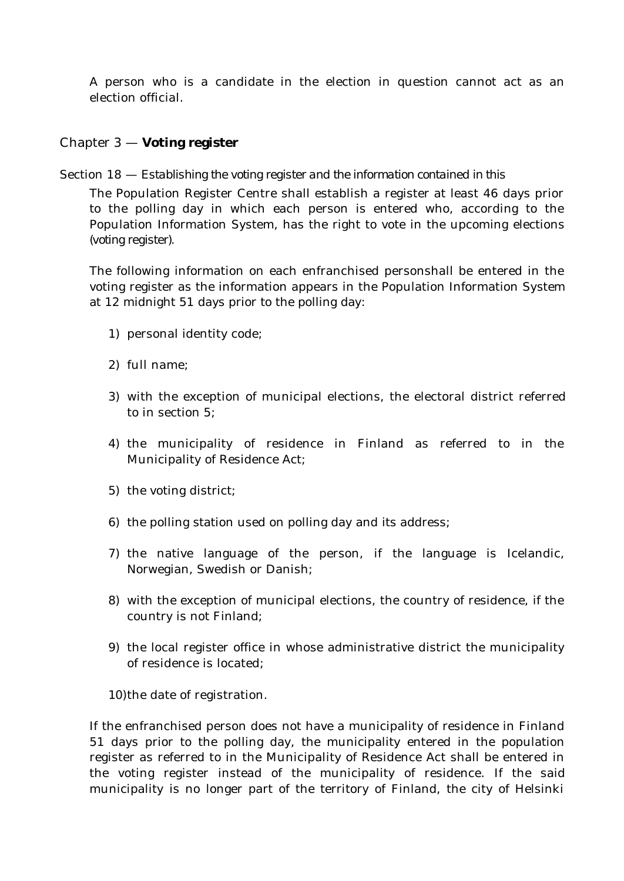A person who is a candidate in the election in question cannot act as an election official.

# Chapter 3 — **Voting register**

### Section 18 — *Establishing the voting register and the information contained in this*

The Population Register Centre shall establish a register at least 46 days prior to the polling day in which each person is entered who, according to the Population Information System, has the right to vote in the upcoming elections *(voting register).*

The following information on each enfranchised personshall be entered in the voting register as the information appears in the Population Information System at 12 midnight 51 days prior to the polling day:

- 1) personal identity code;
- 2) full name;
- 3) with the exception of municipal elections, the electoral district referred to in section 5;
- 4) the municipality of residence in Finland as referred to in the Municipality of Residence Act;
- 5) the voting district;
- 6) the polling station used on polling day and its address;
- 7) the native language of the person, if the language is Icelandic, Norwegian, Swedish or Danish;
- 8) with the exception of municipal elections, the country of residence, if the country is not Finland;
- 9) the local register office in whose administrative district the municipality of residence is located;

10)the date of registration.

If the enfranchised person does not have a municipality of residence in Finland 51 days prior to the polling day, the municipality entered in the population register as referred to in the Municipality of Residence Act shall be entered in the voting register instead of the municipality of residence. If the said municipality is no longer part of the territory of Finland, the city of Helsinki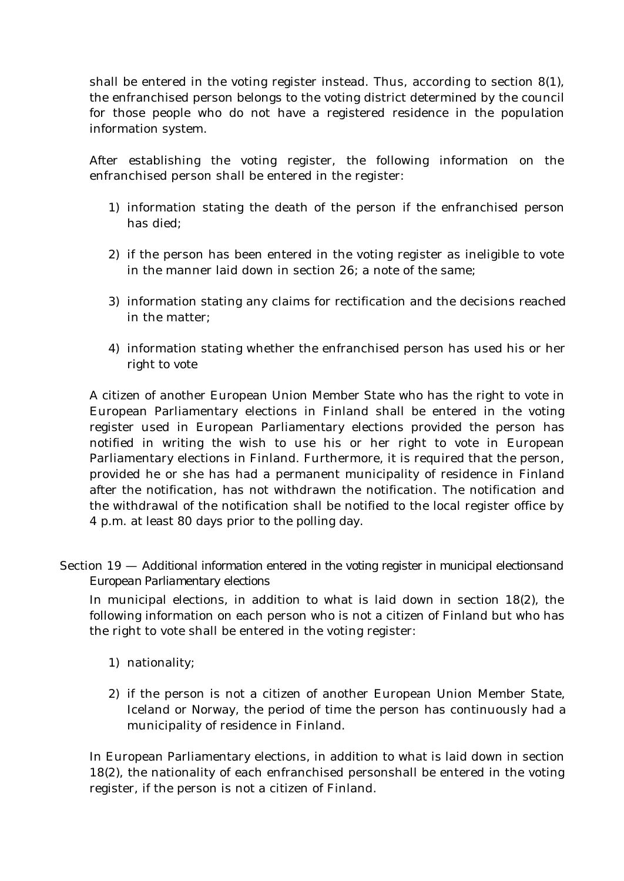shall be entered in the voting register instead. Thus, according to section 8(1), the enfranchised person belongs to the voting district determined by the council for those people who do not have a registered residence in the population information system.

After establishing the voting register, the following information on the enfranchised person shall be entered in the register:

- 1) information stating the death of the person if the enfranchised person has died;
- 2) if the person has been entered in the voting register as ineligible to vote in the manner laid down in section 26; a note of the same;
- 3) information stating any claims for rectification and the decisions reached in the matter;
- 4) information stating whether the enfranchised person has used his or her right to vote

A citizen of another European Union Member State who has the right to vote in European Parliamentary elections in Finland shall be entered in the voting register used in European Parliamentary elections provided the person has notified in writing the wish to use his or her right to vote in European Parliamentary elections in Finland. Furthermore, it is required that the person, provided he or she has had a permanent municipality of residence in Finland after the notification, has not withdrawn the notification. The notification and the withdrawal of the notification shall be notified to the local register office by 4 p.m. at least 80 days prior to the polling day.

Section 19 — *Additional information entered in the voting register in municipal electionsand European Parliamentary elections*

In municipal elections, in addition to what is laid down in section 18(2), the following information on each person who is not a citizen of Finland but who has the right to vote shall be entered in the voting register:

- 1) nationality;
- 2) if the person is not a citizen of another European Union Member State, Iceland or Norway, the period of time the person has continuously had a municipality of residence in Finland.

In European Parliamentary elections, in addition to what is laid down in section 18(2), the nationality of each enfranchised personshall be entered in the voting register, if the person is not a citizen of Finland.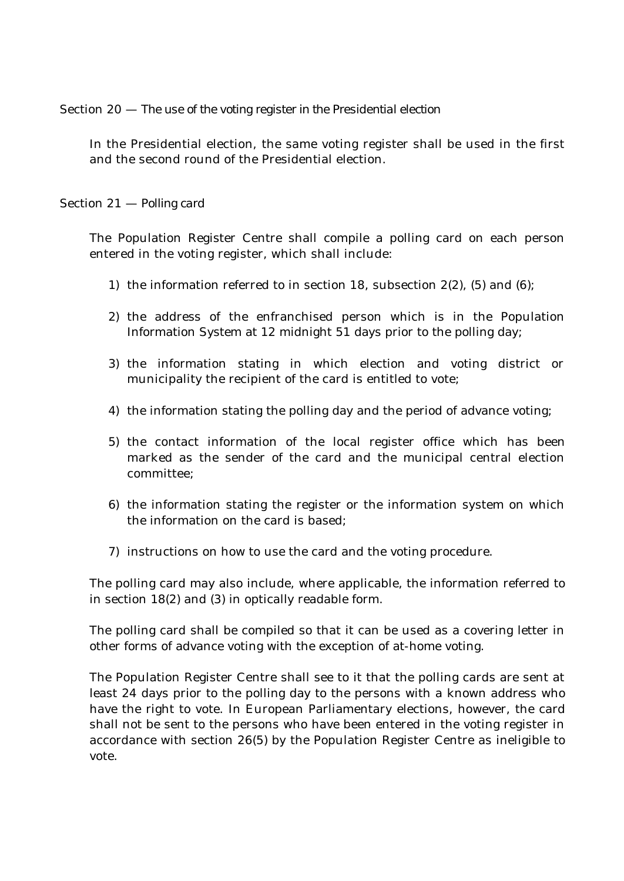Section 20 — *The use of the voting register in the Presidential election*

In the Presidential election, the same voting register shall be used in the first and the second round of the Presidential election.

Section 21 — *Polling card*

The Population Register Centre shall compile a polling card on each person entered in the voting register, which shall include:

- 1) the information referred to in section 18, subsection  $2(2)$ , (5) and (6);
- 2) the address of the enfranchised person which is in the Population Information System at 12 midnight 51 days prior to the polling day;
- 3) the information stating in which election and voting district or municipality the recipient of the card is entitled to vote;
- 4) the information stating the polling day and the period of advance voting;
- 5) the contact information of the local register office which has been marked as the sender of the card and the municipal central election committee;
- 6) the information stating the register or the information system on which the information on the card is based;
- 7) instructions on how to use the card and the voting procedure.

The polling card may also include, where applicable, the information referred to in section 18(2) and (3) in optically readable form.

The polling card shall be compiled so that it can be used as a covering letter in other forms of advance voting with the exception of at-home voting.

The Population Register Centre shall see to it that the polling cards are sent at least 24 days prior to the polling day to the persons with a known address who have the right to vote. In European Parliamentary elections, however, the card shall not be sent to the persons who have been entered in the voting register in accordance with section 26(5) by the Population Register Centre as ineligible to vote.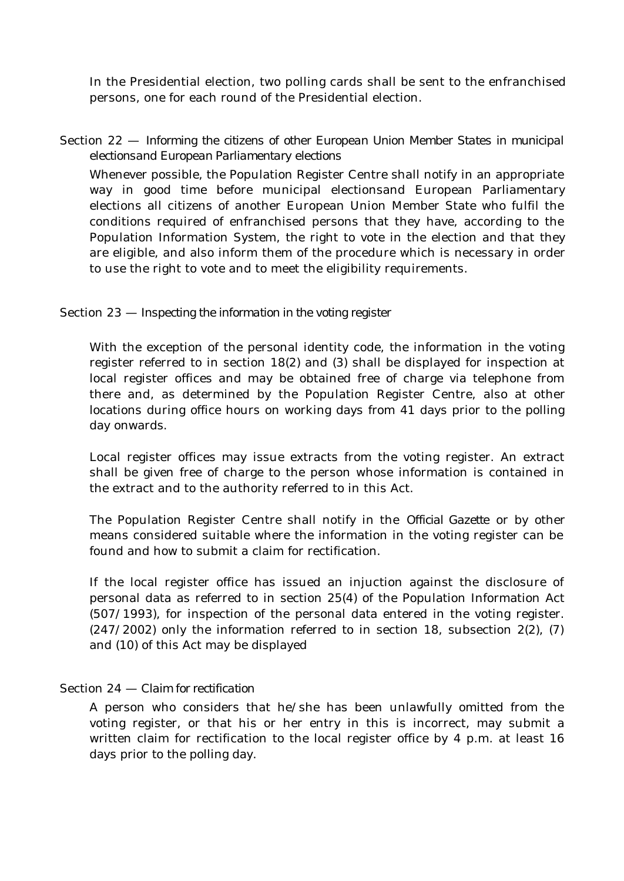In the Presidential election, two polling cards shall be sent to the enfranchised persons, one for each round of the Presidential election.

# Section 22 — *Informing the citizens of other European Union Member States in municipal electionsand European Parliamentary elections*

Whenever possible, the Population Register Centre shall notify in an appropriate way in good time before municipal electionsand European Parliamentary elections all citizens of another European Union Member State who fulfil the conditions required of enfranchised persons that they have, according to the Population Information System, the right to vote in the election and that they are eligible, and also inform them of the procedure which is necessary in order to use the right to vote and to meet the eligibility requirements.

# Section 23 — *Inspecting the information in the voting register*

With the exception of the personal identity code, the information in the voting register referred to in section 18(2) and (3) shall be displayed for inspection at local register offices and may be obtained free of charge via telephone from there and, as determined by the Population Register Centre, also at other locations during office hours on working days from 41 days prior to the polling day onwards.

Local register offices may issue extracts from the voting register. An extract shall be given free of charge to the person whose information is contained in the extract and to the authority referred to in this Act.

The Population Register Centre shall notify in the *Official Gazette* or by other means considered suitable where the information in the voting register can be found and how to submit a claim for rectification.

If the local register office has issued an injuction against the disclosure of personal data as referred to in section 25(4) of the Population Information Act (507/1993), for inspection of the personal data entered in the voting register.  $(247/2002)$  only the information referred to in section 18, subsection 2(2), (7) and (10) of this Act may be displayed

# Section 24 — *Claim for rectification*

A person who considers that he/she has been unlawfully omitted from the voting register, or that his or her entry in this is incorrect, may submit a written claim for rectification to the local register office by 4 p.m. at least 16 days prior to the polling day.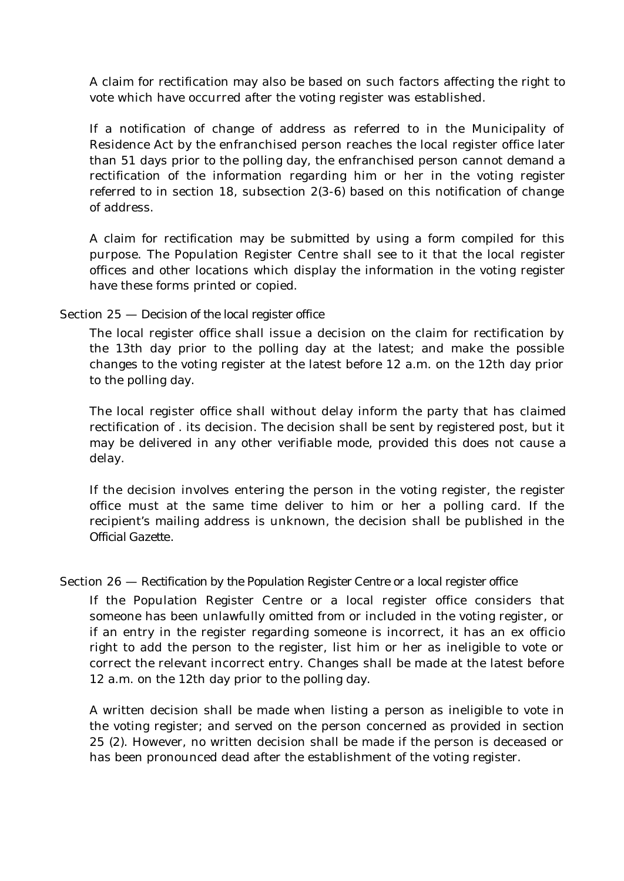A claim for rectification may also be based on such factors affecting the right to vote which have occurred after the voting register was established.

If a notification of change of address as referred to in the Municipality of Residence Act by the enfranchised person reaches the local register office later than 51 days prior to the polling day, the enfranchised person cannot demand a rectification of the information regarding him or her in the voting register referred to in section 18, subsection 2(3-6) based on this notification of change of address.

A claim for rectification may be submitted by using a form compiled for this purpose. The Population Register Centre shall see to it that the local register offices and other locations which display the information in the voting register have these forms printed or copied.

# Section 25 — *Decision of the local register office*

The local register office shall issue a decision on the claim for rectification by the 13th day prior to the polling day at the latest; and make the possible changes to the voting register at the latest before 12 a.m. on the 12th day prior to the polling day.

The local register office shall without delay inform the party that has claimed rectification of . its decision. The decision shall be sent by registered post, but it may be delivered in any other verifiable mode, provided this does not cause a delay.

If the decision involves entering the person in the voting register, the register office must at the same time deliver to him or her a polling card. If the recipient's mailing address is unknown, the decision shall be published in the *Official Gazette*.

# Section 26 — *Rectification by the Population Register Centre or a local register office*

If the Population Register Centre or a local register office considers that someone has been unlawfully omitted from or included in the voting register, or if an entry in the register regarding someone is incorrect, it has an ex officio right to add the person to the register, list him or her as ineligible to vote or correct the relevant incorrect entry. Changes shall be made at the latest before 12 a.m. on the 12th day prior to the polling day.

A written decision shall be made when listing a person as ineligible to vote in the voting register; and served on the person concerned as provided in section 25 (2). However, no written decision shall be made if the person is deceased or has been pronounced dead after the establishment of the voting register.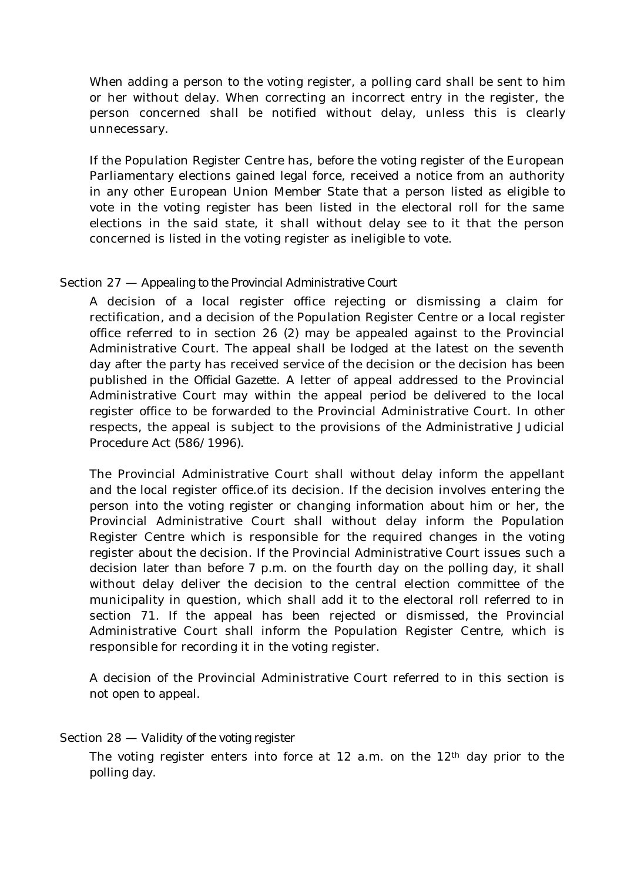When adding a person to the voting register, a polling card shall be sent to him or her without delay. When correcting an incorrect entry in the register, the person concerned shall be notified without delay, unless this is clearly unnecessary.

If the Population Register Centre has, before the voting register of the European Parliamentary elections gained legal force, received a notice from an authority in any other European Union Member State that a person listed as eligible to vote in the voting register has been listed in the electoral roll for the same elections in the said state, it shall without delay see to it that the person concerned is listed in the voting register as ineligible to vote.

# Section 27 — *Appealing to the Provincial Administrative Court*

A decision of a local register office rejecting or dismissing a claim for rectification, and a decision of the Population Register Centre or a local register office referred to in section 26 (2) may be appealed against to the Provincial Administrative Court. The appeal shall be lodged at the latest on the seventh day after the party has received service of the decision or the decision has been published in the *Official Gazette*. A letter of appeal addressed to the Provincial Administrative Court may within the appeal period be delivered to the local register office to be forwarded to the Provincial Administrative Court. In other respects, the appeal is subject to the provisions of the Administrative Judicial Procedure Act (586/1996).

The Provincial Administrative Court shall without delay inform the appellant and the local register office.of its decision. If the decision involves entering the person into the voting register or changing information about him or her, the Provincial Administrative Court shall without delay inform the Population Register Centre which is responsible for the required changes in the voting register about the decision. If the Provincial Administrative Court issues such a decision later than before 7 p.m. on the fourth day on the polling day, it shall without delay deliver the decision to the central election committee of the municipality in question, which shall add it to the electoral roll referred to in section 71. If the appeal has been rejected or dismissed, the Provincial Administrative Court shall inform the Population Register Centre, which is responsible for recording it in the voting register.

A decision of the Provincial Administrative Court referred to in this section is not open to appeal.

### Section 28 — *Validity of the voting register*

The voting register enters into force at  $12$  a.m. on the  $12<sup>th</sup>$  day prior to the polling day.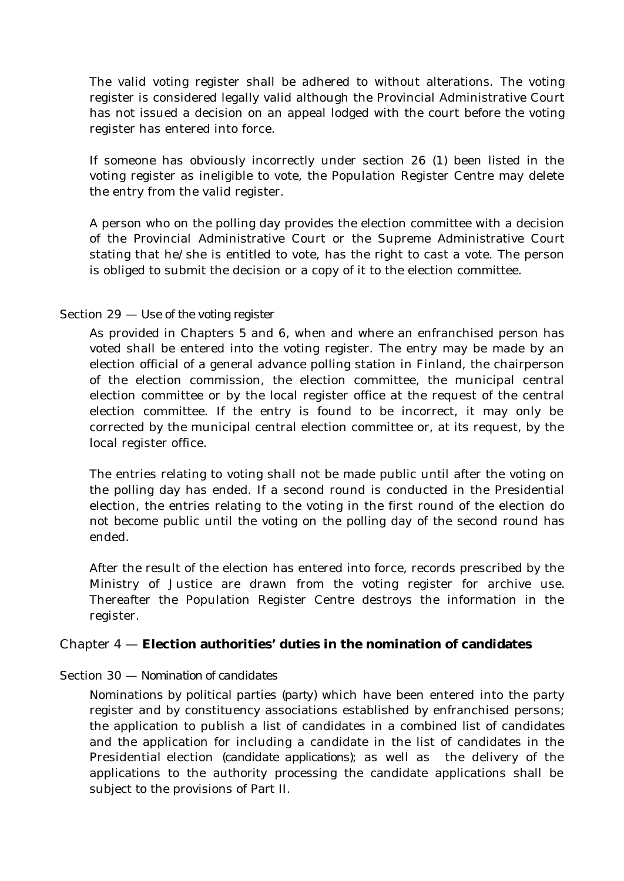The valid voting register shall be adhered to without alterations. The voting register is considered legally valid although the Provincial Administrative Court has not issued a decision on an appeal lodged with the court before the voting register has entered into force.

If someone has obviously incorrectly under section 26 (1) been listed in the voting register as ineligible to vote, the Population Register Centre may delete the entry from the valid register.

A person who on the polling day provides the election committee with a decision of the Provincial Administrative Court or the Supreme Administrative Court stating that he/she is entitled to vote, has the right to cast a vote. The person is obliged to submit the decision or a copy of it to the election committee.

# Section 29 — *Use of the voting register*

As provided in Chapters 5 and 6, when and where an enfranchised person has voted shall be entered into the voting register. The entry may be made by an election official of a general advance polling station in Finland, the chairperson of the election commission, the election committee, the municipal central election committee or by the local register office at the request of the central election committee. If the entry is found to be incorrect, it may only be corrected by the municipal central election committee or, at its request, by the local register office.

The entries relating to voting shall not be made public until after the voting on the polling day has ended. If a second round is conducted in the Presidential election, the entries relating to the voting in the first round of the election do not become public until the voting on the polling day of the second round has ended.

After the result of the election has entered into force, records prescribed by the Ministry of Justice are drawn from the voting register for archive use. Thereafter the Population Register Centre destroys the information in the register.

# Chapter 4 — **Election authorities' duties in the nomination of candidates**

# Section 30 — *Nomination of candidates*

Nominations by political parties *(party)* which have been entered into the party register and by constituency associations established by enfranchised persons; the application to publish a list of candidates in a combined list of candidates and the application for including a candidate in the list of candidates in the Presidential election *(candidate applications)*; as well as the delivery of the applications to the authority processing the candidate applications shall be subject to the provisions of Part II.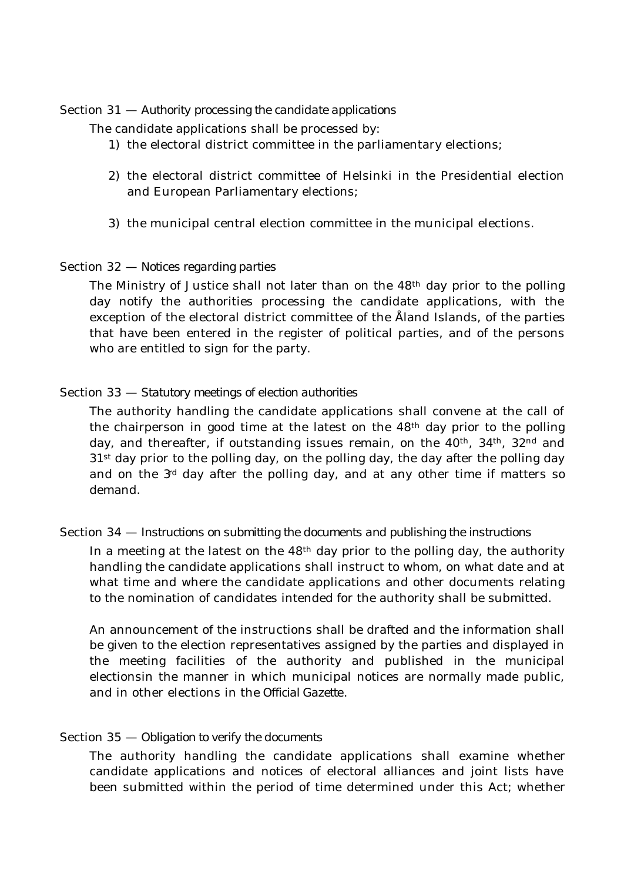### Section 31 — *Authority processing the candidate applications*

The candidate applications shall be processed by:

- 1) the electoral district committee in the parliamentary elections;
- 2) the electoral district committee of Helsinki in the Presidential election and European Parliamentary elections;
- 3) the municipal central election committee in the municipal elections.

# Section 32 — *Notices regarding parties*

The Ministry of Justice shall not later than on the 48<sup>th</sup> day prior to the polling day notify the authorities processing the candidate applications, with the exception of the electoral district committee of the Åland Islands, of the parties that have been entered in the register of political parties, and of the persons who are entitled to sign for the party.

# Section 33 — *Statutory meetings of election authorities*

The authority handling the candidate applications shall convene at the call of the chairperson in good time at the latest on the 48th day prior to the polling day, and thereafter, if outstanding issues remain, on the  $40<sup>th</sup>$ ,  $34<sup>th</sup>$ ,  $32<sup>nd</sup>$  and 31st day prior to the polling day, on the polling day, the day after the polling day and on the  $3<sup>d</sup>$  day after the polling day, and at any other time if matters so demand.

# Section 34 — *Instructions on submitting the documents and publishing the instructions*

In a meeting at the latest on the  $48<sup>th</sup>$  day prior to the polling day, the authority handling the candidate applications shall instruct to whom, on what date and at what time and where the candidate applications and other documents relating to the nomination of candidates intended for the authority shall be submitted.

An announcement of the instructions shall be drafted and the information shall be given to the election representatives assigned by the parties and displayed in the meeting facilities of the authority and published in the municipal electionsin the manner in which municipal notices are normally made public, and in other elections in the *Official Gazette*.

# Section 35 — *Obligation to verify the documents*

The authority handling the candidate applications shall examine whether candidate applications and notices of electoral alliances and joint lists have been submitted within the period of time determined under this Act; whether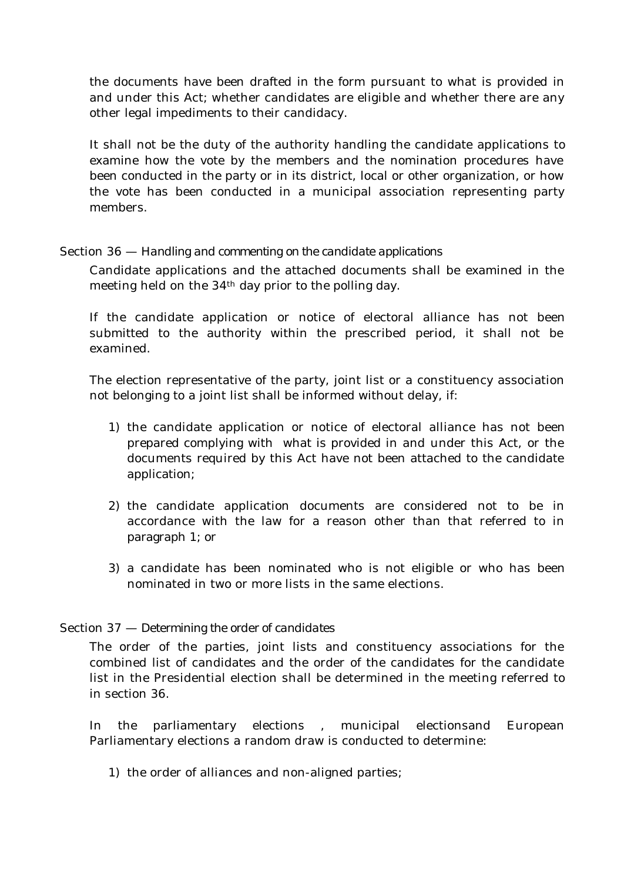the documents have been drafted in the form pursuant to what is provided in and under this Act; whether candidates are eligible and whether there are any other legal impediments to their candidacy.

It shall not be the duty of the authority handling the candidate applications to examine how the vote by the members and the nomination procedures have been conducted in the party or in its district, local or other organization, or how the vote has been conducted in a municipal association representing party members.

# Section 36 — *Handling and commenting on the candidate applications*

Candidate applications and the attached documents shall be examined in the meeting held on the 34th day prior to the polling day.

If the candidate application or notice of electoral alliance has not been submitted to the authority within the prescribed period, it shall not be examined.

The election representative of the party, joint list or a constituency association not belonging to a joint list shall be informed without delay, if:

- 1) the candidate application or notice of electoral alliance has not been prepared complying with what is provided in and under this Act, or the documents required by this Act have not been attached to the candidate application;
- 2) the candidate application documents are considered not to be in accordance with the law for a reason other than that referred to in paragraph 1; or
- 3) a candidate has been nominated who is not eligible or who has been nominated in two or more lists in the same elections.

# Section 37 — *Determining the order of candidates*

The order of the parties, joint lists and constituency associations for the combined list of candidates and the order of the candidates for the candidate list in the Presidential election shall be determined in the meeting referred to in section 36.

In the parliamentary elections , municipal electionsand European Parliamentary elections a random draw is conducted to determine:

1) the order of alliances and non-aligned parties;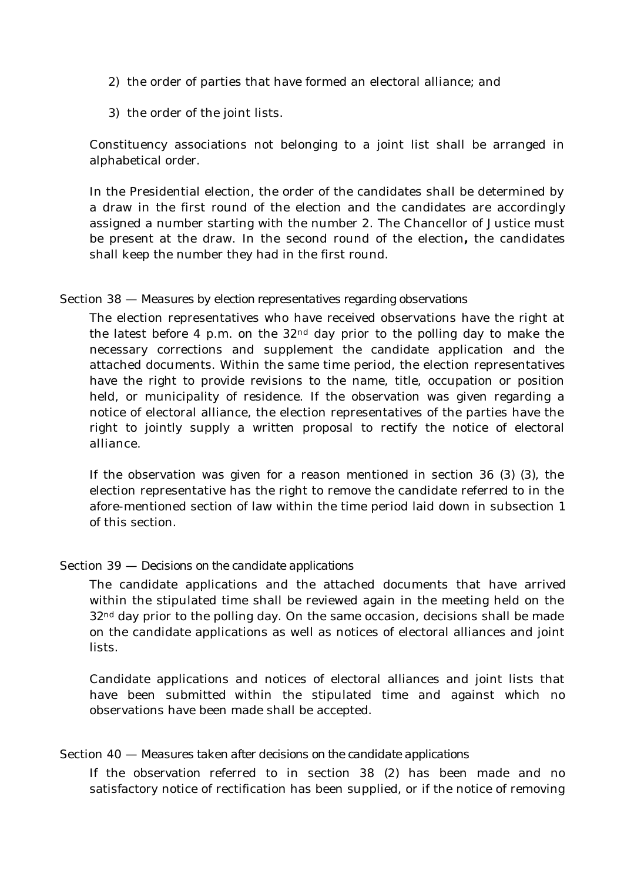- 2) the order of parties that have formed an electoral alliance; and
- 3) the order of the joint lists.

Constituency associations not belonging to a joint list shall be arranged in alphabetical order.

In the Presidential election, the order of the candidates shall be determined by a draw in the first round of the election and the candidates are accordingly assigned a number starting with the number 2. The Chancellor of Justice must be present at the draw. In the second round of the election**,** the candidates shall keep the number they had in the first round.

### Section 38 — *Measures by election representatives regarding observations*

The election representatives who have received observations have the right at the latest before 4 p.m. on the  $32<sup>nd</sup>$  day prior to the polling day to make the necessary corrections and supplement the candidate application and the attached documents. Within the same time period, the election representatives have the right to provide revisions to the name, title, occupation or position held, or municipality of residence. If the observation was given regarding a notice of electoral alliance, the election representatives of the parties have the right to jointly supply a written proposal to rectify the notice of electoral alliance.

If the observation was given for a reason mentioned in section 36 (3) (3), the election representative has the right to remove the candidate referred to in the afore-mentioned section of law within the time period laid down in subsection 1 of this section.

### Section 39 — *Decisions on the candidate applications*

The candidate applications and the attached documents that have arrived within the stipulated time shall be reviewed again in the meeting held on the 32<sup>nd</sup> day prior to the polling day. On the same occasion, decisions shall be made on the candidate applications as well as notices of electoral alliances and joint lists.

Candidate applications and notices of electoral alliances and joint lists that have been submitted within the stipulated time and against which no observations have been made shall be accepted.

### Section 40 — *Measures taken after decisions on the candidate applications*

If the observation referred to in section 38 (2) has been made and no satisfactory notice of rectification has been supplied, or if the notice of removing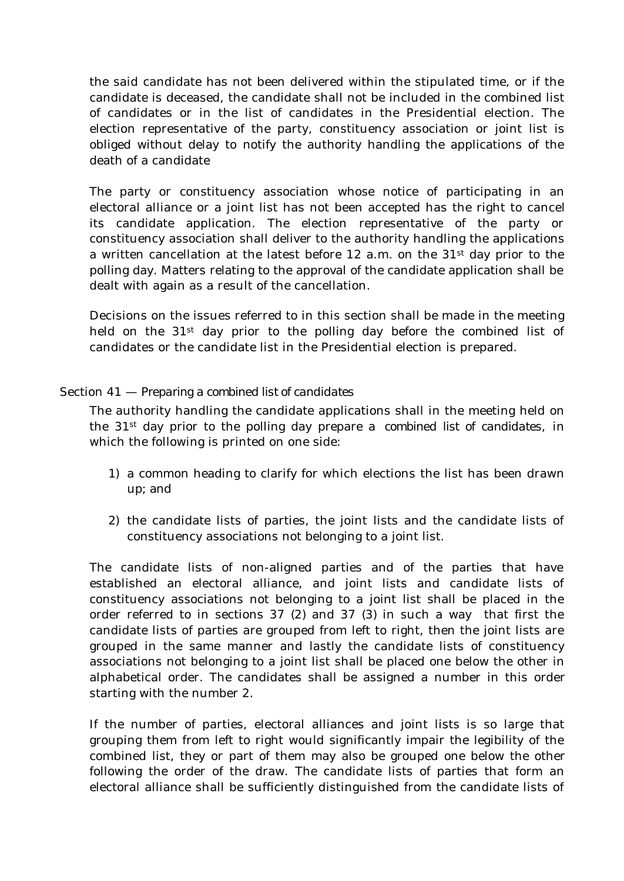the said candidate has not been delivered within the stipulated time, or if the candidate is deceased, the candidate shall not be included in the combined list of candidates or in the list of candidates in the Presidential election. The election representative of the party, constituency association or joint list is obliged without delay to notify the authority handling the applications of the death of a candidate

The party or constituency association whose notice of participating in an electoral alliance or a joint list has not been accepted has the right to cancel its candidate application. The election representative of the party or constituency association shall deliver to the authority handling the applications a written cancellation at the latest before 12 a.m. on the 31st day prior to the polling day. Matters relating to the approval of the candidate application shall be dealt with again as a result of the cancellation.

Decisions on the issues referred to in this section shall be made in the meeting held on the 31<sup>st</sup> day prior to the polling day before the combined list of candidates or the candidate list in the Presidential election is prepared.

# Section 41 — *Preparing a combined list of candidates*

The authority handling the candidate applications shall in the meeting held on the 31st day prior to the polling day prepare a *combined list of candidates*, in which the following is printed on one side:

- 1) a common heading to clarify for which elections the list has been drawn up; and
- 2) the candidate lists of parties, the joint lists and the candidate lists of constituency associations not belonging to a joint list.

The candidate lists of non-aligned parties and of the parties that have established an electoral alliance, and joint lists and candidate lists of constituency associations not belonging to a joint list shall be placed in the order referred to in sections 37 (2) and 37 (3) in such a way that first the candidate lists of parties are grouped from left to right, then the joint lists are grouped in the same manner and lastly the candidate lists of constituency associations not belonging to a joint list shall be placed one below the other in alphabetical order. The candidates shall be assigned a number in this order starting with the number 2.

If the number of parties, electoral alliances and joint lists is so large that grouping them from left to right would significantly impair the legibility of the combined list, they or part of them may also be grouped one below the other following the order of the draw. The candidate lists of parties that form an electoral alliance shall be sufficiently distinguished from the candidate lists of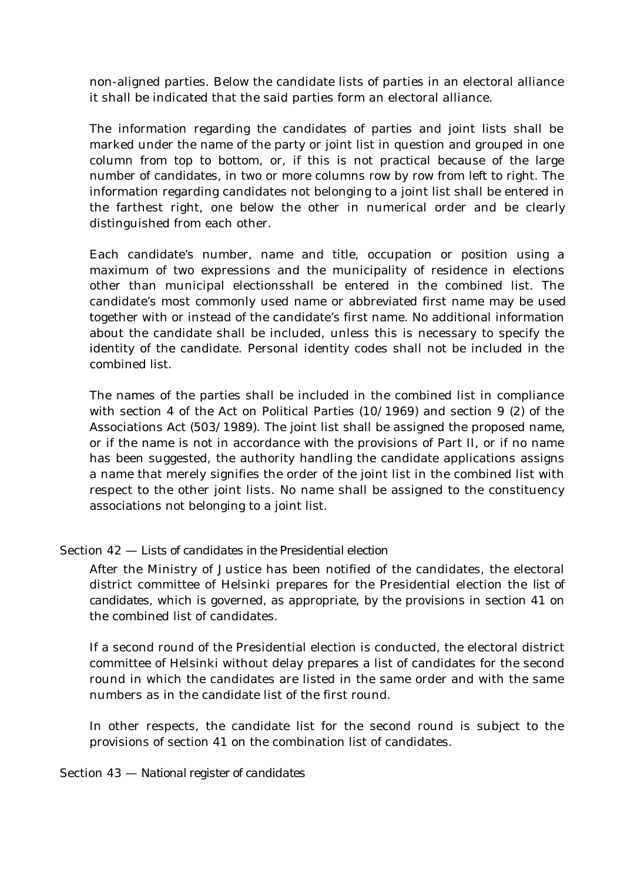non-aligned parties. Below the candidate lists of parties in an electoral alliance it shall be indicated that the said parties form an electoral alliance.

The information regarding the candidates of parties and joint lists shall be marked under the name of the party or joint list in question and grouped in one column from top to bottom, or, if this is not practical because of the large number of candidates, in two or more columns row by row from left to right. The information regarding candidates not belonging to a joint list shall be entered in the farthest right, one below the other in numerical order and be clearly distinguished from each other.

Each candidate's number, name and title, occupation or position using a maximum of two expressions and the municipality of residence in elections other than municipal electionsshall be entered in the combined list. The candidate's most commonly used name or abbreviated first name may be used together with or instead of the candidate's first name. No additional information about the candidate shall be included, unless this is necessary to specify the identity of the candidate. Personal identity codes shall not be included in the combined list.

The names of the parties shall be included in the combined list in compliance with section 4 of the Act on Political Parties (10/1969) and section 9 (2) of the Associations Act (503/1989). The joint list shall be assigned the proposed name, or if the name is not in accordance with the provisions of Part II, or if no name has been suggested, the authority handling the candidate applications assigns a name that merely signifies the order of the joint list in the combined list with respect to the other joint lists. No name shall be assigned to the constituency associations not belonging to a joint list.

# Section 42 — *Lists of candidates in the Presidential election*

After the Ministry of Justice has been notified of the candidates, the electoral district committee of Helsinki prepares for the Presidential election the *list of candidates*, which is governed, as appropriate, by the provisions in section 41 on the combined list of candidates.

If a second round of the Presidential election is conducted, the electoral district committee of Helsinki without delay prepares a list of candidates for the second round in which the candidates are listed in the same order and with the same numbers as in the candidate list of the first round.

In other respects, the candidate list for the second round is subject to the provisions of section 41 on the combination list of candidates.

# Section 43 — *National register of candidates*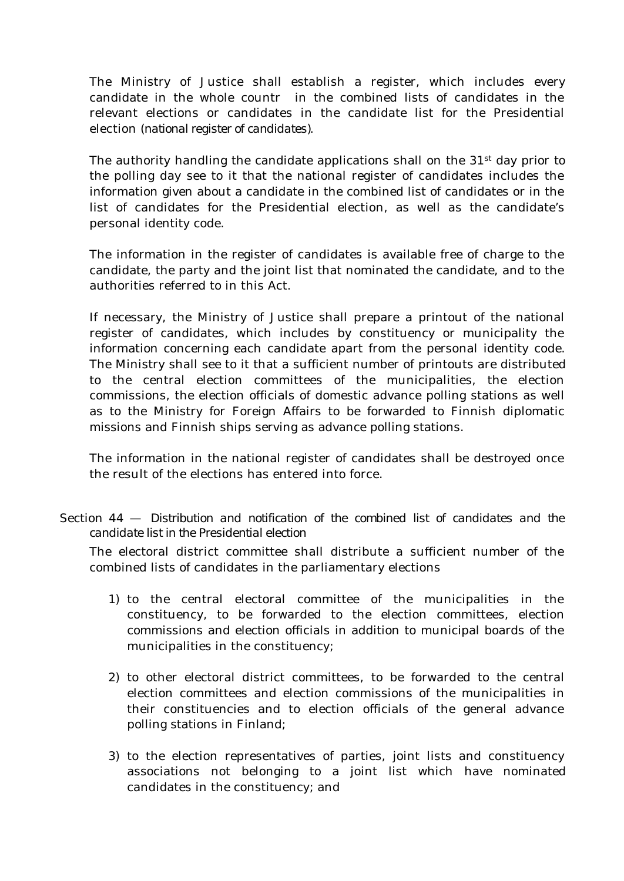The Ministry of Justice shall establish a register, which includes every candidate in the whole countr in the combined lists of candidates in the relevant elections or candidates in the candidate list for the Presidential election (*national register of candidates).*

The authority handling the candidate applications shall on the 31<sup>st</sup> day prior to the polling day see to it that the national register of candidates includes the information given about a candidate in the combined list of candidates or in the list of candidates for the Presidential election, as well as the candidate's personal identity code.

The information in the register of candidates is available free of charge to the candidate, the party and the joint list that nominated the candidate, and to the authorities referred to in this Act.

If necessary, the Ministry of Justice shall prepare a printout of the national register of candidates, which includes by constituency or municipality the information concerning each candidate apart from the personal identity code. The Ministry shall see to it that a sufficient number of printouts are distributed to the central election committees of the municipalities, the election commissions, the election officials of domestic advance polling stations as well as to the Ministry for Foreign Affairs to be forwarded to Finnish diplomatic missions and Finnish ships serving as advance polling stations.

The information in the national register of candidates shall be destroyed once the result of the elections has entered into force.

Section 44 — *Distribution and notification of the combined list of candidates and the candidate list in the Presidential election*

The electoral district committee shall distribute a sufficient number of the combined lists of candidates in the parliamentary elections

- 1) to the central electoral committee of the municipalities in the constituency, to be forwarded to the election committees, election commissions and election officials in addition to municipal boards of the municipalities in the constituency;
- 2) to other electoral district committees, to be forwarded to the central election committees and election commissions of the municipalities in their constituencies and to election officials of the general advance polling stations in Finland;
- 3) to the election representatives of parties, joint lists and constituency associations not belonging to a joint list which have nominated candidates in the constituency; and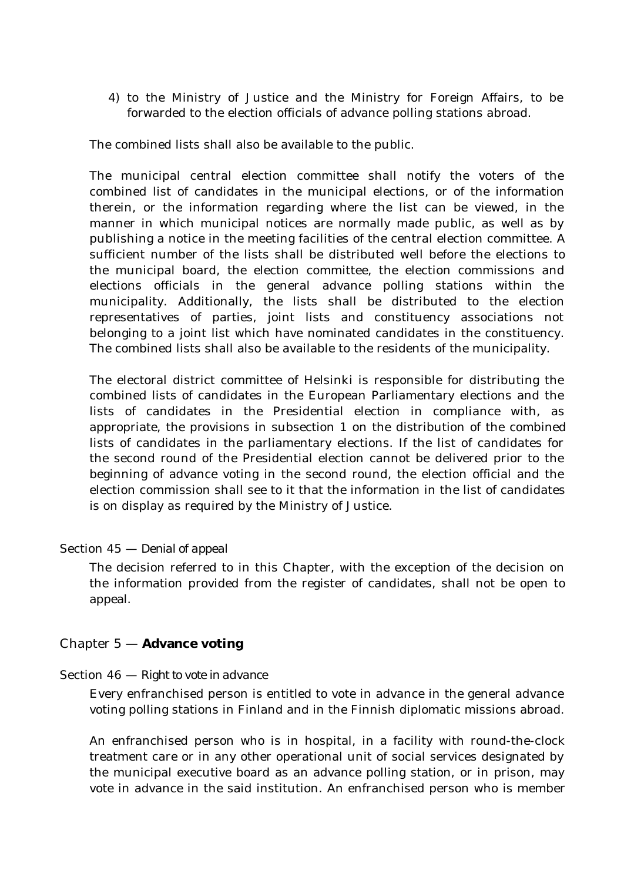4) to the Ministry of Justice and the Ministry for Foreign Affairs, to be forwarded to the election officials of advance polling stations abroad.

The combined lists shall also be available to the public.

The municipal central election committee shall notify the voters of the combined list of candidates in the municipal elections, or of the information therein, or the information regarding where the list can be viewed, in the manner in which municipal notices are normally made public, as well as by publishing a notice in the meeting facilities of the central election committee. A sufficient number of the lists shall be distributed well before the elections to the municipal board, the election committee, the election commissions and elections officials in the general advance polling stations within the municipality. Additionally, the lists shall be distributed to the election representatives of parties, joint lists and constituency associations not belonging to a joint list which have nominated candidates in the constituency. The combined lists shall also be available to the residents of the municipality.

The electoral district committee of Helsinki is responsible for distributing the combined lists of candidates in the European Parliamentary elections and the lists of candidates in the Presidential election in compliance with, as appropriate, the provisions in subsection 1 on the distribution of the combined lists of candidates in the parliamentary elections. If the list of candidates for the second round of the Presidential election cannot be delivered prior to the beginning of advance voting in the second round, the election official and the election commission shall see to it that the information in the list of candidates is on display as required by the Ministry of Justice.

Section 45 — *Denial of appeal*

The decision referred to in this Chapter, with the exception of the decision on the information provided from the register of candidates, shall not be open to appeal.

# Chapter 5 — **Advance voting**

# Section 46 — *Right to vote in advance*

Every enfranchised person is entitled to vote in advance in the general advance voting polling stations in Finland and in the Finnish diplomatic missions abroad.

An enfranchised person who is in hospital, in a facility with round-the-clock treatment care or in any other operational unit of social services designated by the municipal executive board as an advance polling station, or in prison, may vote in advance in the said institution. An enfranchised person who is member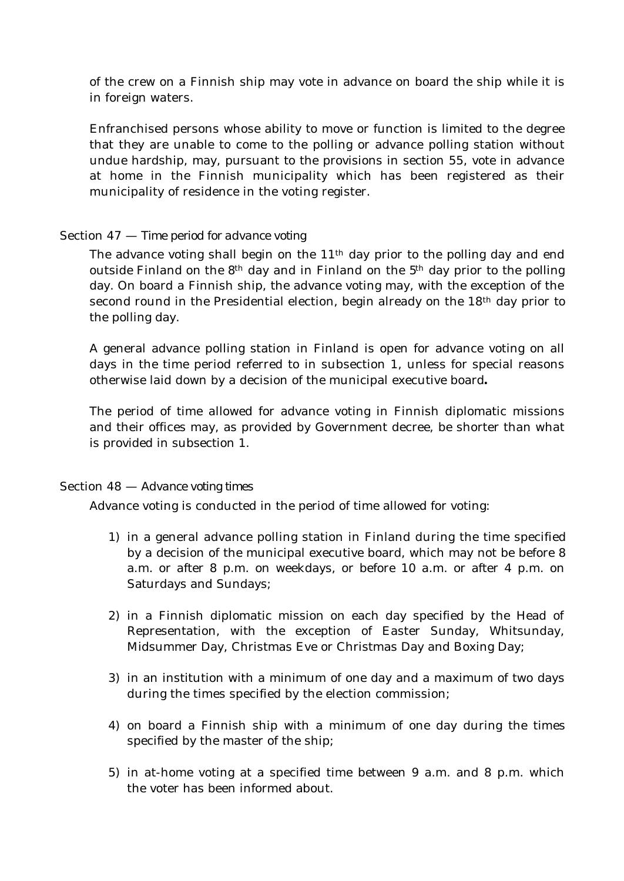of the crew on a Finnish ship may vote in advance on board the ship while it is in foreign waters.

Enfranchised persons whose ability to move or function is limited to the degree that they are unable to come to the polling or advance polling station without undue hardship, may, pursuant to the provisions in section 55, vote in advance at home in the Finnish municipality which has been registered as their municipality of residence in the voting register.

# Section 47 — *Time period for advance voting*

The advance voting shall begin on the  $11<sup>th</sup>$  day prior to the polling day and end outside Finland on the  $8<sup>th</sup>$  day and in Finland on the  $5<sup>th</sup>$  day prior to the polling day. On board a Finnish ship, the advance voting may, with the exception of the second round in the Presidential election, begin already on the 18<sup>th</sup> day prior to the polling day.

A general advance polling station in Finland is open for advance voting on all days in the time period referred to in subsection 1, unless for special reasons otherwise laid down by a decision of the municipal executive board**.**

The period of time allowed for advance voting in Finnish diplomatic missions and their offices may, as provided by Government decree, be shorter than what is provided in subsection 1.

# Section 48 — *Advance voting times*

Advance voting is conducted in the period of time allowed for voting:

- 1) in a general advance polling station in Finland during the time specified by a decision of the municipal executive board, which may not be before 8 a.m. or after 8 p.m. on weekdays, or before 10 a.m. or after 4 p.m. on Saturdays and Sundays;
- 2) in a Finnish diplomatic mission on each day specified by the Head of Representation, with the exception of Easter Sunday, Whitsunday, Midsummer Day, Christmas Eve or Christmas Day and Boxing Day;
- 3) in an institution with a minimum of one day and a maximum of two days during the times specified by the election commission;
- 4) on board a Finnish ship with a minimum of one day during the times specified by the master of the ship;
- 5) in at-home voting at a specified time between 9 a.m. and 8 p.m. which the voter has been informed about.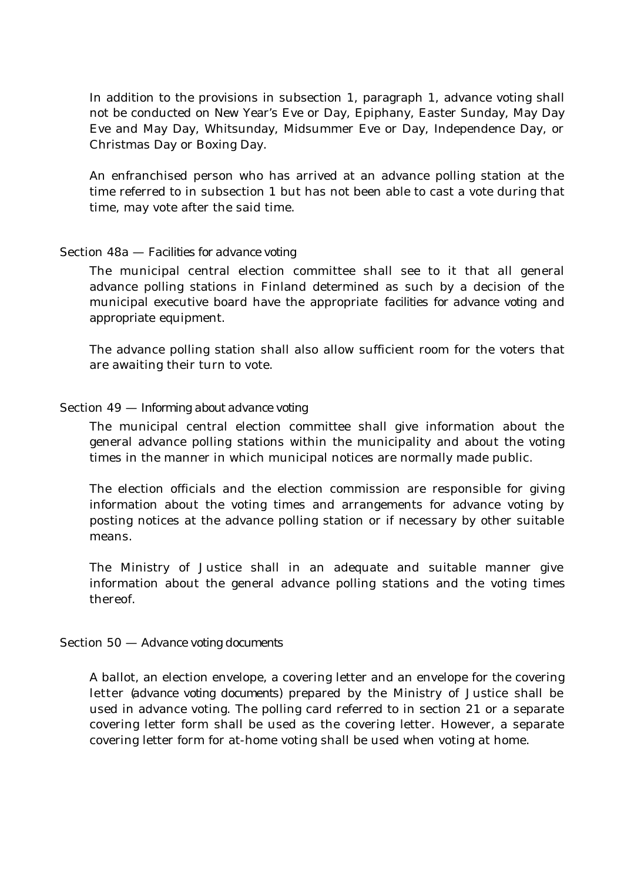In addition to the provisions in subsection 1, paragraph 1, advance voting shall not be conducted on New Year's Eve or Day, Epiphany, Easter Sunday, May Day Eve and May Day, Whitsunday, Midsummer Eve or Day, Independence Day, or Christmas Day or Boxing Day.

An enfranchised person who has arrived at an advance polling station at the time referred to in subsection 1 but has not been able to cast a vote during that time, may vote after the said time.

### Section 48a — *Facilities for advance voting*

The municipal central election committee shall see to it that all general advance polling stations in Finland determined as such by a decision of the municipal executive board have the appropriate *facilities for advance voting* and appropriate equipment.

The advance polling station shall also allow sufficient room for the voters that are awaiting their turn to vote.

### Section 49 — *Informing about advance voting*

The municipal central election committee shall give information about the general advance polling stations within the municipality and about the voting times in the manner in which municipal notices are normally made public.

The election officials and the election commission are responsible for giving information about the voting times and arrangements for advance voting by posting notices at the advance polling station or if necessary by other suitable means.

The Ministry of Justice shall in an adequate and suitable manner give information about the general advance polling stations and the voting times thereof.

### Section 50 — *Advance voting documents*

A ballot, an election envelope, a covering letter and an envelope for the covering letter (*advance voting documents)* prepared by the Ministry of Justice shall be used in advance voting. The polling card referred to in section 21 or a separate covering letter form shall be used as the covering letter. However, a separate covering letter form for at-home voting shall be used when voting at home.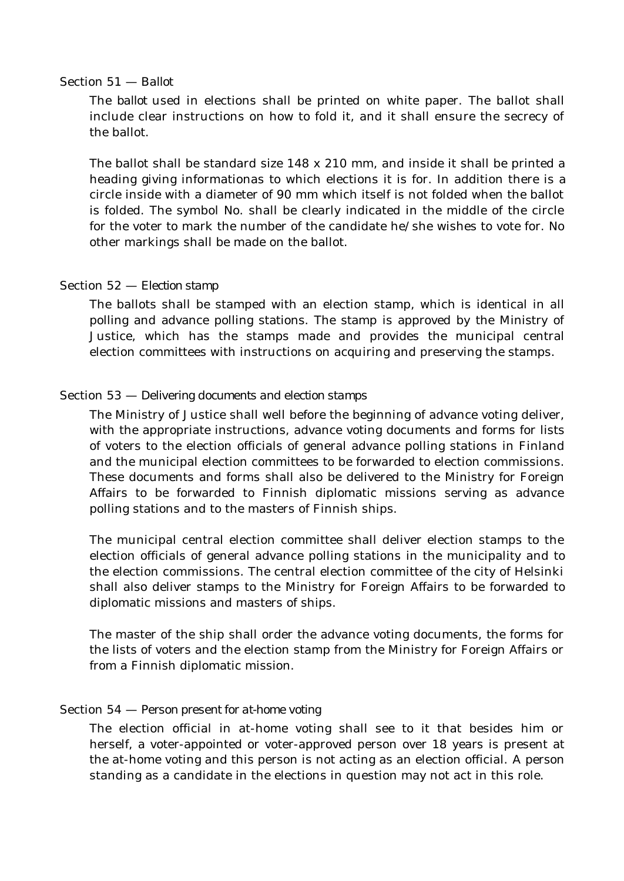#### Section 51 — *Ballot*

The *ballot* used in elections shall be printed on white paper. The ballot shall include clear instructions on how to fold it, and it shall ensure the secrecy of the ballot.

The ballot shall be standard size 148 x 210 mm, and inside it shall be printed a heading giving informationas to which elections it is for. In addition there is a circle inside with a diameter of 90 mm which itself is not folded when the ballot is folded. The symbol No. shall be clearly indicated in the middle of the circle for the voter to mark the number of the candidate he/she wishes to vote for. No other markings shall be made on the ballot.

### Section 52 — *Election stamp*

The ballots shall be stamped with an election stamp, which is identical in all polling and advance polling stations. The stamp is approved by the Ministry of Justice, which has the stamps made and provides the municipal central election committees with instructions on acquiring and preserving the stamps.

### Section 53 — *Delivering documents and election stamps*

The Ministry of Justice shall well before the beginning of advance voting deliver, with the appropriate instructions, advance voting documents and forms for lists of voters to the election officials of general advance polling stations in Finland and the municipal election committees to be forwarded to election commissions. These documents and forms shall also be delivered to the Ministry for Foreign Affairs to be forwarded to Finnish diplomatic missions serving as advance polling stations and to the masters of Finnish ships.

The municipal central election committee shall deliver election stamps to the election officials of general advance polling stations in the municipality and to the election commissions. The central election committee of the city of Helsinki shall also deliver stamps to the Ministry for Foreign Affairs to be forwarded to diplomatic missions and masters of ships.

The master of the ship shall order the advance voting documents, the forms for the lists of voters and the election stamp from the Ministry for Foreign Affairs or from a Finnish diplomatic mission.

### Section 54 — *Person present for at-home voting*

The election official in at-home voting shall see to it that besides him or herself, a voter-appointed or voter-approved person over 18 years is present at the at-home voting and this person is not acting as an election official. A person standing as a candidate in the elections in question may not act in this role.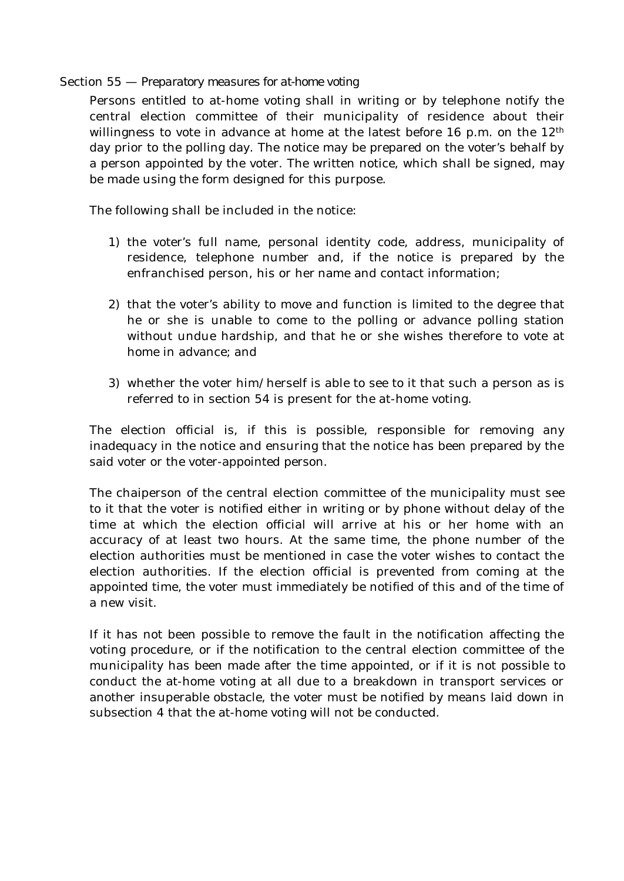### Section 55 — *Preparatory measures for at-home voting*

Persons entitled to at-home voting shall in writing or by telephone notify the central election committee of their municipality of residence about their willingness to vote in advance at home at the latest before 16 p.m. on the 12<sup>th</sup> day prior to the polling day. The notice may be prepared on the voter's behalf by a person appointed by the voter. The written notice, which shall be signed, may be made using the form designed for this purpose.

The following shall be included in the notice:

- 1) the voter's full name, personal identity code, address, municipality of residence, telephone number and, if the notice is prepared by the enfranchised person, his or her name and contact information;
- 2) that the voter's ability to move and function is limited to the degree that he or she is unable to come to the polling or advance polling station without undue hardship, and that he or she wishes therefore to vote at home in advance; and
- 3) whether the voter him/herself is able to see to it that such a person as is referred to in section 54 is present for the at-home voting.

The election official is, if this is possible, responsible for removing any inadequacy in the notice and ensuring that the notice has been prepared by the said voter or the voter-appointed person.

The chaiperson of the central election committee of the municipality must see to it that the voter is notified either in writing or by phone without delay of the time at which the election official will arrive at his or her home with an accuracy of at least two hours. At the same time, the phone number of the election authorities must be mentioned in case the voter wishes to contact the election authorities. If the election official is prevented from coming at the appointed time, the voter must immediately be notified of this and of the time of a new visit.

If it has not been possible to remove the fault in the notification affecting the voting procedure, or if the notification to the central election committee of the municipality has been made after the time appointed, or if it is not possible to conduct the at-home voting at all due to a breakdown in transport services or another insuperable obstacle, the voter must be notified by means laid down in subsection 4 that the at-home voting will not be conducted.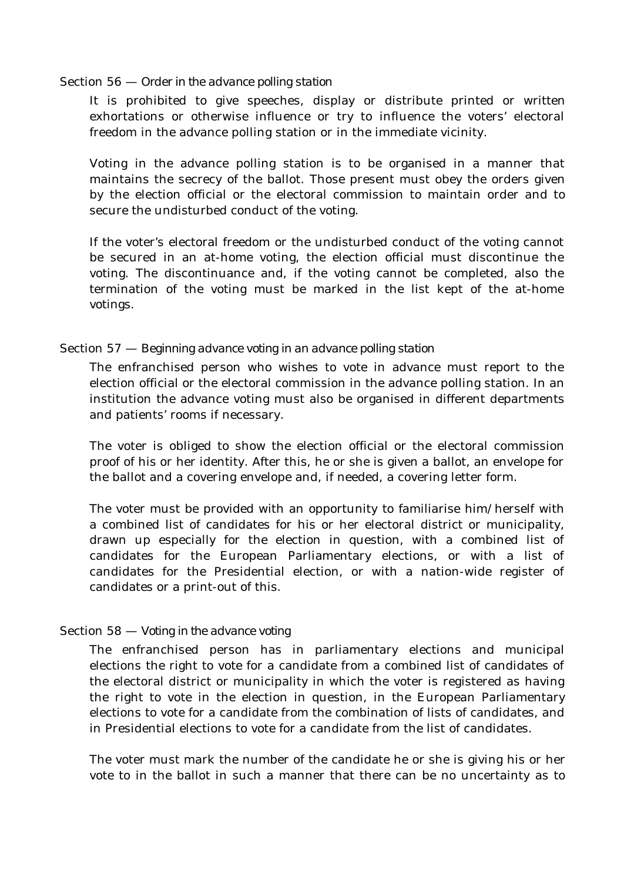#### Section 56 — *Order in the advance polling station*

It is prohibited to give speeches, display or distribute printed or written exhortations or otherwise influence or try to influence the voters' electoral freedom in the advance polling station or in the immediate vicinity.

Voting in the advance polling station is to be organised in a manner that maintains the secrecy of the ballot. Those present must obey the orders given by the election official or the electoral commission to maintain order and to secure the undisturbed conduct of the voting.

If the voter's electoral freedom or the undisturbed conduct of the voting cannot be secured in an at-home voting, the election official must discontinue the voting. The discontinuance and, if the voting cannot be completed, also the termination of the voting must be marked in the list kept of the at-home votings.

### Section 57 — *Beginning advance voting in an advance polling station*

The enfranchised person who wishes to vote in advance must report to the election official or the electoral commission in the advance polling station. In an institution the advance voting must also be organised in different departments and patients' rooms if necessary.

The voter is obliged to show the election official or the electoral commission proof of his or her identity. After this, he or she is given a ballot, an envelope for the ballot and a covering envelope and, if needed, a covering letter form.

The voter must be provided with an opportunity to familiarise him/herself with a combined list of candidates for his or her electoral district or municipality, drawn up especially for the election in question, with a combined list of candidates for the European Parliamentary elections, or with a list of candidates for the Presidential election, or with a nation-wide register of candidates or a print-out of this.

### Section 58 — *Voting in the advance voting*

The enfranchised person has in parliamentary elections and municipal elections the right to vote for a candidate from a combined list of candidates of the electoral district or municipality in which the voter is registered as having the right to vote in the election in question, in the European Parliamentary elections to vote for a candidate from the combination of lists of candidates, and in Presidential elections to vote for a candidate from the list of candidates.

The voter must mark the number of the candidate he or she is giving his or her vote to in the ballot in such a manner that there can be no uncertainty as to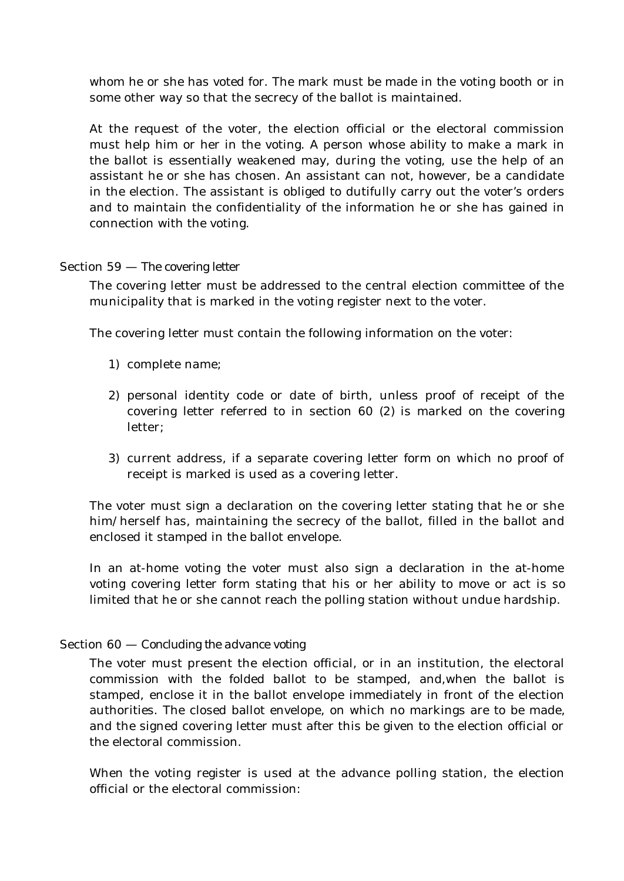whom he or she has voted for. The mark must be made in the voting booth or in some other way so that the secrecy of the ballot is maintained.

At the request of the voter, the election official or the electoral commission must help him or her in the voting. A person whose ability to make a mark in the ballot is essentially weakened may, during the voting, use the help of an assistant he or she has chosen. An assistant can not, however, be a candidate in the election. The assistant is obliged to dutifully carry out the voter's orders and to maintain the confidentiality of the information he or she has gained in connection with the voting.

# Section 59 — *The covering letter*

The covering letter must be addressed to the central election committee of the municipality that is marked in the voting register next to the voter.

The covering letter must contain the following information on the voter:

- 1) complete name;
- 2) personal identity code or date of birth, unless proof of receipt of the covering letter referred to in section 60 (2) is marked on the covering letter;
- 3) current address, if a separate covering letter form on which no proof of receipt is marked is used as a covering letter.

The voter must sign a declaration on the covering letter stating that he or she him/herself has, maintaining the secrecy of the ballot, filled in the ballot and enclosed it stamped in the ballot envelope.

In an at-home voting the voter must also sign a declaration in the at-home voting covering letter form stating that his or her ability to move or act is so limited that he or she cannot reach the polling station without undue hardship.

# Section 60 — *Concluding the advance voting*

The voter must present the election official, or in an institution, the electoral commission with the folded ballot to be stamped, and,when the ballot is stamped, enclose it in the ballot envelope immediately in front of the election authorities. The closed ballot envelope, on which no markings are to be made, and the signed covering letter must after this be given to the election official or the electoral commission.

When the voting register is used at the advance polling station, the election official or the electoral commission: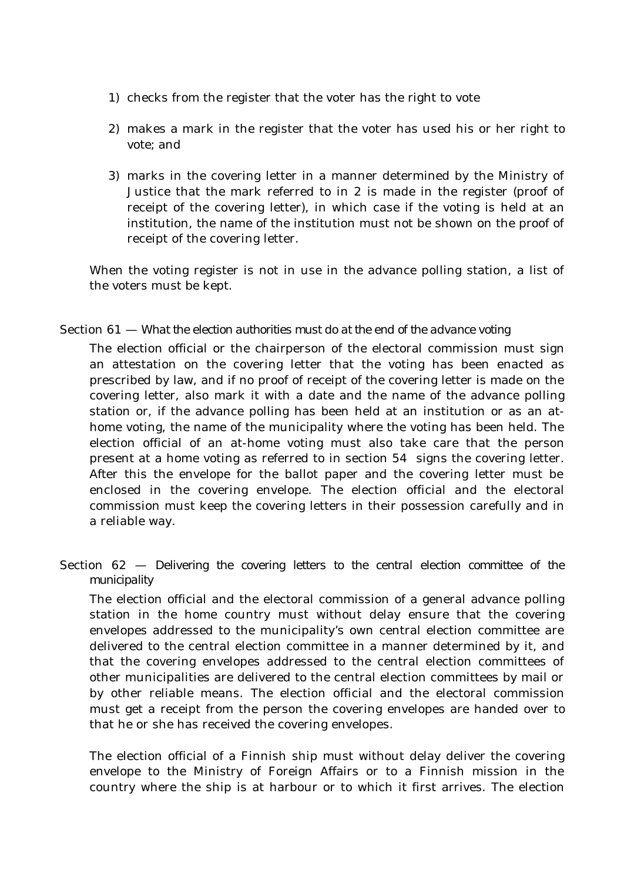- 1) checks from the register that the voter has the right to vote
- 2) makes a mark in the register that the voter has used his or her right to vote; and
- 3) marks in the covering letter in a manner determined by the Ministry of Justice that the mark referred to in 2 is made in the register (proof of receipt of the covering letter), in which case if the voting is held at an institution, the name of the institution must not be shown on the proof of receipt of the covering letter.

When the voting register is not in use in the advance polling station, a list of the voters must be kept.

### Section 61 — *What the election authorities must do at the end of the advance voting*

The election official or the chairperson of the electoral commission must sign an attestation on the covering letter that the voting has been enacted as prescribed by law, and if no proof of receipt of the covering letter is made on the covering letter, also mark it with a date and the name of the advance polling station or, if the advance polling has been held at an institution or as an athome voting, the name of the municipality where the voting has been held. The election official of an at-home voting must also take care that the person present at a home voting as referred to in section 54 signs the covering letter. After this the envelope for the ballot paper and the covering letter must be enclosed in the covering envelope. The election official and the electoral commission must keep the covering letters in their possession carefully and in a reliable way.

Section 62 — *Delivering the covering letters to the central election committee of the municipality*

The election official and the electoral commission of a general advance polling station in the home country must without delay ensure that the covering envelopes addressed to the municipality's own central election committee are delivered to the central election committee in a manner determined by it, and that the covering envelopes addressed to the central election committees of other municipalities are delivered to the central election committees by mail or by other reliable means. The election official and the electoral commission must get a receipt from the person the covering envelopes are handed over to that he or she has received the covering envelopes.

The election official of a Finnish ship must without delay deliver the covering envelope to the Ministry of Foreign Affairs or to a Finnish mission in the country where the ship is at harbour or to which it first arrives. The election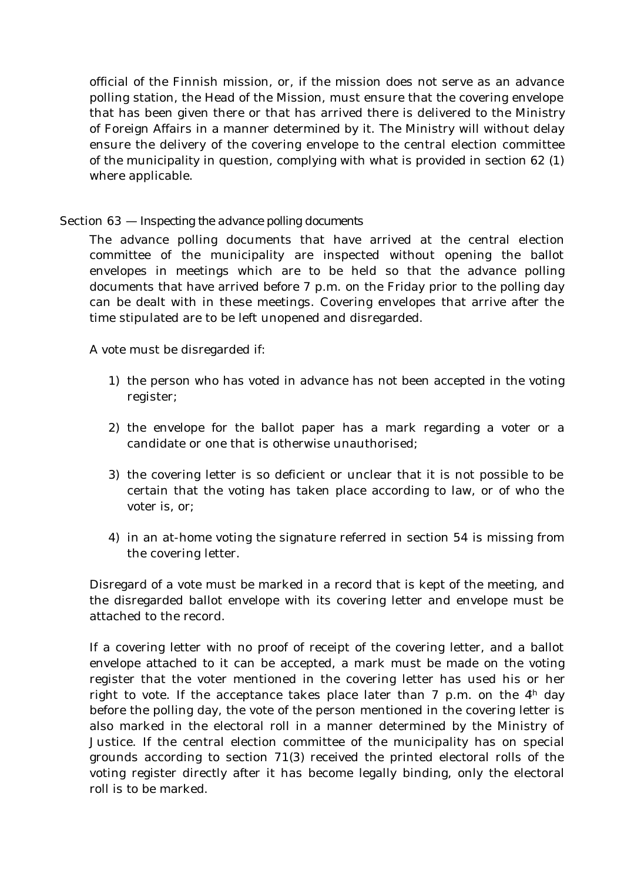official of the Finnish mission, or, if the mission does not serve as an advance polling station, the Head of the Mission, must ensure that the covering envelope that has been given there or that has arrived there is delivered to the Ministry of Foreign Affairs in a manner determined by it. The Ministry will without delay ensure the delivery of the covering envelope to the central election committee of the municipality in question, complying with what is provided in section 62 (1) where applicable.

# Section 63 *— Inspecting the advance polling documents*

The advance polling documents that have arrived at the central election committee of the municipality are inspected without opening the ballot envelopes in meetings which are to be held so that the advance polling documents that have arrived before 7 p.m. on the Friday prior to the polling day can be dealt with in these meetings. Covering envelopes that arrive after the time stipulated are to be left unopened and disregarded.

A vote must be disregarded if:

- 1) the person who has voted in advance has not been accepted in the voting register;
- 2) the envelope for the ballot paper has a mark regarding a voter or a candidate or one that is otherwise unauthorised;
- 3) the covering letter is so deficient or unclear that it is not possible to be certain that the voting has taken place according to law, or of who the voter is, or;
- 4) in an at-home voting the signature referred in section 54 is missing from the covering letter.

Disregard of a vote must be marked in a record that is kept of the meeting, and the disregarded ballot envelope with its covering letter and envelope must be attached to the record.

If a covering letter with no proof of receipt of the covering letter, and a ballot envelope attached to it can be accepted, a mark must be made on the voting register that the voter mentioned in the covering letter has used his or her right to vote. If the acceptance takes place later than 7 p.m. on the  $4<sup>h</sup>$  day before the polling day, the vote of the person mentioned in the covering letter is also marked in the electoral roll in a manner determined by the Ministry of Justice. If the central election committee of the municipality has on special grounds according to section 71(3) received the printed electoral rolls of the voting register directly after it has become legally binding, only the electoral roll is to be marked.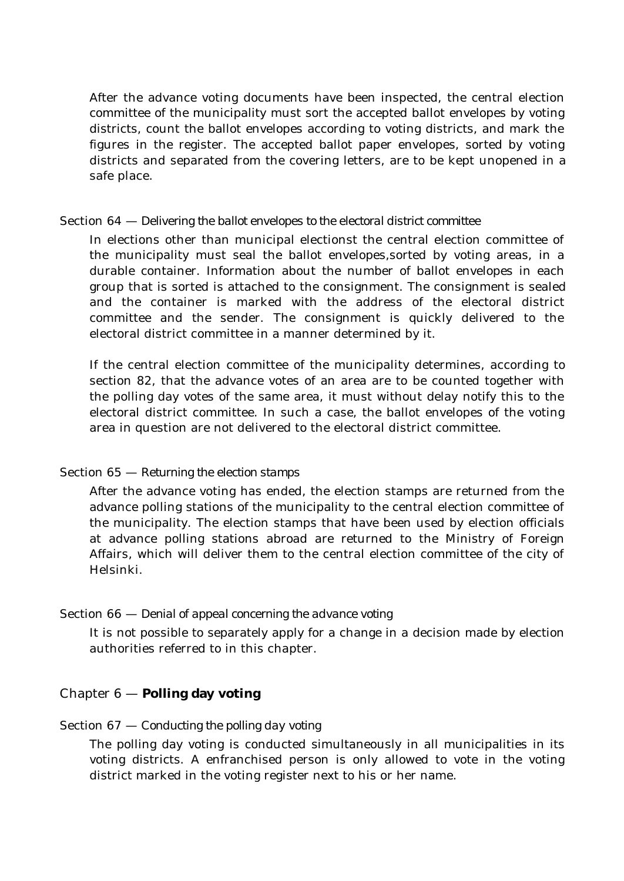After the advance voting documents have been inspected, the central election committee of the municipality must sort the accepted ballot envelopes by voting districts, count the ballot envelopes according to voting districts, and mark the figures in the register. The accepted ballot paper envelopes, sorted by voting districts and separated from the covering letters, are to be kept unopened in a safe place.

### Section 64 — *Delivering the ballot envelopes to the electoral district committee*

In elections other than municipal electionst the central election committee of the municipality must seal the ballot envelopes,sorted by voting areas, in a durable container. Information about the number of ballot envelopes in each group that is sorted is attached to the consignment. The consignment is sealed and the container is marked with the address of the electoral district committee and the sender. The consignment is quickly delivered to the electoral district committee in a manner determined by it.

If the central election committee of the municipality determines, according to section 82, that the advance votes of an area are to be counted together with the polling day votes of the same area, it must without delay notify this to the electoral district committee. In such a case, the ballot envelopes of the voting area in question are not delivered to the electoral district committee.

### Section 65 — *Returning the election stamps*

After the advance voting has ended, the election stamps are returned from the advance polling stations of the municipality to the central election committee of the municipality. The election stamps that have been used by election officials at advance polling stations abroad are returned to the Ministry of Foreign Affairs, which will deliver them to the central election committee of the city of Helsinki.

# Section 66 — *Denial of appeal concerning the advance voting*

It is not possible to separately apply for a change in a decision made by election authorities referred to in this chapter.

# Chapter 6 — **Polling day voting**

### Section 67 — *Conducting the polling day voting*

The polling day voting is conducted simultaneously in all municipalities in its voting districts. A enfranchised person is only allowed to vote in the voting district marked in the voting register next to his or her name.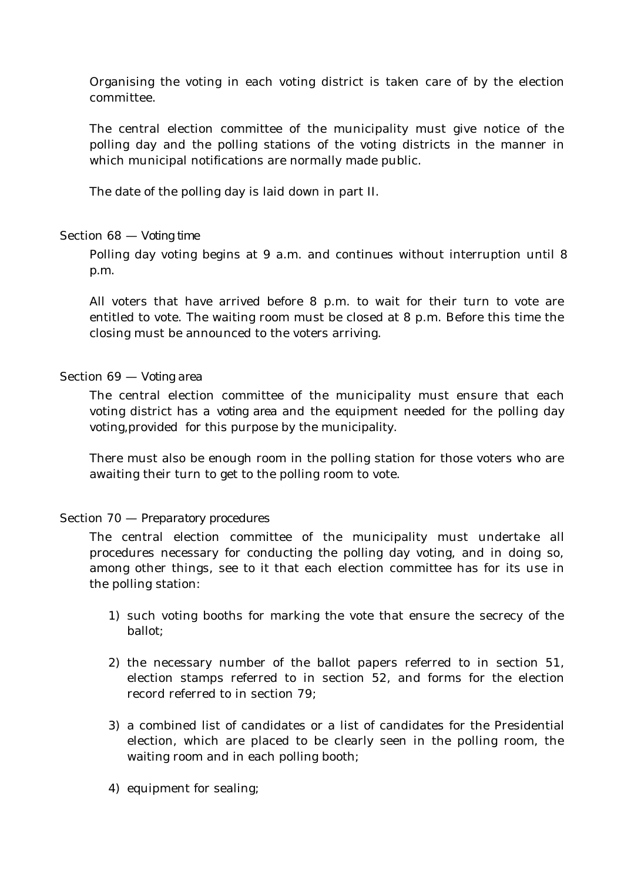Organising the voting in each voting district is taken care of by the election committee.

The central election committee of the municipality must give notice of the polling day and the polling stations of the voting districts in the manner in which municipal notifications are normally made public.

The date of the polling day is laid down in part II.

### Section 68 — *Voting time*

Polling day voting begins at 9 a.m. and continues without interruption until 8 p.m.

All voters that have arrived before 8 p.m. to wait for their turn to vote are entitled to vote. The waiting room must be closed at 8 p.m. Before this time the closing must be announced to the voters arriving.

### Section 69 — *Voting area*

The central election committee of the municipality must ensure that each voting district has a *voting area* and the equipment needed for the polling day voting,provided for this purpose by the municipality.

There must also be enough room in the polling station for those voters who are awaiting their turn to get to the polling room to vote.

# Section 70 — *Preparatory procedures*

The central election committee of the municipality must undertake all procedures necessary for conducting the polling day voting, and in doing so, among other things, see to it that each election committee has for its use in the polling station:

- 1) such voting booths for marking the vote that ensure the secrecy of the ballot;
- 2) the necessary number of the ballot papers referred to in section 51, election stamps referred to in section 52, and forms for the election record referred to in section 79;
- 3) a combined list of candidates or a list of candidates for the Presidential election, which are placed to be clearly seen in the polling room, the waiting room and in each polling booth;
- 4) equipment for sealing;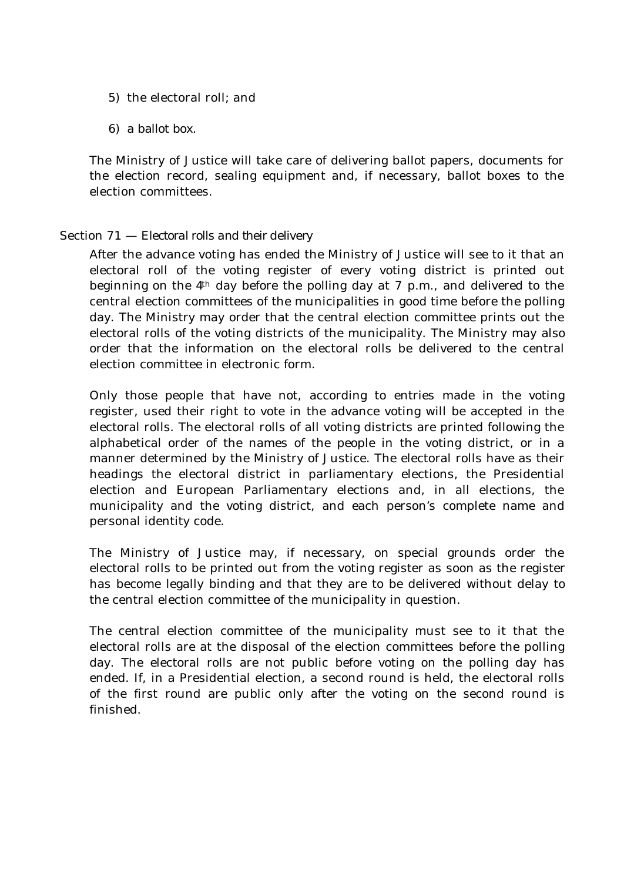- 5) the electoral roll; and
- 6) a ballot box.

The Ministry of Justice will take care of delivering ballot papers, documents for the election record, sealing equipment and, if necessary, ballot boxes to the election committees.

# Section 71 — *Electoral rolls and their delivery*

After the advance voting has ended the Ministry of Justice will see to it that an electoral roll of the voting register of every voting district is printed out beginning on the  $4<sup>th</sup>$  day before the polling day at 7 p.m., and delivered to the central election committees of the municipalities in good time before the polling day. The Ministry may order that the central election committee prints out the electoral rolls of the voting districts of the municipality. The Ministry may also order that the information on the electoral rolls be delivered to the central election committee in electronic form.

Only those people that have not, according to entries made in the voting register, used their right to vote in the advance voting will be accepted in the electoral rolls. The electoral rolls of all voting districts are printed following the alphabetical order of the names of the people in the voting district, or in a manner determined by the Ministry of Justice. The electoral rolls have as their headings the electoral district in parliamentary elections, the Presidential election and European Parliamentary elections and, in all elections, the municipality and the voting district, and each person's complete name and personal identity code.

The Ministry of Justice may, if necessary, on special grounds order the electoral rolls to be printed out from the voting register as soon as the register has become legally binding and that they are to be delivered without delay to the central election committee of the municipality in question.

The central election committee of the municipality must see to it that the electoral rolls are at the disposal of the election committees before the polling day. The electoral rolls are not public before voting on the polling day has ended. If, in a Presidential election, a second round is held, the electoral rolls of the first round are public only after the voting on the second round is finished.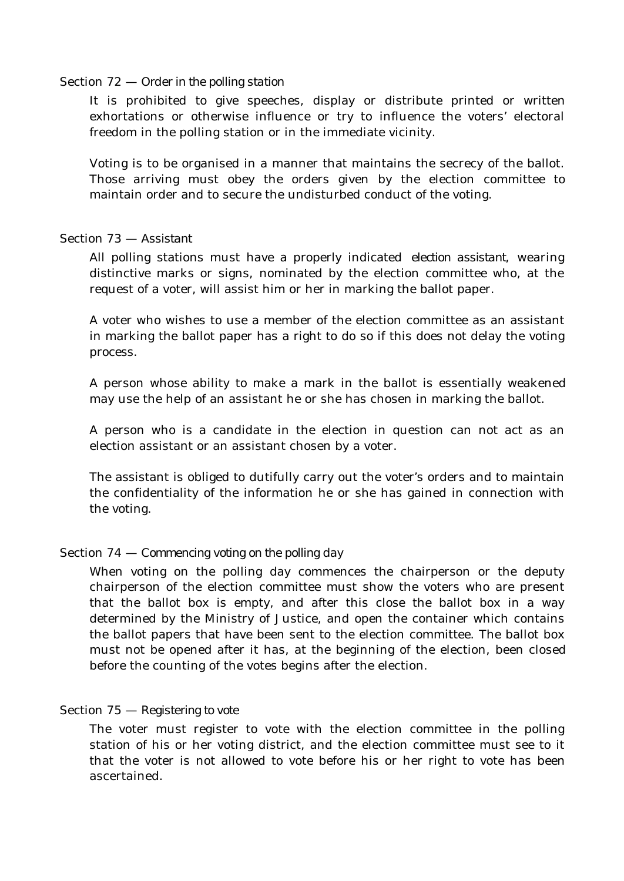#### Section 72 — *Order in the polling station*

It is prohibited to give speeches, display or distribute printed or written exhortations or otherwise influence or try to influence the voters' electoral freedom in the polling station or in the immediate vicinity.

Voting is to be organised in a manner that maintains the secrecy of the ballot. Those arriving must obey the orders given by the election committee to maintain order and to secure the undisturbed conduct of the voting.

### Section 73 — *Assistant*

All polling stations must have a properly indicated *election assistant,* wearing distinctive marks or signs, nominated by the election committee who, at the request of a voter, will assist him or her in marking the ballot paper.

A voter who wishes to use a member of the election committee as an assistant in marking the ballot paper has a right to do so if this does not delay the voting process.

A person whose ability to make a mark in the ballot is essentially weakened may use the help of an assistant he or she has chosen in marking the ballot.

A person who is a candidate in the election in question can not act as an election assistant or an assistant chosen by a voter.

The assistant is obliged to dutifully carry out the voter's orders and to maintain the confidentiality of the information he or she has gained in connection with the voting.

### Section 74 — *Commencing voting on the polling day*

When voting on the polling day commences the chairperson or the deputy chairperson of the election committee must show the voters who are present that the ballot box is empty, and after this close the ballot box in a way determined by the Ministry of Justice, and open the container which contains the ballot papers that have been sent to the election committee. The ballot box must not be opened after it has, at the beginning of the election, been closed before the counting of the votes begins after the election.

### Section 75 — *Registering to vote*

The voter must register to vote with the election committee in the polling station of his or her voting district, and the election committee must see to it that the voter is not allowed to vote before his or her right to vote has been ascertained.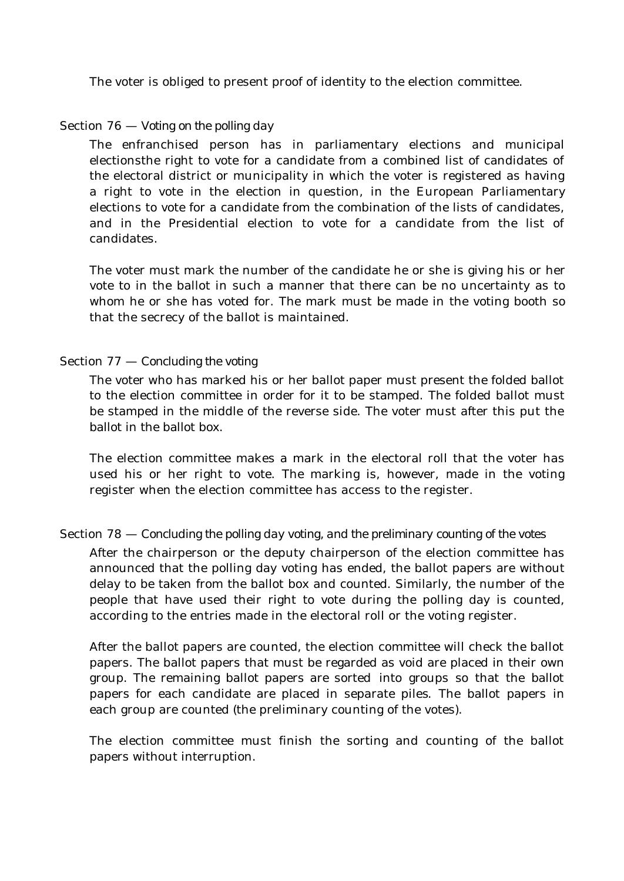The voter is obliged to present proof of identity to the election committee.

### Section 76 — *Voting on the polling day*

The enfranchised person has in parliamentary elections and municipal electionsthe right to vote for a candidate from a combined list of candidates of the electoral district or municipality in which the voter is registered as having a right to vote in the election in question, in the European Parliamentary elections to vote for a candidate from the combination of the lists of candidates, and in the Presidential election to vote for a candidate from the list of candidates.

The voter must mark the number of the candidate he or she is giving his or her vote to in the ballot in such a manner that there can be no uncertainty as to whom he or she has voted for. The mark must be made in the voting booth so that the secrecy of the ballot is maintained.

### Section 77 — *Concluding the voting*

The voter who has marked his or her ballot paper must present the folded ballot to the election committee in order for it to be stamped. The folded ballot must be stamped in the middle of the reverse side. The voter must after this put the ballot in the ballot box.

The election committee makes a mark in the electoral roll that the voter has used his or her right to vote. The marking is, however, made in the voting register when the election committee has access to the register.

### Section 78 — *Concluding the polling day voting, and the preliminary counting of the votes*

After the chairperson or the deputy chairperson of the election committee has announced that the polling day voting has ended, the ballot papers are without delay to be taken from the ballot box and counted. Similarly, the number of the people that have used their right to vote during the polling day is counted, according to the entries made in the electoral roll or the voting register.

After the ballot papers are counted, the election committee will check the ballot papers. The ballot papers that must be regarded as void are placed in their own group. The remaining ballot papers are sorted into groups so that the ballot papers for each candidate are placed in separate piles. The ballot papers in each group are counted (the preliminary counting of the votes).

The election committee must finish the sorting and counting of the ballot papers without interruption.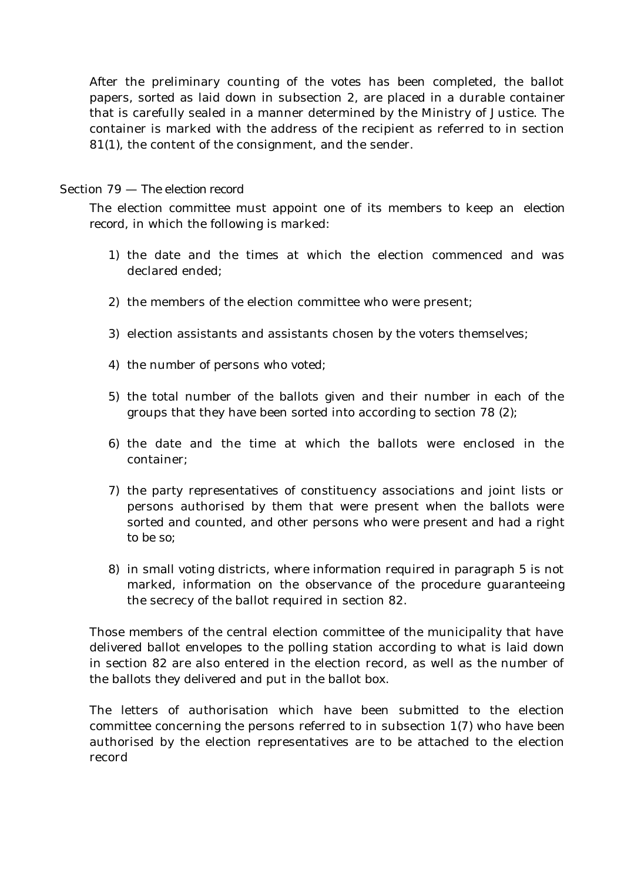After the preliminary counting of the votes has been completed, the ballot papers, sorted as laid down in subsection 2, are placed in a durable container that is carefully sealed in a manner determined by the Ministry of Justice. The container is marked with the address of the recipient as referred to in section 81(1), the content of the consignment, and the sender.

### Section 79 — *The election record*

The election committee must appoint one of its members to keep an *election record*, in which the following is marked:

- 1) the date and the times at which the election commenced and was declared ended;
- 2) the members of the election committee who were present;
- 3) election assistants and assistants chosen by the voters themselves;
- 4) the number of persons who voted;
- 5) the total number of the ballots given and their number in each of the groups that they have been sorted into according to section 78 (2);
- 6) the date and the time at which the ballots were enclosed in the container;
- 7) the party representatives of constituency associations and joint lists or persons authorised by them that were present when the ballots were sorted and counted, and other persons who were present and had a right to be so;
- 8) in small voting districts, where information required in paragraph 5 is not marked, information on the observance of the procedure guaranteeing the secrecy of the ballot required in section 82.

Those members of the central election committee of the municipality that have delivered ballot envelopes to the polling station according to what is laid down in section 82 are also entered in the election record, as well as the number of the ballots they delivered and put in the ballot box.

The letters of authorisation which have been submitted to the election committee concerning the persons referred to in subsection 1(7) who have been authorised by the election representatives are to be attached to the election record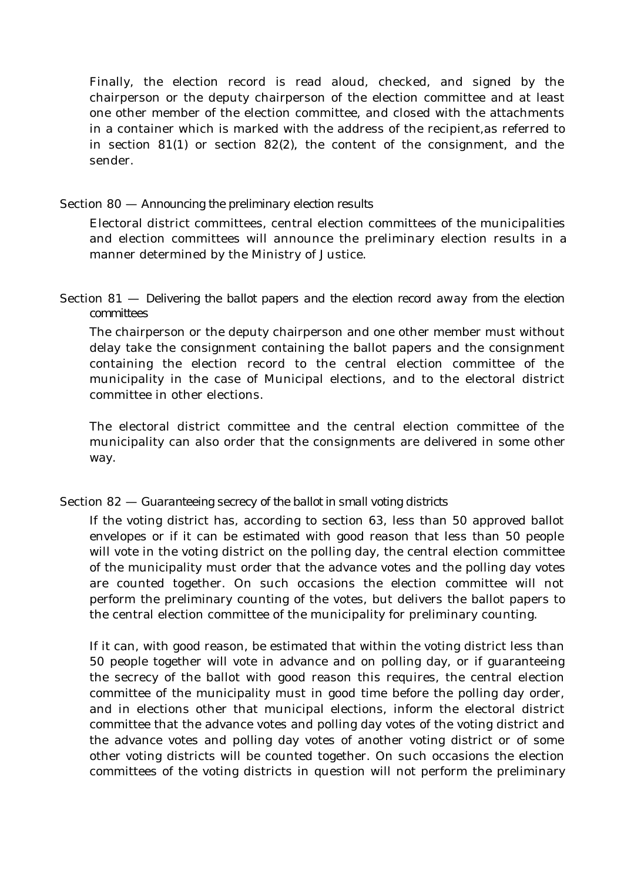Finally, the election record is read aloud, checked, and signed by the chairperson or the deputy chairperson of the election committee and at least one other member of the election committee, and closed with the attachments in a container which is marked with the address of the recipient,as referred to in section  $81(1)$  or section  $82(2)$ , the content of the consignment, and the sender.

### Section 80 — *Announcing the preliminary election results*

Electoral district committees, central election committees of the municipalities and election committees will announce the preliminary election results in a manner determined by the Ministry of Justice.

# Section 81 — *Delivering the ballot papers and the election record away from the election committees*

The chairperson or the deputy chairperson and one other member must without delay take the consignment containing the ballot papers and the consignment containing the election record to the central election committee of the municipality in the case of Municipal elections, and to the electoral district committee in other elections.

The electoral district committee and the central election committee of the municipality can also order that the consignments are delivered in some other way.

# Section 82 — *Guaranteeing secrecy of the ballot in small voting districts*

If the voting district has, according to section 63, less than 50 approved ballot envelopes or if it can be estimated with good reason that less than 50 people will vote in the voting district on the polling day, the central election committee of the municipality must order that the advance votes and the polling day votes are counted together. On such occasions the election committee will not perform the preliminary counting of the votes, but delivers the ballot papers to the central election committee of the municipality for preliminary counting.

If it can, with good reason, be estimated that within the voting district less than 50 people together will vote in advance and on polling day, or if guaranteeing the secrecy of the ballot with good reason this requires, the central election committee of the municipality must in good time before the polling day order, and in elections other that municipal elections, inform the electoral district committee that the advance votes and polling day votes of the voting district and the advance votes and polling day votes of another voting district or of some other voting districts will be counted together. On such occasions the election committees of the voting districts in question will not perform the preliminary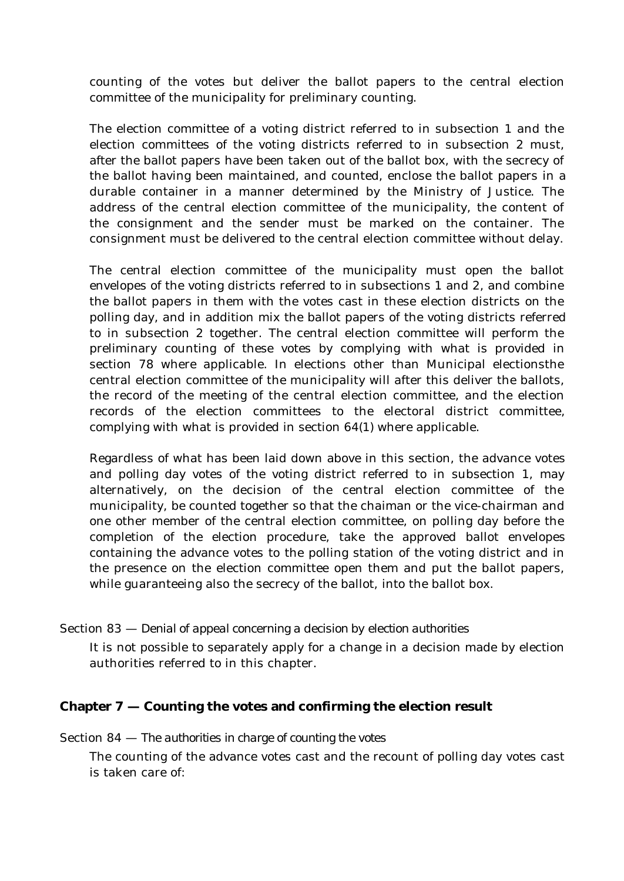counting of the votes but deliver the ballot papers to the central election committee of the municipality for preliminary counting.

The election committee of a voting district referred to in subsection 1 and the election committees of the voting districts referred to in subsection 2 must, after the ballot papers have been taken out of the ballot box, with the secrecy of the ballot having been maintained, and counted, enclose the ballot papers in a durable container in a manner determined by the Ministry of Justice. The address of the central election committee of the municipality, the content of the consignment and the sender must be marked on the container. The consignment must be delivered to the central election committee without delay.

The central election committee of the municipality must open the ballot envelopes of the voting districts referred to in subsections 1 and 2, and combine the ballot papers in them with the votes cast in these election districts on the polling day, and in addition mix the ballot papers of the voting districts referred to in subsection 2 together. The central election committee will perform the preliminary counting of these votes by complying with what is provided in section 78 where applicable. In elections other than Municipal electionsthe central election committee of the municipality will after this deliver the ballots, the record of the meeting of the central election committee, and the election records of the election committees to the electoral district committee, complying with what is provided in section 64(1) where applicable.

Regardless of what has been laid down above in this section, the advance votes and polling day votes of the voting district referred to in subsection 1, may alternatively, on the decision of the central election committee of the municipality, be counted together so that the chaiman or the vice-chairman and one other member of the central election committee, on polling day before the completion of the election procedure, take the approved ballot envelopes containing the advance votes to the polling station of the voting district and in the presence on the election committee open them and put the ballot papers, while guaranteeing also the secrecy of the ballot, into the ballot box.

# Section 83 — *Denial of appeal concerning a decision by election authorities*

It is not possible to separately apply for a change in a decision made by election authorities referred to in this chapter.

# **Chapter 7 — Counting the votes and confirming the election result**

# Section 84 — *The authorities in charge of counting the votes*

The counting of the advance votes cast and the recount of polling day votes cast is taken care of: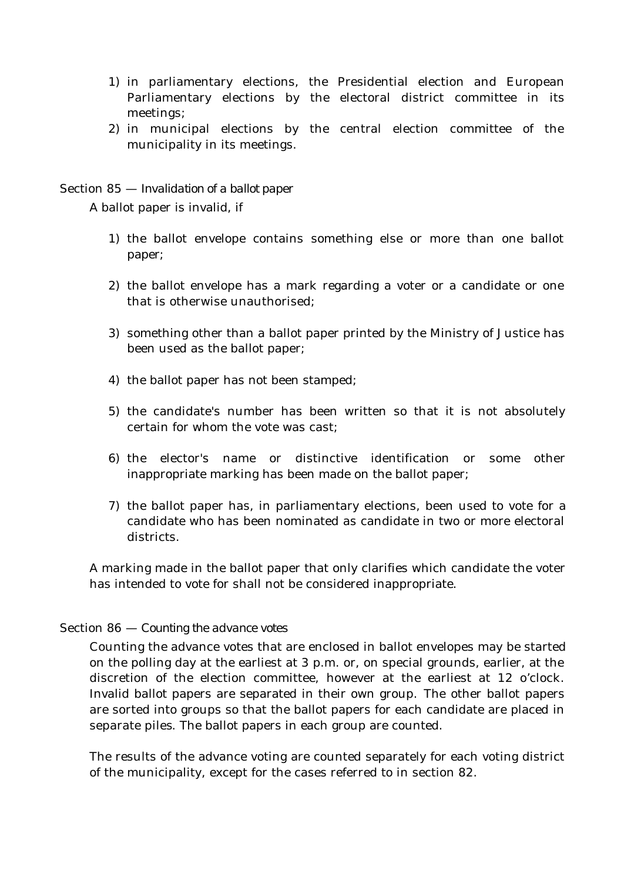- 1) in parliamentary elections, the Presidential election and European Parliamentary elections by the electoral district committee in its meetings;
- 2) in municipal elections by the central election committee of the municipality in its meetings.

Section 85 — *Invalidation of a ballot paper*

A ballot paper is invalid, if

- 1) the ballot envelope contains something else or more than one ballot paper;
- 2) the ballot envelope has a mark regarding a voter or a candidate or one that is otherwise unauthorised;
- 3) something other than a ballot paper printed by the Ministry of Justice has been used as the ballot paper;
- 4) the ballot paper has not been stamped;
- 5) the candidate's number has been written so that it is not absolutely certain for whom the vote was cast;
- 6) the elector's name or distinctive identification or some other inappropriate marking has been made on the ballot paper;
- 7) the ballot paper has, in parliamentary elections, been used to vote for a candidate who has been nominated as candidate in two or more electoral districts.

A marking made in the ballot paper that only clarifies which candidate the voter has intended to vote for shall not be considered inappropriate.

# Section 86 — *Counting the advance votes*

Counting the advance votes that are enclosed in ballot envelopes may be started on the polling day at the earliest at 3 p.m. or, on special grounds, earlier, at the discretion of the election committee, however at the earliest at 12 o'clock. Invalid ballot papers are separated in their own group. The other ballot papers are sorted into groups so that the ballot papers for each candidate are placed in separate piles. The ballot papers in each group are counted.

The results of the advance voting are counted separately for each voting district of the municipality, except for the cases referred to in section 82.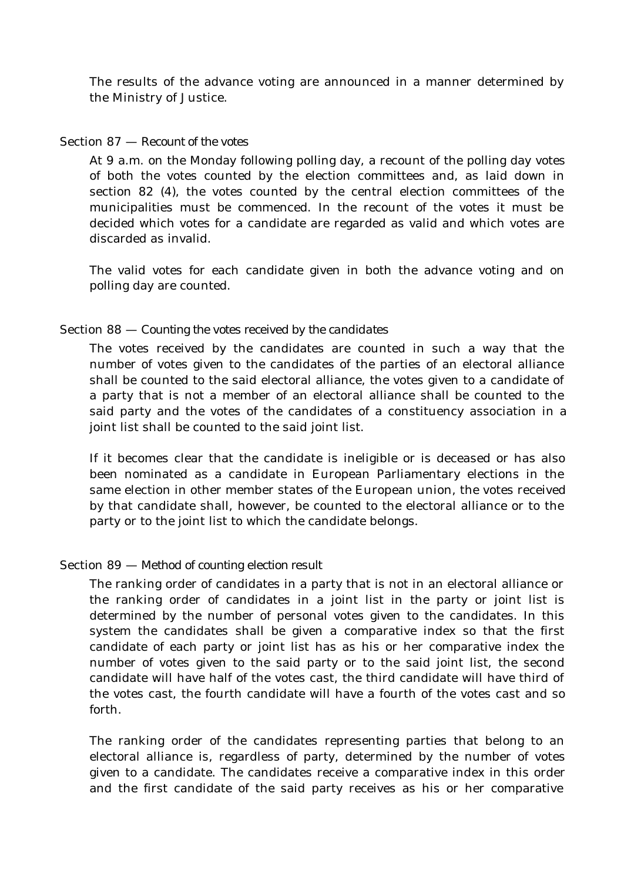The results of the advance voting are announced in a manner determined by the Ministry of Justice.

### Section 87 — *Recount of the votes*

At 9 a.m. on the Monday following polling day, a recount of the polling day votes of both the votes counted by the election committees and, as laid down in section 82 (4), the votes counted by the central election committees of the municipalities must be commenced. In the recount of the votes it must be decided which votes for a candidate are regarded as valid and which votes are discarded as invalid.

The valid votes for each candidate given in both the advance voting and on polling day are counted.

### Section 88 — *Counting the votes received by the candidates*

The votes received by the candidates are counted in such a way that the number of votes given to the candidates of the parties of an electoral alliance shall be counted to the said electoral alliance, the votes given to a candidate of a party that is not a member of an electoral alliance shall be counted to the said party and the votes of the candidates of a constituency association in a joint list shall be counted to the said joint list.

If it becomes clear that the candidate is ineligible or is deceased or has also been nominated as a candidate in European Parliamentary elections in the same election in other member states of the European union, the votes received by that candidate shall, however, be counted to the electoral alliance or to the party or to the joint list to which the candidate belongs.

# Section 89 — *Method of counting election result*

The ranking order of candidates in a party that is not in an electoral alliance or the ranking order of candidates in a joint list in the party or joint list is determined by the number of personal votes given to the candidates. In this system the candidates shall be given a comparative index so that the first candidate of each party or joint list has as his or her comparative index the number of votes given to the said party or to the said joint list, the second candidate will have half of the votes cast, the third candidate will have third of the votes cast, the fourth candidate will have a fourth of the votes cast and so forth.

The ranking order of the candidates representing parties that belong to an electoral alliance is, regardless of party, determined by the number of votes given to a candidate. The candidates receive a comparative index in this order and the first candidate of the said party receives as his or her comparative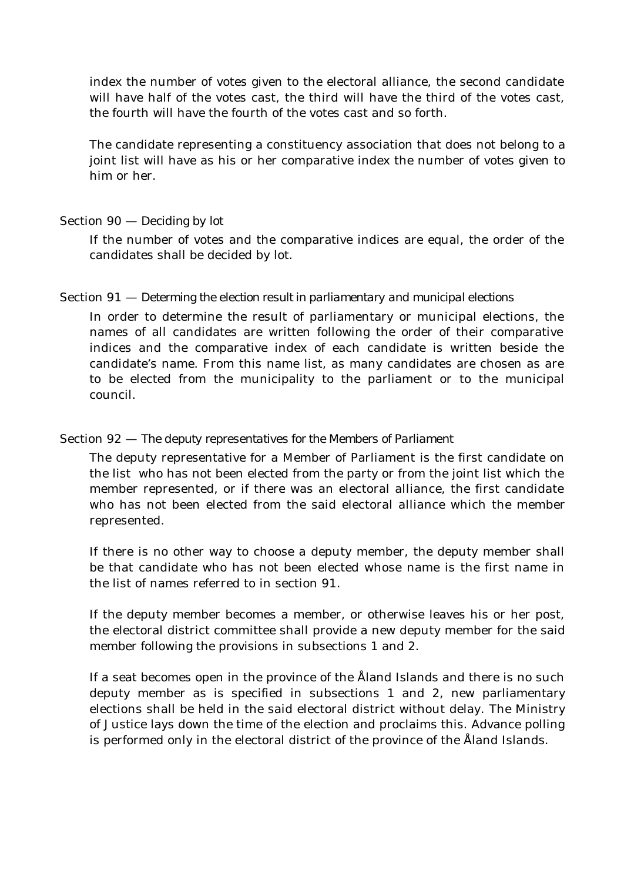index the number of votes given to the electoral alliance, the second candidate will have half of the votes cast, the third will have the third of the votes cast, the fourth will have the fourth of the votes cast and so forth.

The candidate representing a constituency association that does not belong to a joint list will have as his or her comparative index the number of votes given to him or her.

### Section 90 — *Deciding by lot*

If the number of votes and the comparative indices are equal, the order of the candidates shall be decided by lot.

# Section 91 — *Determing the election result in parliamentary and municipal elections*

In order to determine the result of parliamentary or municipal elections, the names of all candidates are written following the order of their comparative indices and the comparative index of each candidate is written beside the candidate's name. From this name list, as many candidates are chosen as are to be elected from the municipality to the parliament or to the municipal council.

### Section 92 — *The deputy representatives for the Members of Parliament*

The deputy representative for a Member of Parliament is the first candidate on the list who has not been elected from the party or from the joint list which the member represented, or if there was an electoral alliance, the first candidate who has not been elected from the said electoral alliance which the member represented.

If there is no other way to choose a deputy member, the deputy member shall be that candidate who has not been elected whose name is the first name in the list of names referred to in section 91.

If the deputy member becomes a member, or otherwise leaves his or her post, the electoral district committee shall provide a new deputy member for the said member following the provisions in subsections 1 and 2.

If a seat becomes open in the province of the Åland Islands and there is no such deputy member as is specified in subsections 1 and 2, new parliamentary elections shall be held in the said electoral district without delay. The Ministry of Justice lays down the time of the election and proclaims this. Advance polling is performed only in the electoral district of the province of the Åland Islands.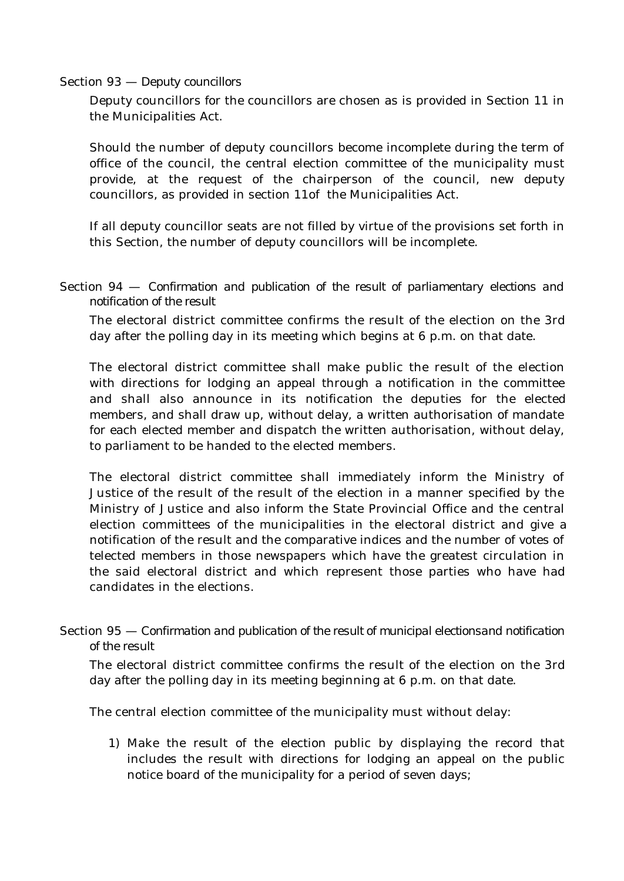### Section 93 — *Deputy councillors*

Deputy councillors for the councillors are chosen as is provided in Section 11 in the Municipalities Act.

Should the number of deputy councillors become incomplete during the term of office of the council, the central election committee of the municipality must provide, at the request of the chairperson of the council, new deputy councillors, as provided in section 11of the Municipalities Act.

If all deputy councillor seats are not filled by virtue of the provisions set forth in this Section, the number of deputy councillors will be incomplete.

Section 94 — *Confirmation and publication of the result of parliamentary elections and notification of the result*

The electoral district committee confirms the result of the election on the 3rd day after the polling day in its meeting which begins at 6 p.m. on that date.

The electoral district committee shall make public the result of the election with directions for lodging an appeal through a notification in the committee and shall also announce in its notification the deputies for the elected members, and shall draw up, without delay, a written authorisation of mandate for each elected member and dispatch the written authorisation, without delay, to parliament to be handed to the elected members.

The electoral district committee shall immediately inform the Ministry of Justice of the result of the result of the election in a manner specified by the Ministry of Justice and also inform the State Provincial Office and the central election committees of the municipalities in the electoral district and give a notification of the result and the comparative indices and the number of votes of telected members in those newspapers which have the greatest circulation in the said electoral district and which represent those parties who have had candidates in the elections.

Section 95 — *Confirmation and publication of the result of municipal electionsand notification of the result*

The electoral district committee confirms the result of the election on the 3rd day after the polling day in its meeting beginning at 6 p.m. on that date.

The central election committee of the municipality must without delay:

1) Make the result of the election public by displaying the record that includes the result with directions for lodging an appeal on the public notice board of the municipality for a period of seven days;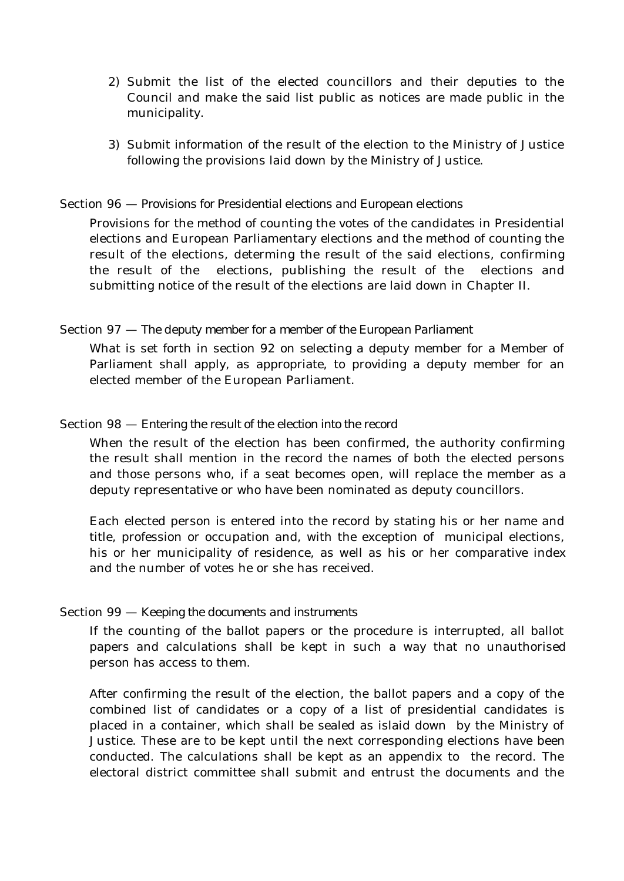- 2) Submit the list of the elected councillors and their deputies to the Council and make the said list public as notices are made public in the municipality.
- 3) Submit information of the result of the election to the Ministry of Justice following the provisions laid down by the Ministry of Justice.

### Section 96 — *Provisions for Presidential elections and European elections*

Provisions for the method of counting the votes of the candidates in Presidential elections and European Parliamentary elections and the method of counting the result of the elections, determing the result of the said elections, confirming the result of the elections, publishing the result of the elections and submitting notice of the result of the elections are laid down in Chapter II.

### Section 97 — *The deputy member for a member of the European Parliament*

What is set forth in section 92 on selecting a deputy member for a Member of Parliament shall apply, as appropriate, to providing a deputy member for an elected member of the European Parliament.

### Section 98 — *Entering the result of the election into the record*

When the result of the election has been confirmed, the authority confirming the result shall mention in the record the names of both the elected persons and those persons who, if a seat becomes open, will replace the member as a deputy representative or who have been nominated as deputy councillors.

Each elected person is entered into the record by stating his or her name and title, profession or occupation and, with the exception of municipal elections, his or her municipality of residence, as well as his or her comparative index and the number of votes he or she has received.

### Section 99 — *Keeping the documents and instruments*

If the counting of the ballot papers or the procedure is interrupted, all ballot papers and calculations shall be kept in such a way that no unauthorised person has access to them.

After confirming the result of the election, the ballot papers and a copy of the combined list of candidates or a copy of a list of presidential candidates is placed in a container, which shall be sealed as islaid down by the Ministry of Justice. These are to be kept until the next corresponding elections have been conducted. The calculations shall be kept as an appendix to the record. The electoral district committee shall submit and entrust the documents and the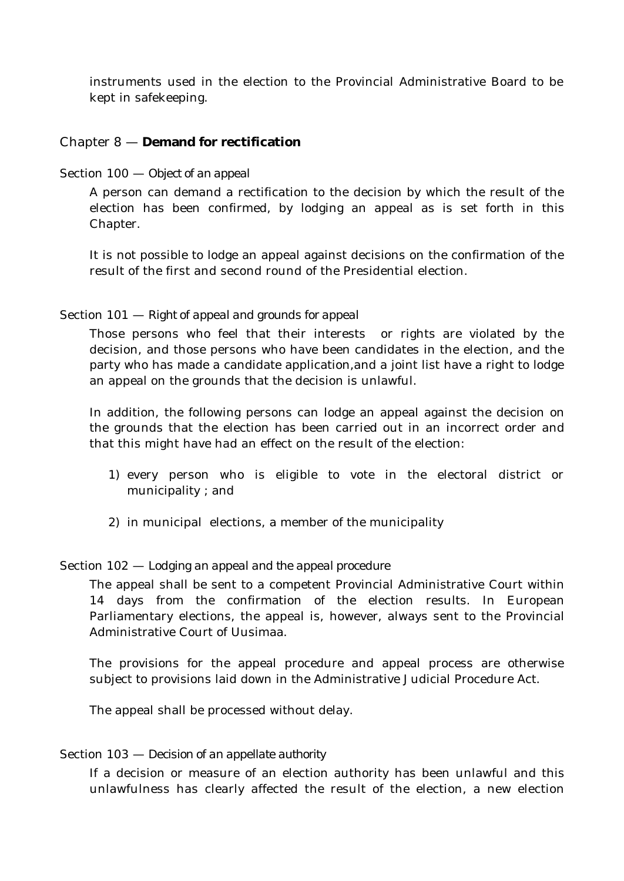instruments used in the election to the Provincial Administrative Board to be kept in safekeeping.

# Chapter 8 — **Demand for rectification**

Section 100 — *Object of an appeal*

A person can demand a rectification to the decision by which the result of the election has been confirmed, by lodging an appeal as is set forth in this Chapter.

It is not possible to lodge an appeal against decisions on the confirmation of the result of the first and second round of the Presidential election.

# Section 101 — *Right of appeal and grounds for appeal*

Those persons who feel that their interests or rights are violated by the decision, and those persons who have been candidates in the election, and the party who has made a candidate application,and a joint list have a right to lodge an appeal on the grounds that the decision is unlawful.

In addition, the following persons can lodge an appeal against the decision on the grounds that the election has been carried out in an incorrect order and that this might have had an effect on the result of the election:

- 1) every person who is eligible to vote in the electoral district or municipality ; and
- 2) in municipal elections, a member of the municipality

# Section 102 — *Lodging an appeal and the appeal procedure*

The appeal shall be sent to a competent Provincial Administrative Court within 14 days from the confirmation of the election results. In European Parliamentary elections, the appeal is, however, always sent to the Provincial Administrative Court of Uusimaa.

The provisions for the appeal procedure and appeal process are otherwise subject to provisions laid down in the Administrative Judicial Procedure Act.

The appeal shall be processed without delay.

### Section 103 — *Decision of an appellate authority*

If a decision or measure of an election authority has been unlawful and this unlawfulness has clearly affected the result of the election, a new election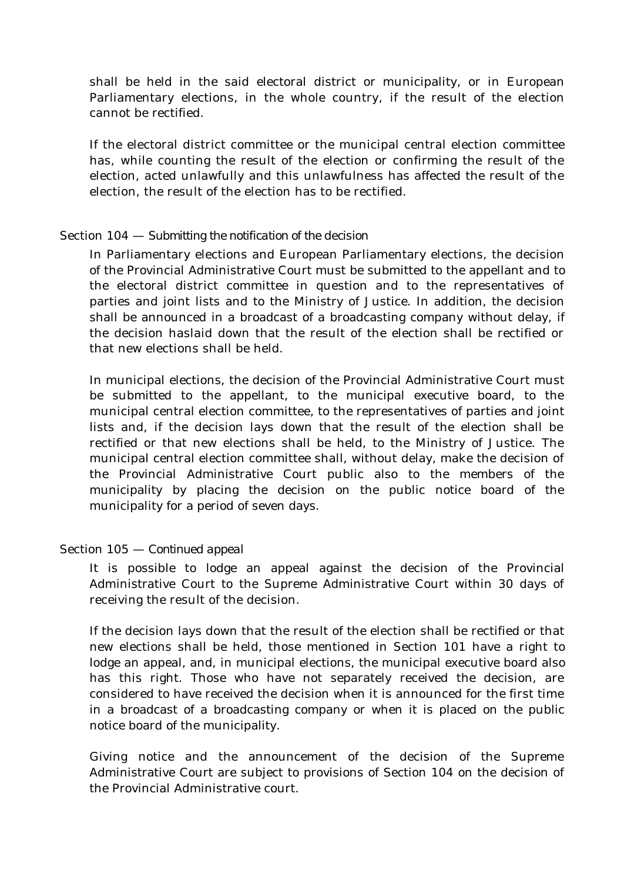shall be held in the said electoral district or municipality, or in European Parliamentary elections, in the whole country, if the result of the election cannot be rectified.

If the electoral district committee or the municipal central election committee has, while counting the result of the election or confirming the result of the election, acted unlawfully and this unlawfulness has affected the result of the election, the result of the election has to be rectified.

### Section 104 — *Submitting the notification of the decision*

In Parliamentary elections and European Parliamentary elections, the decision of the Provincial Administrative Court must be submitted to the appellant and to the electoral district committee in question and to the representatives of parties and joint lists and to the Ministry of Justice. In addition, the decision shall be announced in a broadcast of a broadcasting company without delay, if the decision haslaid down that the result of the election shall be rectified or that new elections shall be held.

In municipal elections, the decision of the Provincial Administrative Court must be submitted to the appellant, to the municipal executive board, to the municipal central election committee, to the representatives of parties and joint lists and, if the decision lays down that the result of the election shall be rectified or that new elections shall be held, to the Ministry of Justice. The municipal central election committee shall, without delay, make the decision of the Provincial Administrative Court public also to the members of the municipality by placing the decision on the public notice board of the municipality for a period of seven days.

# Section 105 — *Continued appeal*

It is possible to lodge an appeal against the decision of the Provincial Administrative Court to the Supreme Administrative Court within 30 days of receiving the result of the decision.

If the decision lays down that the result of the election shall be rectified or that new elections shall be held, those mentioned in Section 101 have a right to lodge an appeal, and, in municipal elections, the municipal executive board also has this right. Those who have not separately received the decision, are considered to have received the decision when it is announced for the first time in a broadcast of a broadcasting company or when it is placed on the public notice board of the municipality.

Giving notice and the announcement of the decision of the Supreme Administrative Court are subject to provisions of Section 104 on the decision of the Provincial Administrative court.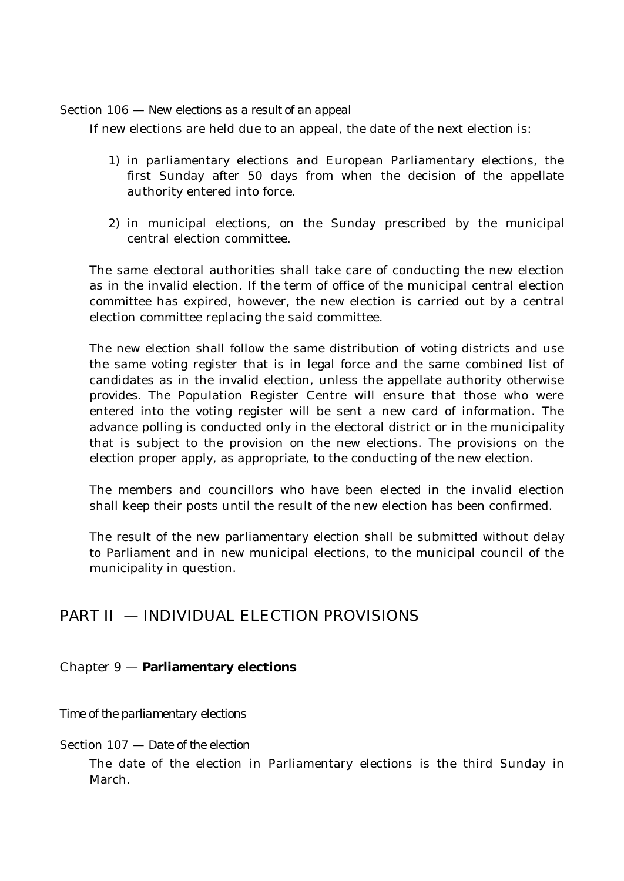Section 106 — *New elections as a result of an appeal*

If new elections are held due to an appeal, the date of the next election is:

- 1) in parliamentary elections and European Parliamentary elections, the first Sunday after 50 days from when the decision of the appellate authority entered into force.
- 2) in municipal elections, on the Sunday prescribed by the municipal central election committee.

The same electoral authorities shall take care of conducting the new election as in the invalid election. If the term of office of the municipal central election committee has expired, however, the new election is carried out by a central election committee replacing the said committee.

The new election shall follow the same distribution of voting districts and use the same voting register that is in legal force and the same combined list of candidates as in the invalid election, unless the appellate authority otherwise provides. The Population Register Centre will ensure that those who were entered into the voting register will be sent a new card of information. The advance polling is conducted only in the electoral district or in the municipality that is subject to the provision on the new elections. The provisions on the election proper apply, as appropriate, to the conducting of the new election.

The members and councillors who have been elected in the invalid election shall keep their posts until the result of the new election has been confirmed.

The result of the new parliamentary election shall be submitted without delay to Parliament and in new municipal elections, to the municipal council of the municipality in question.

# PART II — INDIVIDUAL ELECTION PROVISIONS

# Chapter 9 — **Parliamentary elections**

*Time of the parliamentary elections*

# Section 107 — *Date of the election*

The date of the election in Parliamentary elections is the third Sunday in March.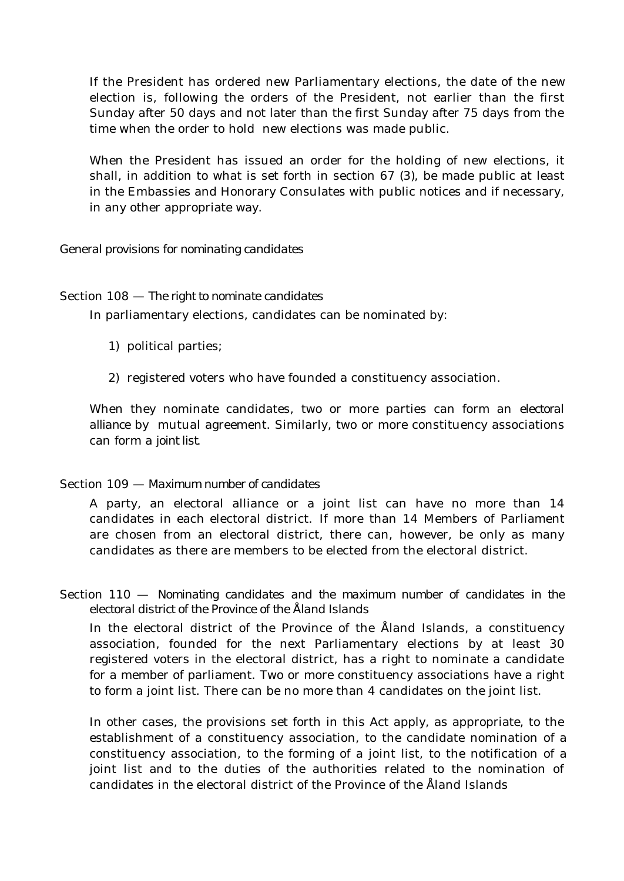If the President has ordered new Parliamentary elections, the date of the new election is, following the orders of the President, not earlier than the first Sunday after 50 days and not later than the first Sunday after 75 days from the time when the order to hold new elections was made public.

When the President has issued an order for the holding of new elections, it shall, in addition to what is set forth in section 67 (3), be made public at least in the Embassies and Honorary Consulates with public notices and if necessary, in any other appropriate way.

### *General provisions for nominating candidates*

### Section 108 — *The right to nominate candidates*

In parliamentary elections, candidates can be nominated by:

- 1) political parties;
- 2) registered voters who have founded a constituency association.

When they nominate candidates, two or more parties can form an *electoral alliance* by mutual agreement. Similarly, two or more constituency associations can form a *joint list*.

# Section 109 — *Maximum number of candidates*

A party, an electoral alliance or a joint list can have no more than 14 candidates in each electoral district. If more than 14 Members of Parliament are chosen from an electoral district, there can, however, be only as many candidates as there are members to be elected from the electoral district.

Section 110 — *Nominating candidates and the maximum number of candidates in the electoral district of the Province of the Åland Islands*

In the electoral district of the Province of the Åland Islands, a constituency association, founded for the next Parliamentary elections by at least 30 registered voters in the electoral district, has a right to nominate a candidate for a member of parliament. Two or more constituency associations have a right to form a joint list. There can be no more than 4 candidates on the joint list.

In other cases, the provisions set forth in this Act apply, as appropriate, to the establishment of a constituency association, to the candidate nomination of a constituency association, to the forming of a joint list, to the notification of a joint list and to the duties of the authorities related to the nomination of candidates in the electoral district of the Province of the Åland Islands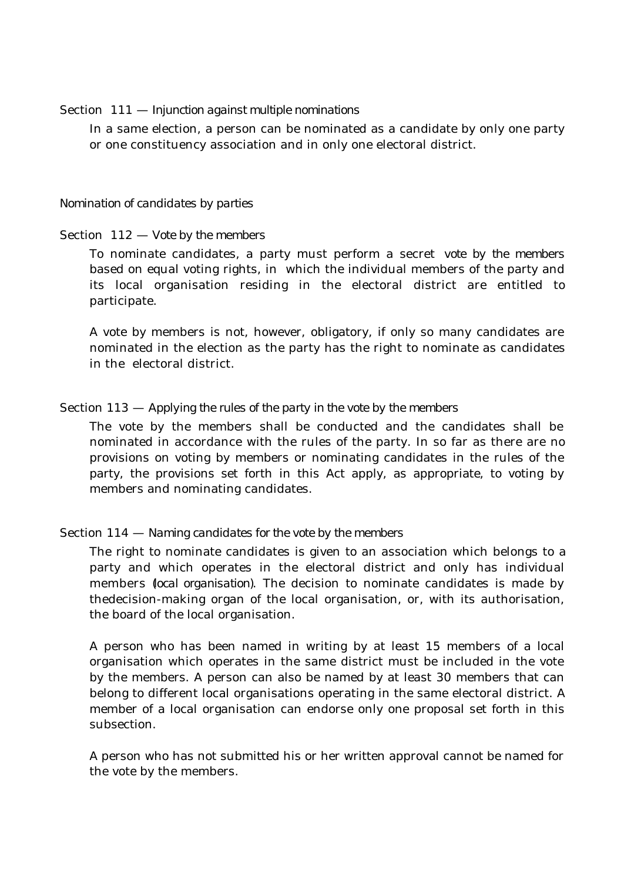### Section 111 — *Injunction against multiple nominations*

In a same election, a person can be nominated as a candidate by only one party or one constituency association and in only one electoral district.

#### *Nomination of candidates by parties*

### Section 112 — *Vote by the members*

To nominate candidates, a party must perform a secret *vote by the members* based on equal voting rights, in which the individual members of the party and its local organisation residing in the electoral district are entitled to participate.

A vote by members is not, however, obligatory, if only so many candidates are nominated in the election as the party has the right to nominate as candidates in the electoral district.

### Section 113 — *Applying the rules of the party in the vote by the members*

The vote by the members shall be conducted and the candidates shall be nominated in accordance with the rules of the party. In so far as there are no provisions on voting by members or nominating candidates in the rules of the party, the provisions set forth in this Act apply, as appropriate, to voting by members and nominating candidates.

### Section 114 — *Naming candidates for the vote by the members*

The right to nominate candidates is given to an association which belongs to a party and which operates in the electoral district and only has individual members (*local organisation)*. The decision to nominate candidates is made by thedecision-making organ of the local organisation, or, with its authorisation, the board of the local organisation.

A person who has been named in writing by at least 15 members of a local organisation which operates in the same district must be included in the vote by the members. A person can also be named by at least 30 members that can belong to different local organisations operating in the same electoral district. A member of a local organisation can endorse only one proposal set forth in this subsection.

A person who has not submitted his or her written approval cannot be named for the vote by the members.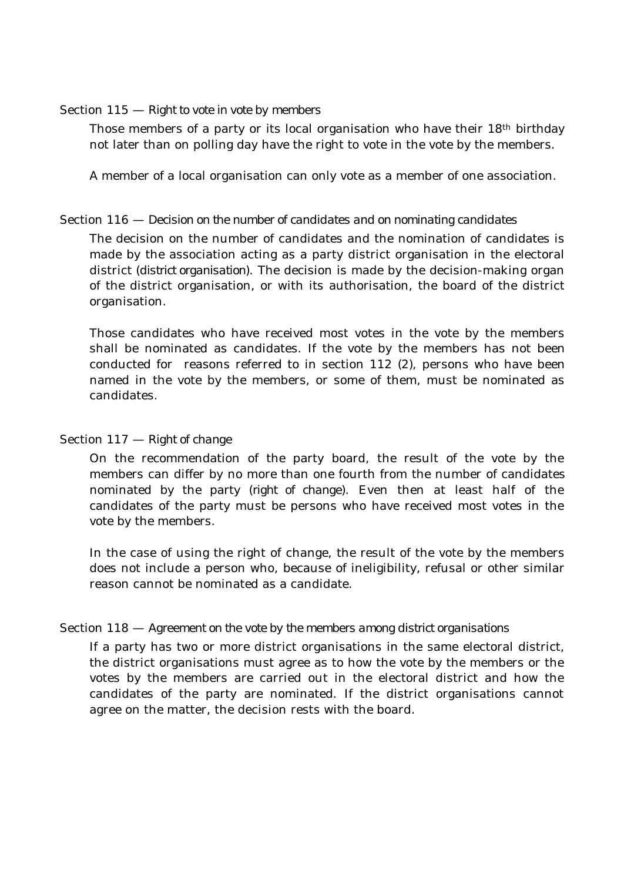### Section 115 — *Right to vote in vote by members*

Those members of a party or its local organisation who have their 18<sup>th</sup> birthday not later than on polling day have the right to vote in the vote by the members.

A member of a local organisation can only vote as a member of one association.

### Section 116 — *Decision on the number of candidates and on nominating candidates*

The decision on the number of candidates and the nomination of candidates is made by the association acting as a party district organisation in the electoral district (*district organisation*). The decision is made by the decision-making organ of the district organisation, or with its authorisation, the board of the district organisation.

Those candidates who have received most votes in the vote by the members shall be nominated as candidates. If the vote by the members has not been conducted for reasons referred to in section 112 (2), persons who have been named in the vote by the members, or some of them, must be nominated as candidates.

### Section 117 — *Right of change*

On the recommendation of the party board, the result of the vote by the members can differ by no more than one fourth from the number of candidates nominated by the party (*right of change*). Even then at least half of the candidates of the party must be persons who have received most votes in the vote by the members.

In the case of using the right of change, the result of the vote by the members does not include a person who, because of ineligibility, refusal or other similar reason cannot be nominated as a candidate.

### Section 118 — *Agreement on the vote by the members among district organisations*

If a party has two or more district organisations in the same electoral district, the district organisations must agree as to how the vote by the members or the votes by the members are carried out in the electoral district and how the candidates of the party are nominated. If the district organisations cannot agree on the matter, the decision rests with the board.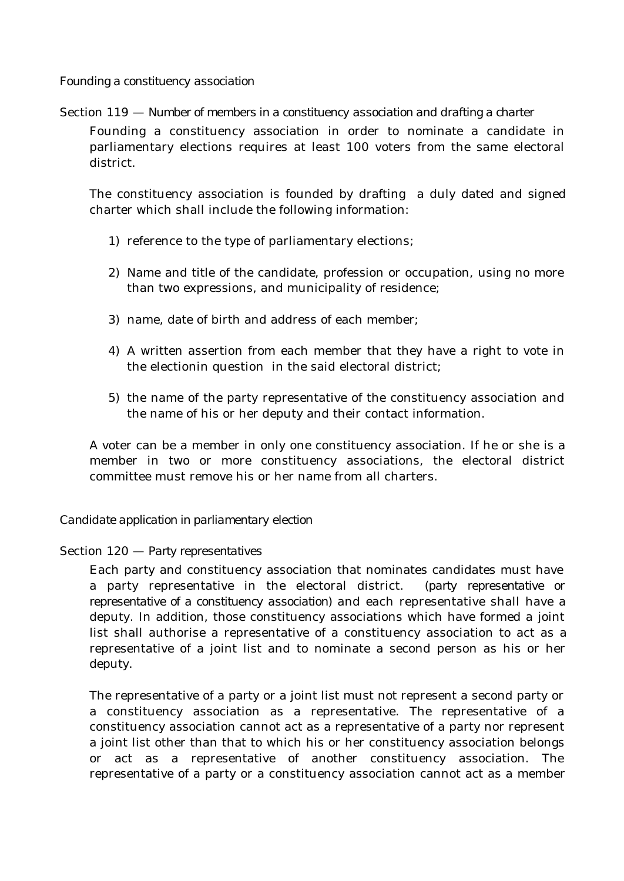*Founding a constituency association*

Section 119 — *Number of members in a constituency association and drafting a charter*

Founding a constituency association in order to nominate a candidate in parliamentary elections requires at least 100 voters from the same electoral district.

The constituency association is founded by drafting a duly dated and signed charter which shall include the following information:

- 1) reference to the type of parliamentary elections;
- 2) Name and title of the candidate, profession or occupation, using no more than two expressions, and municipality of residence;
- 3) name, date of birth and address of each member;
- 4) A written assertion from each member that they have a right to vote in the electionin question in the said electoral district;
- 5) the name of the party representative of the constituency association and the name of his or her deputy and their contact information.

A voter can be a member in only one constituency association. If he or she is a member in two or more constituency associations, the electoral district committee must remove his or her name from all charters.

# *Candidate application in parliamentary election*

# Section 120 — *Party representatives*

Each party and constituency association that nominates candidates must have a party representative in the electoral district. (*party representative or representative of a constituency association*) and each representative shall have a deputy. In addition, those constituency associations which have formed a joint list shall authorise a representative of a constituency association to act as a representative of a joint list and to nominate a second person as his or her deputy.

The representative of a party or a joint list must not represent a second party or a constituency association as a representative. The representative of a constituency association cannot act as a representative of a party nor represent a joint list other than that to which his or her constituency association belongs or act as a representative of another constituency association. The representative of a party or a constituency association cannot act as a member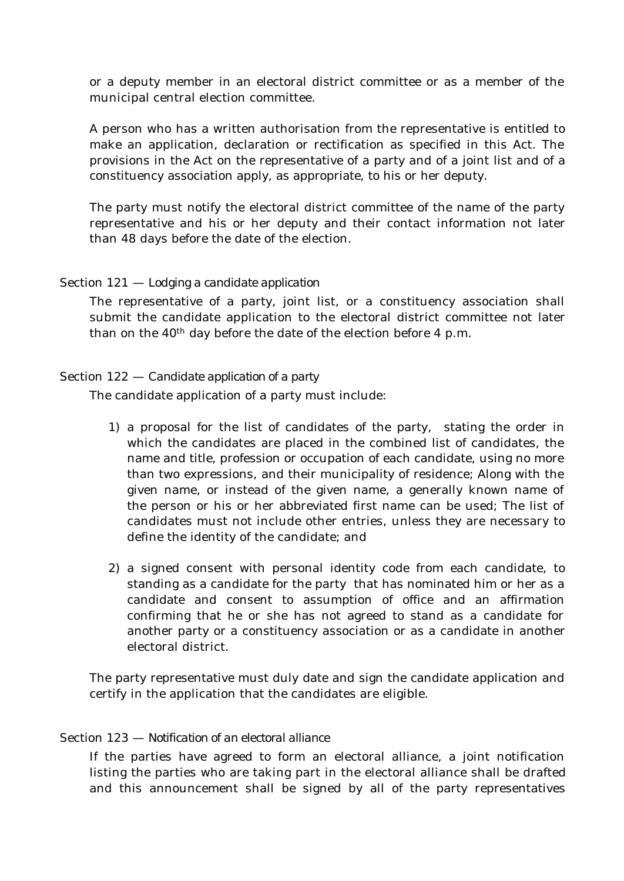or a deputy member in an electoral district committee or as a member of the municipal central election committee.

A person who has a written authorisation from the representative is entitled to make an application, declaration or rectification as specified in this Act. The provisions in the Act on the representative of a party and of a joint list and of a constituency association apply, as appropriate, to his or her deputy.

The party must notify the electoral district committee of the name of the party representative and his or her deputy and their contact information not later than 48 days before the date of the election.

### Section 121 — *Lodging a candidate application*

The representative of a party, joint list, or a constituency association shall submit the candidate application to the electoral district committee not later than on the  $40<sup>th</sup>$  day before the date of the election before 4 p.m.

### Section 122 — *Candidate application of a party*

The candidate application of a party must include:

- 1) a proposal for the list of candidates of the party, stating the order in which the candidates are placed in the combined list of candidates, the name and title, profession or occupation of each candidate, using no more than two expressions, and their municipality of residence; Along with the given name, or instead of the given name, a generally known name of the person or his or her abbreviated first name can be used; The list of candidates must not include other entries, unless they are necessary to define the identity of the candidate; and
- 2) a signed consent with personal identity code from each candidate, to standing as a candidate for the party that has nominated him or her as a candidate and consent to assumption of office and an affirmation confirming that he or she has not agreed to stand as a candidate for another party or a constituency association or as a candidate in another electoral district.

The party representative must duly date and sign the candidate application and certify in the application that the candidates are eligible.

### Section 123 — *Notification of an electoral alliance*

If the parties have agreed to form an electoral alliance, a joint notification listing the parties who are taking part in the electoral alliance shall be drafted and this announcement shall be signed by all of the party representatives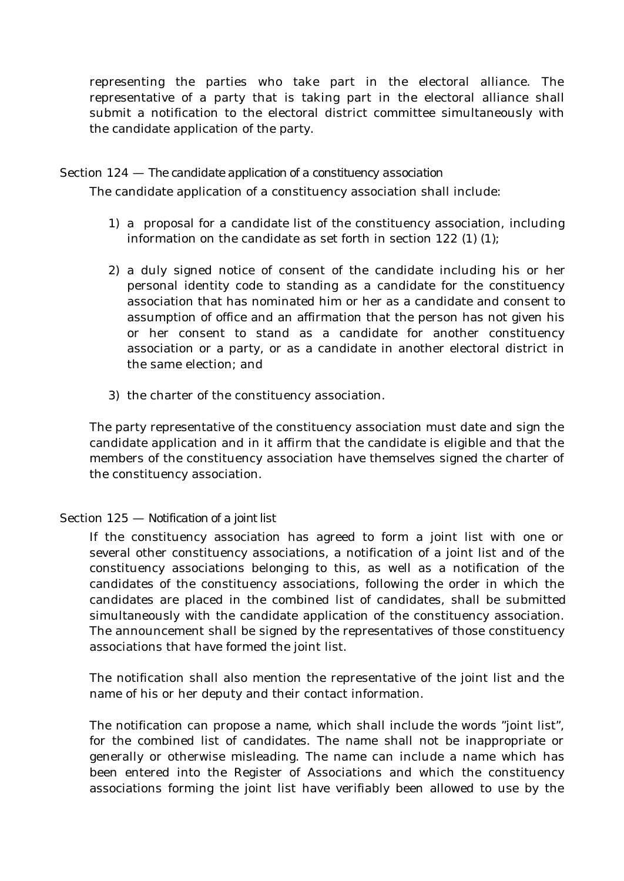representing the parties who take part in the electoral alliance. The representative of a party that is taking part in the electoral alliance shall submit a notification to the electoral district committee simultaneously with the candidate application of the party.

### Section 124 — *The candidate application of a constituency association*

The candidate application of a constituency association shall include:

- 1) a proposal for a candidate list of the constituency association, including information on the candidate as set forth in section 122 (1) (1);
- 2) a duly signed notice of consent of the candidate including his or her personal identity code to standing as a candidate for the constituency association that has nominated him or her as a candidate and consent to assumption of office and an affirmation that the person has not given his or her consent to stand as a candidate for another constituency association or a party, or as a candidate in another electoral district in the same election; and
- 3) the charter of the constituency association.

The party representative of the constituency association must date and sign the candidate application and in it affirm that the candidate is eligible and that the members of the constituency association have themselves signed the charter of the constituency association.

# Section 125 — *Notification of a joint list*

If the constituency association has agreed to form a joint list with one or several other constituency associations, a notification of a joint list and of the constituency associations belonging to this, as well as a notification of the candidates of the constituency associations, following the order in which the candidates are placed in the combined list of candidates, shall be submitted simultaneously with the candidate application of the constituency association. The announcement shall be signed by the representatives of those constituency associations that have formed the joint list.

The notification shall also mention the representative of the joint list and the name of his or her deputy and their contact information.

The notification can propose a name, which shall include the words "joint list", for the combined list of candidates. The name shall not be inappropriate or generally or otherwise misleading. The name can include a name which has been entered into the Register of Associations and which the constituency associations forming the joint list have verifiably been allowed to use by the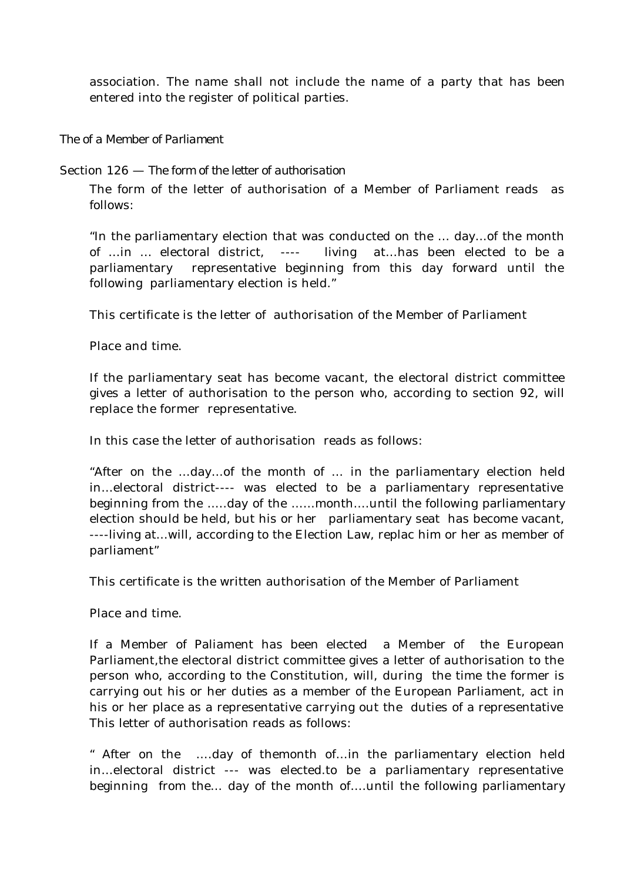association. The name shall not include the name of a party that has been entered into the register of political parties.

*The of a Member of Parliament*

Section 126 — *The form of the letter of authorisation*

The form of the letter of authorisation of a Member of Parliament reads as follows:

"In the parliamentary election that was conducted on the ... day...of the month of …in ... electoral district, ---- livingat…has been elected to be a parliamentary representative beginning from this day forward until the following parliamentary election is held."

This certificate is the letter of authorisation of the Member of Parliament

Place and time.

If the parliamentary seat has become vacant, the electoral district committee gives a letter of authorisation to the person who, according to section 92, will replace the former representative.

In this case the letter of authorisation reads as follows:

"After on the …day…of the month of … in the parliamentary election held in…electoral district---- was elected to be a parliamentary representative beginning from the …..day of the ……month….until the following parliamentary election should be held, but his or her parliamentary seat has become vacant, ----living at…will, according to the Election Law, replac him or her as member of parliament"

This certificate is the written authorisation of the Member of Parliament

Place and time.

If a Member of Paliament has been elected a Member of the European Parliament,the electoral district committee gives a letter of authorisation to the person who, according to the Constitution, will, during the time the former is carrying out his or her duties as a member of the European Parliament, act in his or her place as a representative carrying out the duties of a representative This letter of authorisation reads as follows:

" After on the ….day of themonth of…in the parliamentary election held in…electoral district --- was elected.to be a parliamentary representative beginning from the… day of the month of….until the following parliamentary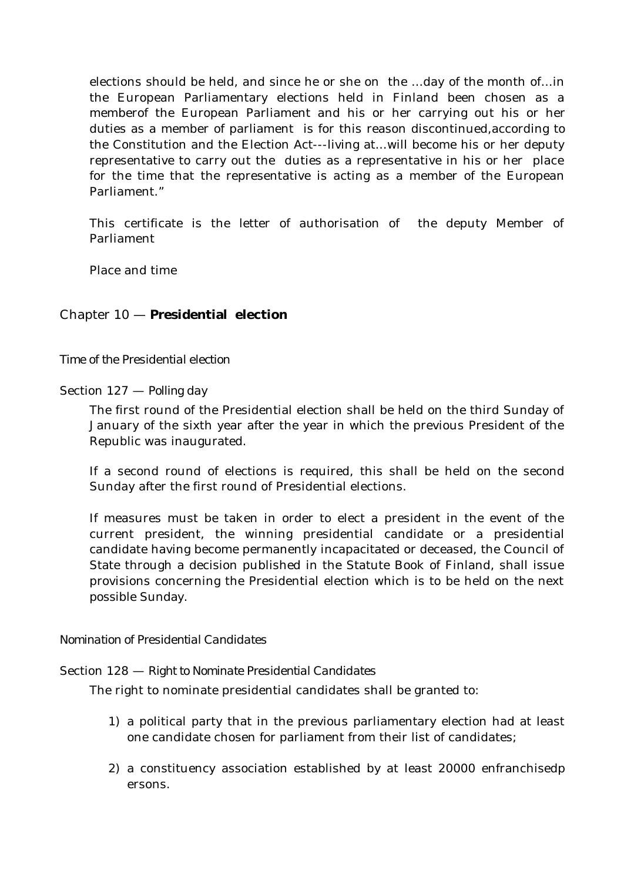elections should be held, and since he or she on the …day of the month of…in the European Parliamentary elections held in Finland been chosen as a memberof the European Parliament and his or her carrying out his or her duties as a member of parliament is for this reason discontinued,according to the Constitution and the Election Act---living at…will become his or her deputy representative to carry out the duties as a representative in his or her place for the time that the representative is acting as a member of the European Parliament<sup>"</sup>

This certificate is the letter of authorisation of the deputy Member of Parliament

Place and time

# Chapter 10 — **Presidential election**

*Time of the Presidential election*

Section 127 — *Polling day*

The first round of the Presidential election shall be held on the third Sunday of January of the sixth year after the year in which the previous President of the Republic was inaugurated.

If a second round of elections is required, this shall be held on the second Sunday after the first round of Presidential elections.

If measures must be taken in order to elect a president in the event of the current president, the winning presidential candidate or a presidential candidate having become permanently incapacitated or deceased, the Council of State through a decision published in the Statute Book of Finland, shall issue provisions concerning the Presidential election which is to be held on the next possible Sunday.

### *Nomination of Presidential Candidates*

### Section 128 — *Right to Nominate Presidential Candidates*

The right to nominate presidential candidates shall be granted to:

- 1) a political party that in the previous parliamentary election had at least one candidate chosen for parliament from their list of candidates;
- 2) a constituency association established by at least 20000 enfranchisedp ersons.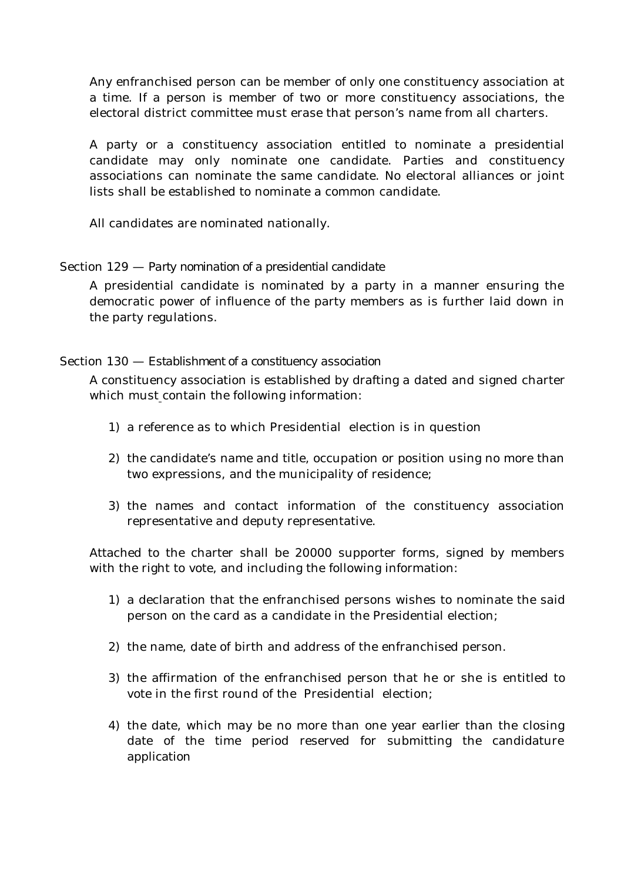Any enfranchised person can be member of only one constituency association at a time. If a person is member of two or more constituency associations, the electoral district committee must erase that person's name from all charters.

A party or a constituency association entitled to nominate a presidential candidate may only nominate one candidate. Parties and constituency associations can nominate the same candidate. No electoral alliances or joint lists shall be established to nominate a common candidate.

All candidates are nominated nationally.

# Section 129 — *Party nomination of a presidential candidate*

A presidential candidate is nominated by a party in a manner ensuring the democratic power of influence of the party members as is further laid down in the party regulations.

# Section 130 — *Establishment of a constituency association*

A constituency association is established by drafting a dated and signed charter which must contain the following information:

- 1) a reference as to which Presidential election is in question
- 2) the candidate's name and title, occupation or position using no more than two expressions, and the municipality of residence;
- 3) the names and contact information of the constituency association representative and deputy representative.

Attached to the charter shall be 20000 supporter forms, signed by members with the right to vote, and including the following information:

- 1) a declaration that the enfranchised persons wishes to nominate the said person on the card as a candidate in the Presidential election;
- 2) the name, date of birth and address of the enfranchised person.
- 3) the affirmation of the enfranchised person that he or she is entitled to vote in the first round of the Presidential election;
- 4) the date, which may be no more than one year earlier than the closing date of the time period reserved for submitting the candidature application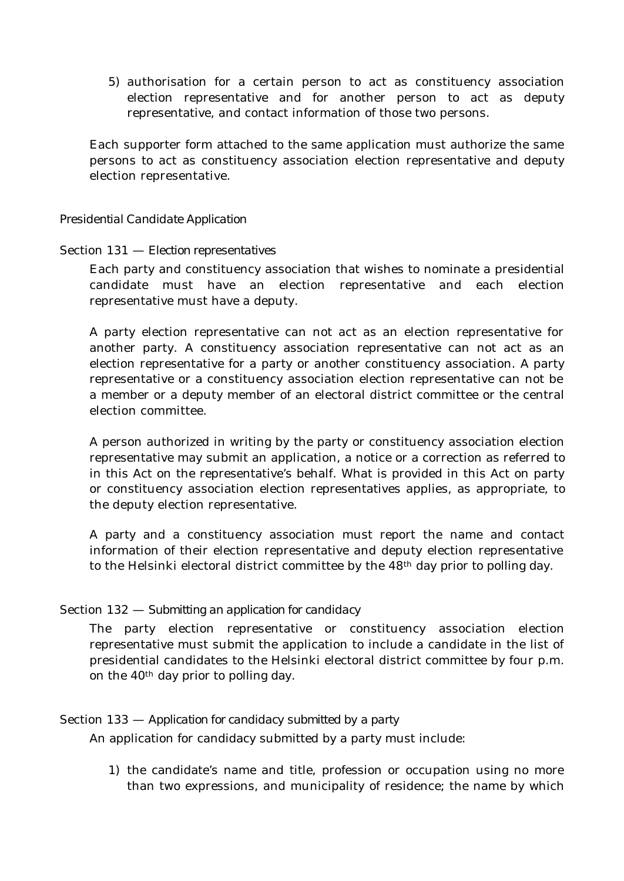5) authorisation for a certain person to act as constituency association election representative and for another person to act as deputy representative, and contact information of those two persons.

Each supporter form attached to the same application must authorize the same persons to act as constituency association election representative and deputy election representative.

### *Presidential Candidate Application*

### Section 131 — *Election representatives*

Each party and constituency association that wishes to nominate a presidential candidate must have an election representative and each election representative must have a deputy.

A party election representative can not act as an election representative for another party. A constituency association representative can not act as an election representative for a party or another constituency association. A party representative or a constituency association election representative can not be a member or a deputy member of an electoral district committee or the central election committee.

A person authorized in writing by the party or constituency association election representative may submit an application, a notice or a correction as referred to in this Act on the representative's behalf. What is provided in this Act on party or constituency association election representatives applies, as appropriate, to the deputy election representative.

A party and a constituency association must report the name and contact information of their election representative and deputy election representative to the Helsinki electoral district committee by the 48<sup>th</sup> day prior to polling day.

# Section 132 — *Submitting an application for candidacy*

The party election representative or constituency association election representative must submit the application to include a candidate in the list of presidential candidates to the Helsinki electoral district committee by four p.m. on the 40th day prior to polling day.

# Section 133 — *Application for candidacy submitted by a party*

An application for candidacy submitted by a party must include:

1) the candidate's name and title, profession or occupation using no more than two expressions, and municipality of residence; the name by which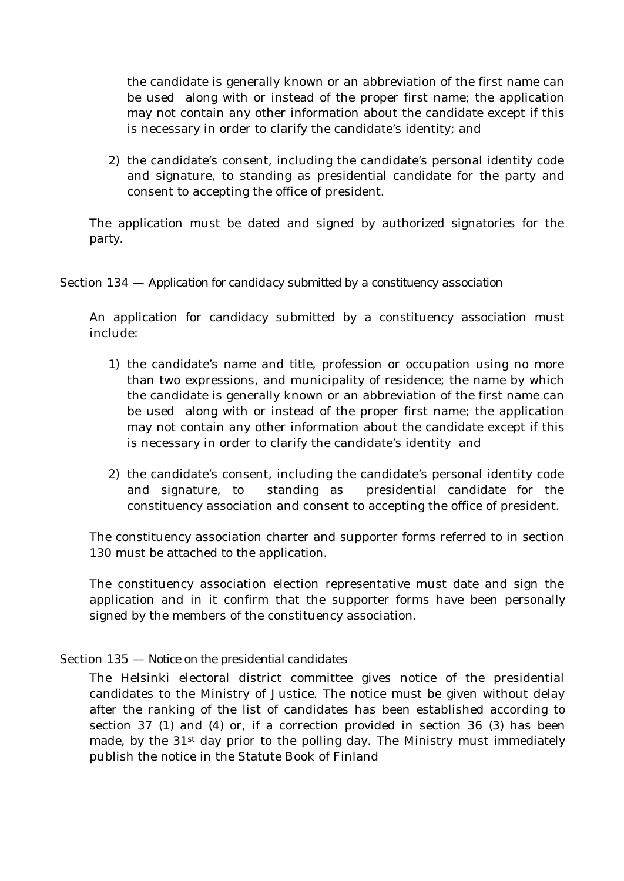the candidate is generally known or an abbreviation of the first name can be used along with or instead of the proper first name; the application may not contain any other information about the candidate except if this is necessary in order to clarify the candidate's identity; and

2) the candidate's consent, including the candidate's personal identity code and signature, to standing as presidential candidate for the party and consent to accepting the office of president.

The application must be dated and signed by authorized signatories for the party.

# Section 134 — *Application for candidacy submitted by a constituency association*

An application for candidacy submitted by a constituency association must include:

- 1) the candidate's name and title, profession or occupation using no more than two expressions, and municipality of residence; the name by which the candidate is generally known or an abbreviation of the first name can be used along with or instead of the proper first name; the application may not contain any other information about the candidate except if this is necessary in order to clarify the candidate's identity and
- 2) the candidate's consent, including the candidate's personal identity code and signature, to standing as presidential candidate for the constituency association and consent to accepting the office of president.

The constituency association charter and supporter forms referred to in section 130 must be attached to the application.

The constituency association election representative must date and sign the application and in it confirm that the supporter forms have been personally signed by the members of the constituency association.

# Section 135 — *Notice on the presidential candidates*

The Helsinki electoral district committee gives notice of the presidential candidates to the Ministry of Justice. The notice must be given without delay after the ranking of the list of candidates has been established according to section 37 (1) and (4) or, if a correction provided in section 36 (3) has been made, by the 31<sup>st</sup> day prior to the polling day. The Ministry must immediately publish the notice in the Statute Book of Finland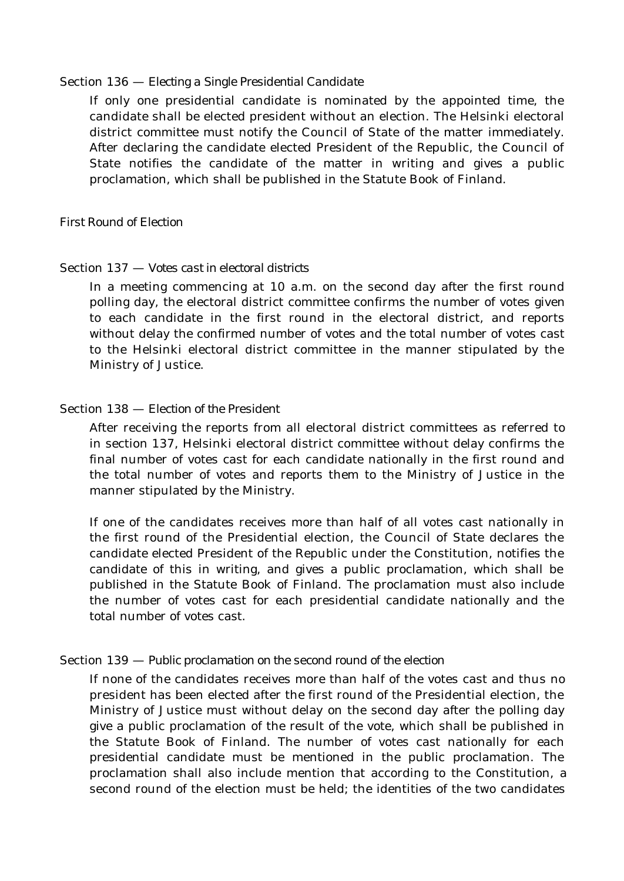#### Section 136 — *Electing a Single Presidential Candidate*

If only one presidential candidate is nominated by the appointed time, the candidate shall be elected president without an election. The Helsinki electoral district committee must notify the Council of State of the matter immediately. After declaring the candidate elected President of the Republic, the Council of State notifies the candidate of the matter in writing and gives a public proclamation, which shall be published in the Statute Book of Finland.

### *First Round of Election*

### Section 137 — *Votes cast in electoral districts*

In a meeting commencing at 10 a.m. on the second day after the first round polling day, the electoral district committee confirms the number of votes given to each candidate in the first round in the electoral district, and reports without delay the confirmed number of votes and the total number of votes cast to the Helsinki electoral district committee in the manner stipulated by the Ministry of Justice.

### Section 138 — *Election of the President*

After receiving the reports from all electoral district committees as referred to in section 137, Helsinki electoral district committee without delay confirms the final number of votes cast for each candidate nationally in the first round and the total number of votes and reports them to the Ministry of Justice in the manner stipulated by the Ministry.

If one of the candidates receives more than half of all votes cast nationally in the first round of the Presidential election, the Council of State declares the candidate elected President of the Republic under the Constitution, notifies the candidate of this in writing, and gives a public proclamation, which shall be published in the Statute Book of Finland. The proclamation must also include the number of votes cast for each presidential candidate nationally and the total number of votes cast.

### Section 139 — *Public proclamation on the second round of the election*

If none of the candidates receives more than half of the votes cast and thus no president has been elected after the first round of the Presidential election, the Ministry of Justice must without delay on the second day after the polling day give a public proclamation of the result of the vote, which shall be published in the Statute Book of Finland. The number of votes cast nationally for each presidential candidate must be mentioned in the public proclamation. The proclamation shall also include mention that according to the Constitution, a second round of the election must be held; the identities of the two candidates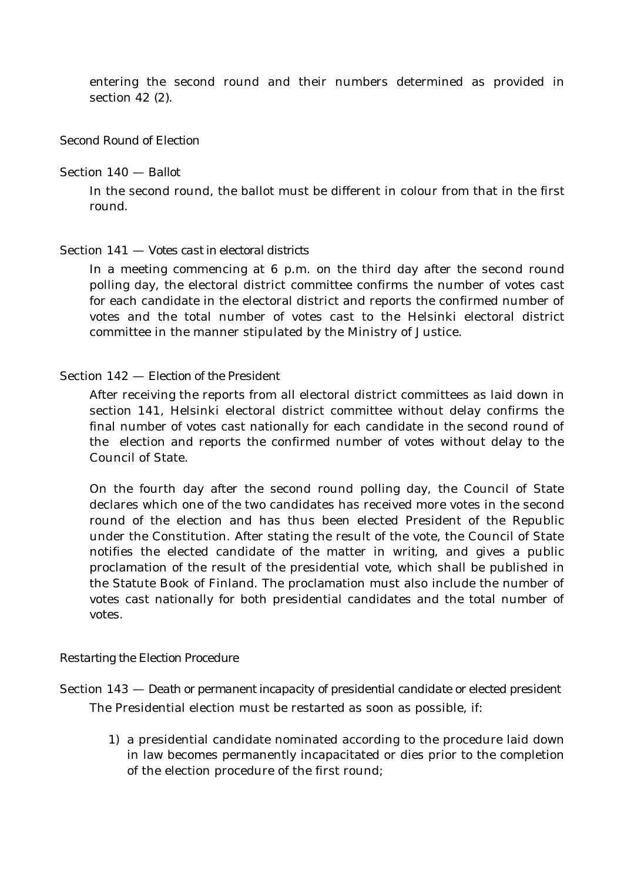entering the second round and their numbers determined as provided in section 42 (2).

### *Second Round of Election*

Section 140 — *Ballot*

In the second round, the ballot must be different in colour from that in the first round.

### Section 141 — *Votes cast in electoral districts*

In a meeting commencing at 6 p.m. on the third day after the second round polling day, the electoral district committee confirms the number of votes cast for each candidate in the electoral district and reports the confirmed number of votes and the total number of votes cast to the Helsinki electoral district committee in the manner stipulated by the Ministry of Justice.

### Section 142 — *Election of the President*

After receiving the reports from all electoral district committees as laid down in section 141, Helsinki electoral district committee without delay confirms the final number of votes cast nationally for each candidate in the second round of the election and reports the confirmed number of votes without delay to the Council of State.

On the fourth day after the second round polling day, the Council of State declares which one of the two candidates has received more votes in the second round of the election and has thus been elected President of the Republic under the Constitution. After stating the result of the vote, the Council of State notifies the elected candidate of the matter in writing, and gives a public proclamation of the result of the presidential vote, which shall be published in the Statute Book of Finland. The proclamation must also include the number of votes cast nationally for both presidential candidates and the total number of votes.

### *Restarting the Election Procedure*

Section 143 — *Death or permanent incapacity of presidential candidate or elected president* The Presidential election must be restarted as soon as possible, if:

1) a presidential candidate nominated according to the procedure laid down in law becomes permanently incapacitated or dies prior to the completion of the election procedure of the first round;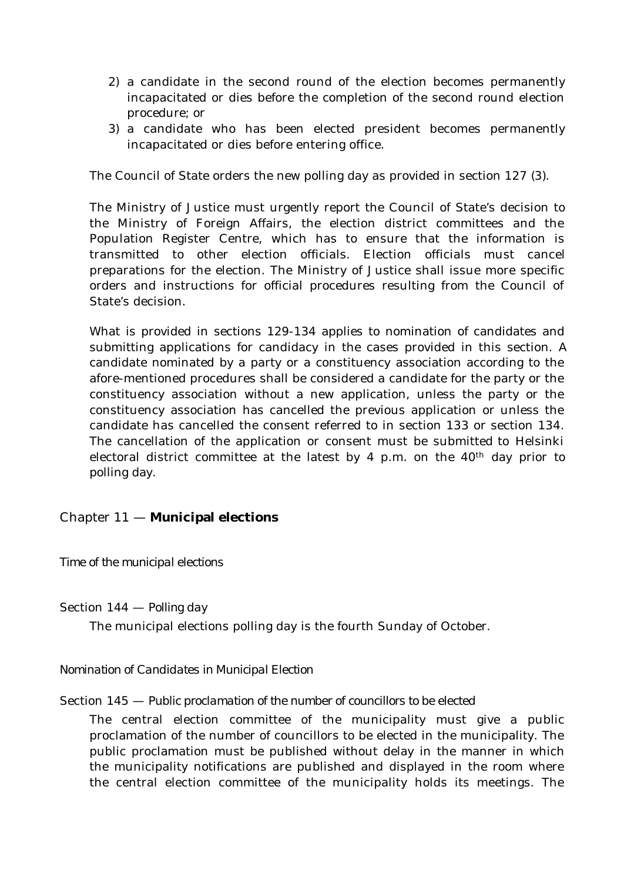- 2) a candidate in the second round of the election becomes permanently incapacitated or dies before the completion of the second round election procedure; or
- 3) a candidate who has been elected president becomes permanently incapacitated or dies before entering office.

The Council of State orders the new polling day as provided in section 127 (3).

The Ministry of Justice must urgently report the Council of State's decision to the Ministry of Foreign Affairs, the election district committees and the Population Register Centre, which has to ensure that the information is transmitted to other election officials. Election officials must cancel preparations for the election. The Ministry of Justice shall issue more specific orders and instructions for official procedures resulting from the Council of State's decision.

What is provided in sections 129-134 applies to nomination of candidates and submitting applications for candidacy in the cases provided in this section. A candidate nominated by a party or a constituency association according to the afore-mentioned procedures shall be considered a candidate for the party or the constituency association without a new application, unless the party or the constituency association has cancelled the previous application or unless the candidate has cancelled the consent referred to in section 133 or section 134. The cancellation of the application or consent must be submitted to Helsinki electoral district committee at the latest by 4 p.m. on the  $40<sup>th</sup>$  day prior to polling day.

# Chapter 11 — **Municipal elections**

# *Time of the municipal elections*

Section 144 — *Polling day*

The municipal elections polling day is the fourth Sunday of October.

# *Nomination of Candidates in Municipal Election*

# Section 145 — *Public proclamation of the number of councillors to be elected*

The central election committee of the municipality must give a public proclamation of the number of councillors to be elected in the municipality. The public proclamation must be published without delay in the manner in which the municipality notifications are published and displayed in the room where the central election committee of the municipality holds its meetings. The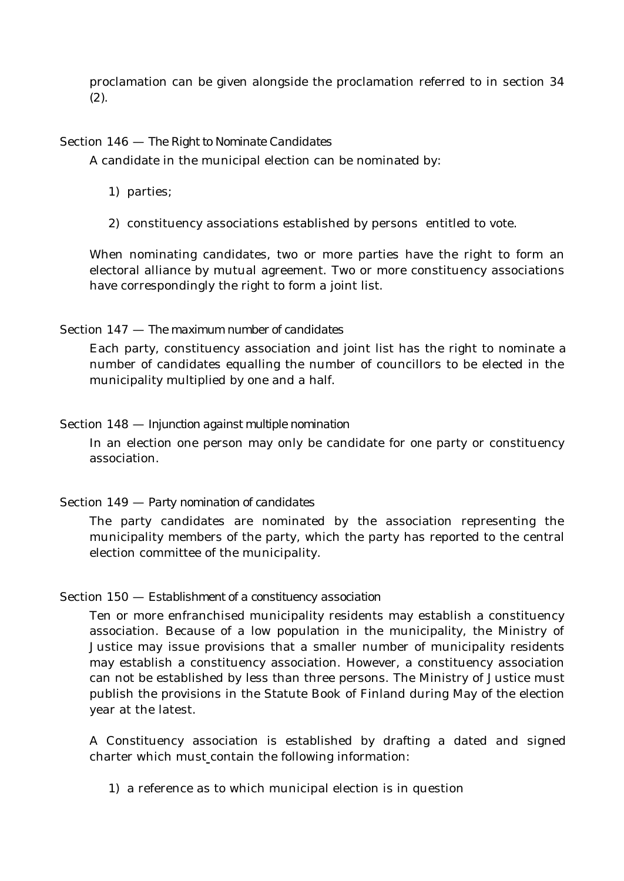proclamation can be given alongside the proclamation referred to in section 34 (2).

### Section 146 — *The Right to Nominate Candidates*

A candidate in the municipal election can be nominated by:

- 1) parties;
- 2) constituency associations established by persons entitled to vote.

When nominating candidates, two or more parties have the right to form an electoral alliance by mutual agreement. Two or more constituency associations have correspondingly the right to form a joint list.

### Section 147 — *The maximum number of candidates*

Each party, constituency association and joint list has the right to nominate a number of candidates equalling the number of councillors to be elected in the municipality multiplied by one and a half.

### Section 148 — *Injunction against multiple nomination*

In an election one person may only be candidate for one party or constituency association.

# Section 149 — *Party nomination of candidates*

The party candidates are nominated by the association representing the municipality members of the party, which the party has reported to the central election committee of the municipality.

### Section 150 — *Establishment of a constituency association*

Ten or more enfranchised municipality residents may establish a constituency association. Because of a low population in the municipality, the Ministry of Justice may issue provisions that a smaller number of municipality residents may establish a constituency association. However, a constituency association can not be established by less than three persons. The Ministry of Justice must publish the provisions in the Statute Book of Finland during May of the election year at the latest.

A Constituency association is established by drafting a dated and signed charter which must contain the following information:

1) a reference as to which municipal election is in question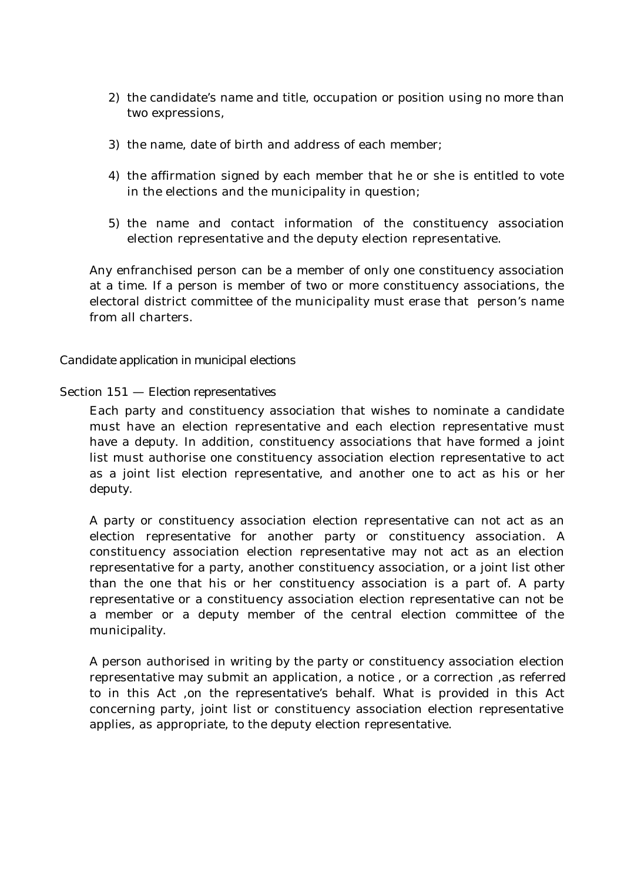- 2) the candidate's name and title, occupation or position using no more than two expressions,
- 3) the name, date of birth and address of each member;
- 4) the affirmation signed by each member that he or she is entitled to vote in the elections and the municipality in question;
- 5) the name and contact information of the constituency association election representative and the deputy election representative.

Any enfranchised person can be a member of only one constituency association at a time. If a person is member of two or more constituency associations, the electoral district committee of the municipality must erase that person's name from all charters.

### *Candidate application in municipal elections*

### Section 151 — *Election representatives*

Each party and constituency association that wishes to nominate a candidate must have an election representative and each election representative must have a deputy. In addition, constituency associations that have formed a joint list must authorise one constituency association election representative to act as a joint list election representative, and another one to act as his or her deputy.

A party or constituency association election representative can not act as an election representative for another party or constituency association. A constituency association election representative may not act as an election representative for a party, another constituency association, or a joint list other than the one that his or her constituency association is a part of. A party representative or a constituency association election representative can not be a member or a deputy member of the central election committee of the municipality.

A person authorised in writing by the party or constituency association election representative may submit an application, a notice , or a correction ,as referred to in this Act ,on the representative's behalf. What is provided in this Act concerning party, joint list or constituency association election representative applies, as appropriate, to the deputy election representative.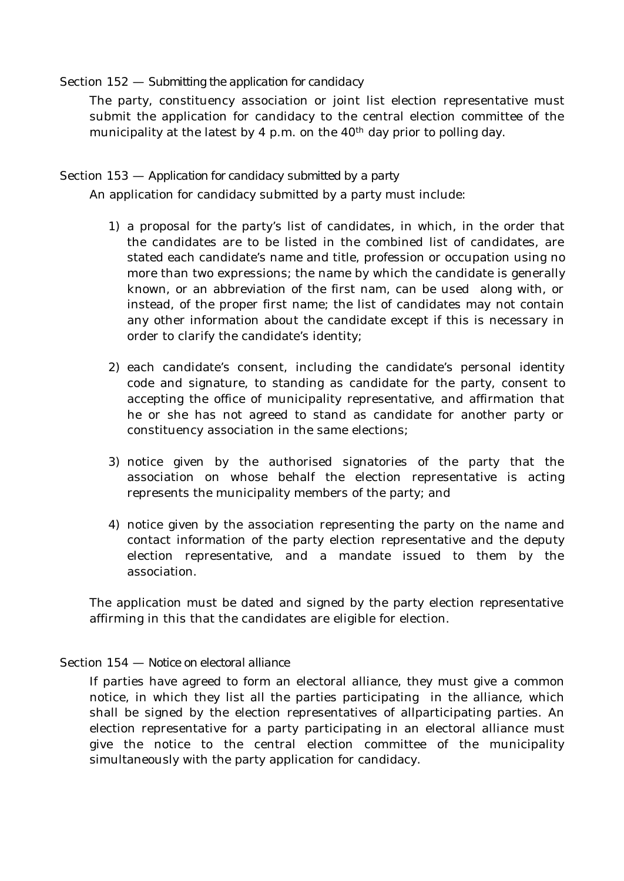### Section 152 — *Submitting the application for candidacy*

The party, constituency association or joint list election representative must submit the application for candidacy to the central election committee of the municipality at the latest by 4 p.m. on the  $40<sup>th</sup>$  day prior to polling day.

### Section 153 — *Application for candidacy submitted by a party*

An application for candidacy submitted by a party must include:

- 1) a proposal for the party's list of candidates, in which, in the order that the candidates are to be listed in the combined list of candidates, are stated each candidate's name and title, profession or occupation using no more than two expressions; the name by which the candidate is generally known, or an abbreviation of the first nam, can be used along with, or instead, of the proper first name; the list of candidates may not contain any other information about the candidate except if this is necessary in order to clarify the candidate's identity;
- 2) each candidate's consent, including the candidate's personal identity code and signature, to standing as candidate for the party, consent to accepting the office of municipality representative, and affirmation that he or she has not agreed to stand as candidate for another party or constituency association in the same elections;
- 3) notice given by the authorised signatories of the party that the association on whose behalf the election representative is acting represents the municipality members of the party; and
- 4) notice given by the association representing the party on the name and contact information of the party election representative and the deputy election representative, and a mandate issued to them by the association.

The application must be dated and signed by the party election representative affirming in this that the candidates are eligible for election.

# Section 154 — *Notice on electoral alliance*

If parties have agreed to form an electoral alliance, they must give a common notice, in which they list all the parties participating in the alliance, which shall be signed by the election representatives of allparticipating parties. An election representative for a party participating in an electoral alliance must give the notice to the central election committee of the municipality simultaneously with the party application for candidacy.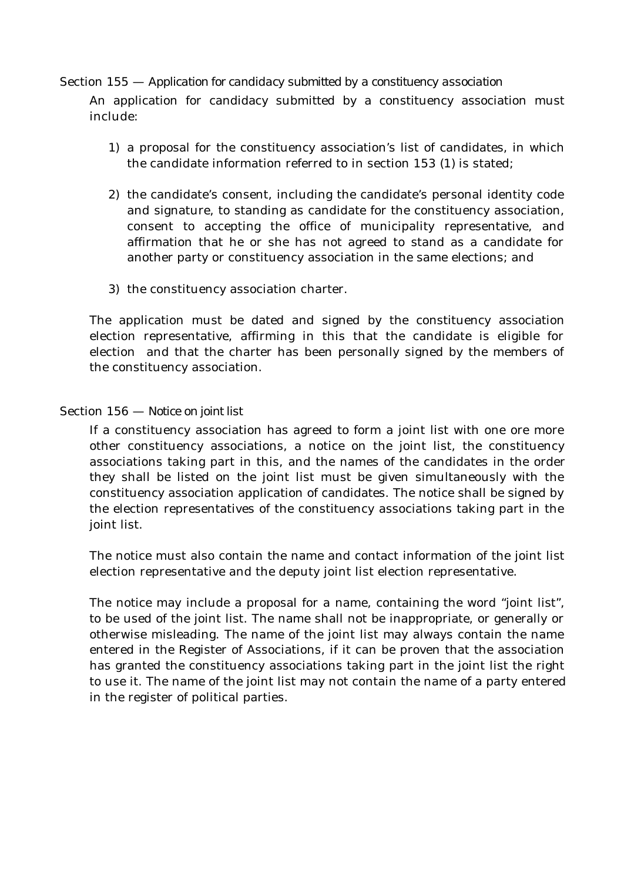### Section 155 — *Application for candidacy submitted by a constituency association*

An application for candidacy submitted by a constituency association must include:

- 1) a proposal for the constituency association's list of candidates, in which the candidate information referred to in section 153 (1) is stated;
- 2) the candidate's consent, including the candidate's personal identity code and signature, to standing as candidate for the constituency association, consent to accepting the office of municipality representative, and affirmation that he or she has not agreed to stand as a candidate for another party or constituency association in the same elections; and
- 3) the constituency association charter.

The application must be dated and signed by the constituency association election representative, affirming in this that the candidate is eligible for election and that the charter has been personally signed by the members of the constituency association.

### Section 156 — *Notice on joint list*

If a constituency association has agreed to form a joint list with one ore more other constituency associations, a notice on the joint list, the constituency associations taking part in this, and the names of the candidates in the order they shall be listed on the joint list must be given simultaneously with the constituency association application of candidates. The notice shall be signed by the election representatives of the constituency associations taking part in the joint list.

The notice must also contain the name and contact information of the joint list election representative and the deputy joint list election representative.

The notice may include a proposal for a name, containing the word "joint list", to be used of the joint list. The name shall not be inappropriate, or generally or otherwise misleading. The name of the joint list may always contain the name entered in the Register of Associations, if it can be proven that the association has granted the constituency associations taking part in the joint list the right to use it. The name of the joint list may not contain the name of a party entered in the register of political parties.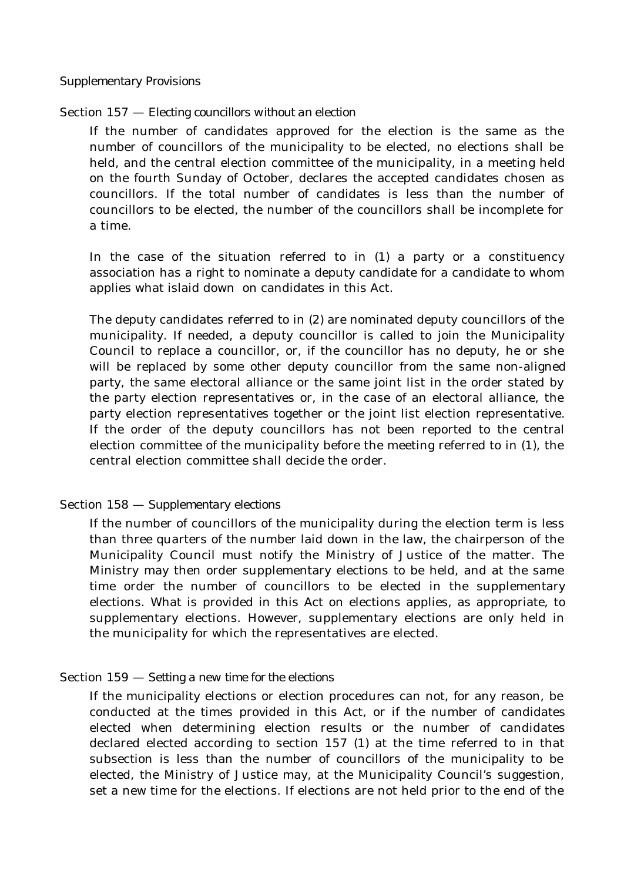### Section 157 — *Electing councillors without an election*

If the number of candidates approved for the election is the same as the number of councillors of the municipality to be elected, no elections shall be held, and the central election committee of the municipality, in a meeting held on the fourth Sunday of October, declares the accepted candidates chosen as councillors. If the total number of candidates is less than the number of councillors to be elected, the number of the councillors shall be incomplete for a time.

In the case of the situation referred to in (1) a party or a constituency association has a right to nominate a deputy candidate for a candidate to whom applies what islaid down on candidates in this Act.

The deputy candidates referred to in (2) are nominated deputy councillors of the municipality. If needed, a deputy councillor is called to join the Municipality Council to replace a councillor, or, if the councillor has no deputy, he or she will be replaced by some other deputy councillor from the same non-aligned party, the same electoral alliance or the same joint list in the order stated by the party election representatives or, in the case of an electoral alliance, the party election representatives together or the joint list election representative. If the order of the deputy councillors has not been reported to the central election committee of the municipality before the meeting referred to in (1), the central election committee shall decide the order.

### Section 158 — *Supplementary elections*

If the number of councillors of the municipality during the election term is less than three quarters of the number laid down in the law, the chairperson of the Municipality Council must notify the Ministry of Justice of the matter. The Ministry may then order supplementary elections to be held, and at the same time order the number of councillors to be elected in the supplementary elections. What is provided in this Act on elections applies, as appropriate, to supplementary elections. However, supplementary elections are only held in the municipality for which the representatives are elected.

### Section 159 — *Setting a new time for the elections*

If the municipality elections or election procedures can not, for any reason, be conducted at the times provided in this Act, or if the number of candidates elected when determining election results or the number of candidates declared elected according to section 157 (1) at the time referred to in that subsection is less than the number of councillors of the municipality to be elected, the Ministry of Justice may, at the Municipality Council's suggestion, set a new time for the elections. If elections are not held prior to the end of the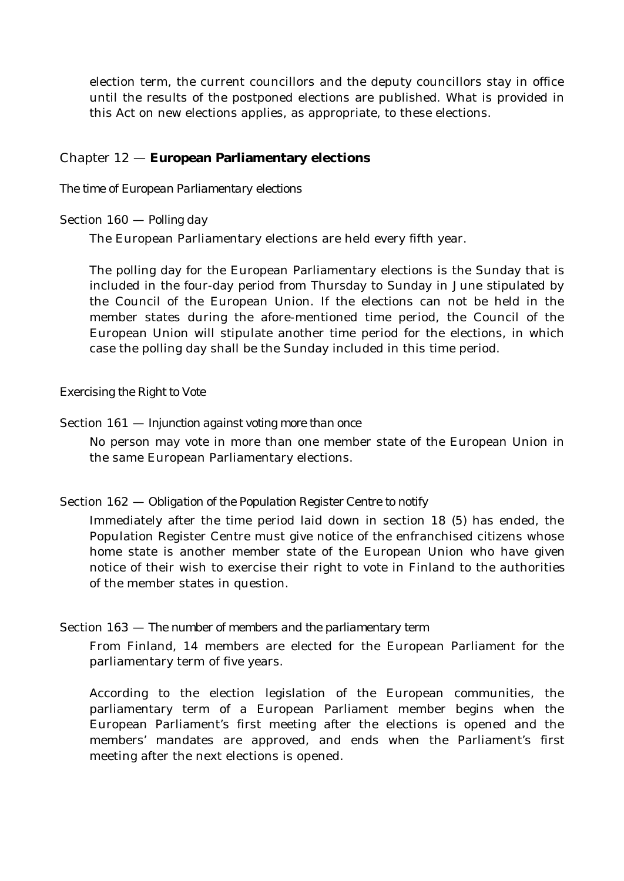election term, the current councillors and the deputy councillors stay in office until the results of the postponed elections are published. What is provided in this Act on new elections applies, as appropriate, to these elections.

# Chapter 12 — **European Parliamentary elections**

### *The time of European Parliamentary elections*

#### Section 160 — *Polling day*

The European Parliamentary elections are held every fifth year.

The polling day for the European Parliamentary elections is the Sunday that is included in the four-day period from Thursday to Sunday in June stipulated by the Council of the European Union. If the elections can not be held in the member states during the afore-mentioned time period, the Council of the European Union will stipulate another time period for the elections, in which case the polling day shall be the Sunday included in this time period.

*Exercising the Right to Vote*

#### Section 161 — *Injunction against voting more than once*

No person may vote in more than one member state of the European Union in the same European Parliamentary elections.

### Section 162 — *Obligation of the Population Register Centre to notify*

Immediately after the time period laid down in section 18 (5) has ended, the Population Register Centre must give notice of the enfranchised citizens whose home state is another member state of the European Union who have given notice of their wish to exercise their right to vote in Finland to the authorities of the member states in question.

#### Section 163 — *The number of members and the parliamentary term*

From Finland, 14 members are elected for the European Parliament for the parliamentary term of five years.

According to the election legislation of the European communities, the parliamentary term of a European Parliament member begins when the European Parliament's first meeting after the elections is opened and the members' mandates are approved, and ends when the Parliament's first meeting after the next elections is opened.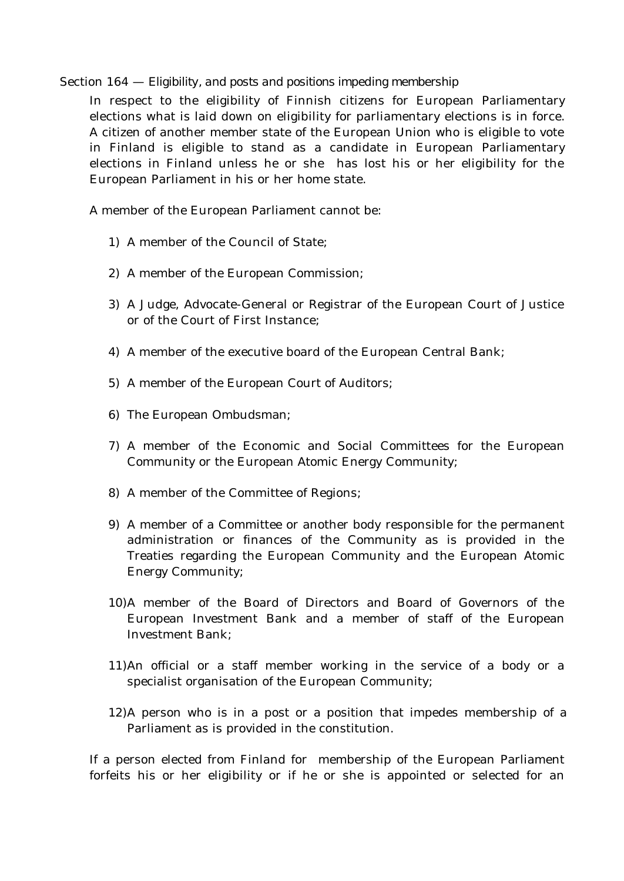### Section 164 — *Eligibility, and posts and positions impeding membership*

In respect to the eligibility of Finnish citizens for European Parliamentary elections what is laid down on eligibility for parliamentary elections is in force. A citizen of another member state of the European Union who is eligible to vote in Finland is eligible to stand as a candidate in European Parliamentary elections in Finland unless he or she has lost his or her eligibility for the European Parliament in his or her home state.

A member of the European Parliament cannot be:

- 1) A member of the Council of State;
- 2) A member of the European Commission;
- 3) A Judge, Advocate-General or Registrar of the European Court of Justice or of the Court of First Instance;
- 4) A member of the executive board of the European Central Bank;
- 5) A member of the European Court of Auditors;
- 6) The European Ombudsman;
- 7) A member of the Economic and Social Committees for the European Community or the European Atomic Energy Community;
- 8) A member of the Committee of Regions;
- 9) A member of a Committee or another body responsible for the permanent administration or finances of the Community as is provided in the Treaties regarding the European Community and the European Atomic Energy Community;
- 10)A member of the Board of Directors and Board of Governors of the European Investment Bank and a member of staff of the European Investment Bank;
- 11)An official or a staff member working in the service of a body or a specialist organisation of the European Community;
- 12)A person who is in a post or a position that impedes membership of a Parliament as is provided in the constitution.

If a person elected from Finland for membership of the European Parliament forfeits his or her eligibility or if he or she is appointed or selected for an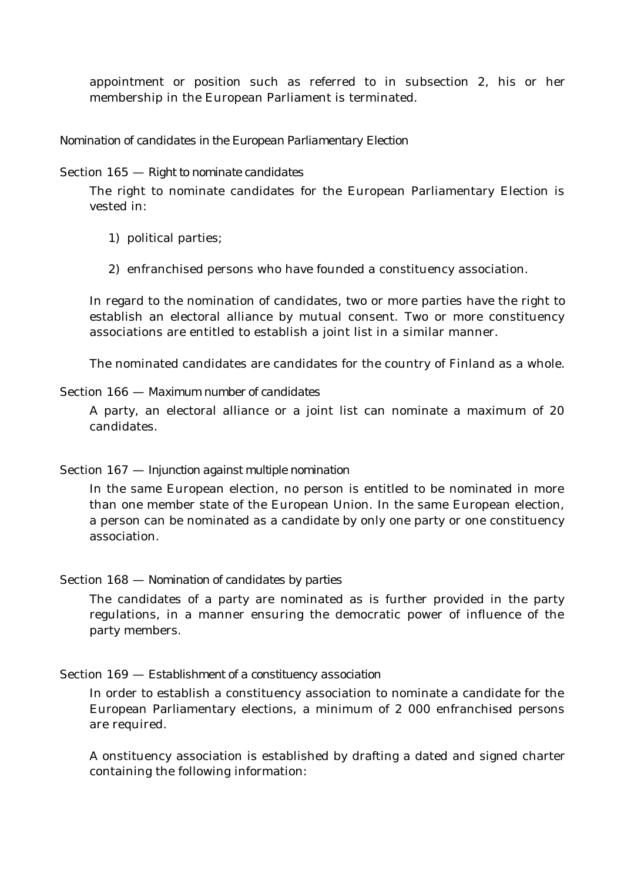appointment or position such as referred to in subsection 2, his or her membership in the European Parliament is terminated.

# *Nomination of candidates in the European Parliamentary Election*

#### Section 165 — *Right to nominate candidates*

The right to nominate candidates for the European Parliamentary Election is vested in:

- 1) political parties;
- 2) enfranchised persons who have founded a constituency association.

In regard to the nomination of candidates, two or more parties have the right to establish an electoral alliance by mutual consent. Two or more constituency associations are entitled to establish a joint list in a similar manner.

The nominated candidates are candidates for the country of Finland as a whole.

#### Section 166 — *Maximum number of candidates*

A party, an electoral alliance or a joint list can nominate a maximum of 20 candidates.

### Section 167 — *Injunction against multiple nomination*

In the same European election, no person is entitled to be nominated in more than one member state of the European Union. In the same European election, a person can be nominated as a candidate by only one party or one constituency association.

#### Section 168 — *Nomination of candidates by parties*

The candidates of a party are nominated as is further provided in the party regulations, in a manner ensuring the democratic power of influence of the party members.

#### Section 169 — *Establishment of a constituency association*

In order to establish a constituency association to nominate a candidate for the European Parliamentary elections, a minimum of 2 000 enfranchised persons are required.

A onstituency association is established by drafting a dated and signed charter containing the following information: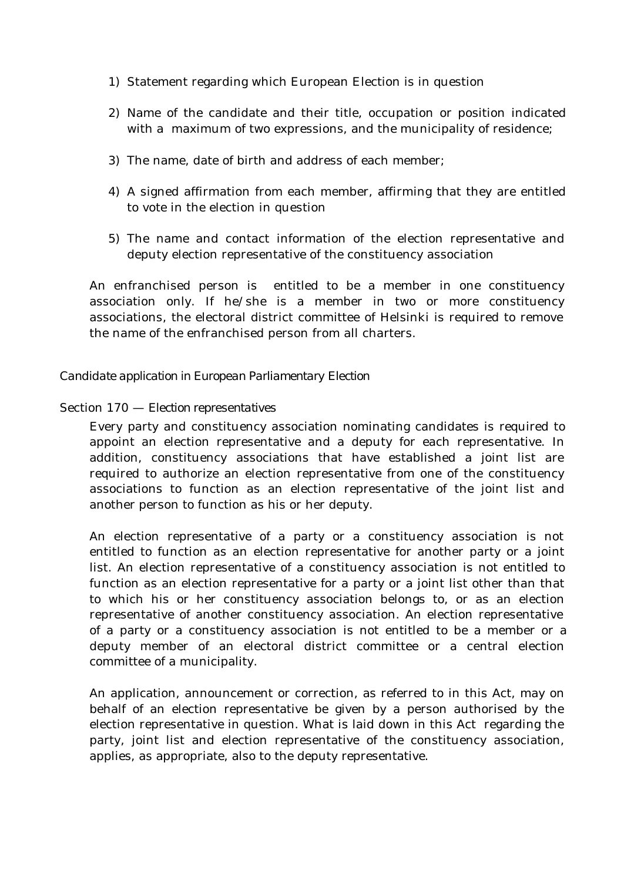- 1) Statement regarding which European Election is in question
- 2) Name of the candidate and their title, occupation or position indicated with a maximum of two expressions, and the municipality of residence;
- 3) The name, date of birth and address of each member;
- 4) A signed affirmation from each member, affirming that they are entitled to vote in the election in question
- 5) The name and contact information of the election representative and deputy election representative of the constituency association

An enfranchised person is entitled to be a member in one constituency association only. If he/she is a member in two or more constituency associations, the electoral district committee of Helsinki is required to remove the name of the enfranchised person from all charters.

### *Candidate application in European Parliamentary Election*

### Section 170 — *Election representatives*

Every party and constituency association nominating candidates is required to appoint an election representative and a deputy for each representative. In addition, constituency associations that have established a joint list are required to authorize an election representative from one of the constituency associations to function as an election representative of the joint list and another person to function as his or her deputy.

An election representative of a party or a constituency association is not entitled to function as an election representative for another party or a joint list. An election representative of a constituency association is not entitled to function as an election representative for a party or a joint list other than that to which his or her constituency association belongs to, or as an election representative of another constituency association. An election representative of a party or a constituency association is not entitled to be a member or a deputy member of an electoral district committee or a central election committee of a municipality.

An application, announcement or correction, as referred to in this Act, may on behalf of an election representative be given by a person authorised by the election representative in question. What is laid down in this Act regarding the party, joint list and election representative of the constituency association, applies, as appropriate, also to the deputy representative.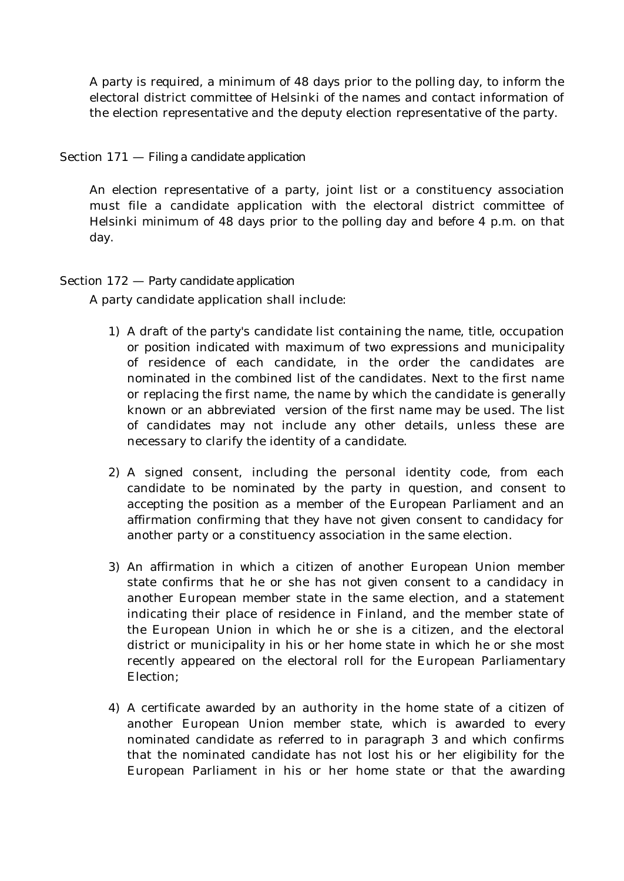A party is required, a minimum of 48 days prior to the polling day, to inform the electoral district committee of Helsinki of the names and contact information of the election representative and the deputy election representative of the party.

# Section 171 — *Filing a candidate application*

An election representative of a party, joint list or a constituency association must file a candidate application with the electoral district committee of Helsinki minimum of 48 days prior to the polling day and before 4 p.m. on that day.

### Section 172 — *Party candidate application*

A party candidate application shall include:

- 1) A draft of the party's candidate list containing the name, title, occupation or position indicated with maximum of two expressions and municipality of residence of each candidate, in the order the candidates are nominated in the combined list of the candidates. Next to the first name or replacing the first name, the name by which the candidate is generally known or an abbreviated version of the first name may be used. The list of candidates may not include any other details, unless these are necessary to clarify the identity of a candidate.
- 2) A signed consent, including the personal identity code, from each candidate to be nominated by the party in question, and consent to accepting the position as a member of the European Parliament and an affirmation confirming that they have not given consent to candidacy for another party or a constituency association in the same election.
- 3) An affirmation in which a citizen of another European Union member state confirms that he or she has not given consent to a candidacy in another European member state in the same election, and a statement indicating their place of residence in Finland, and the member state of the European Union in which he or she is a citizen, and the electoral district or municipality in his or her home state in which he or she most recently appeared on the electoral roll for the European Parliamentary Election;
- 4) A certificate awarded by an authority in the home state of a citizen of another European Union member state, which is awarded to every nominated candidate as referred to in paragraph 3 and which confirms that the nominated candidate has not lost his or her eligibility for the European Parliament in his or her home state or that the awarding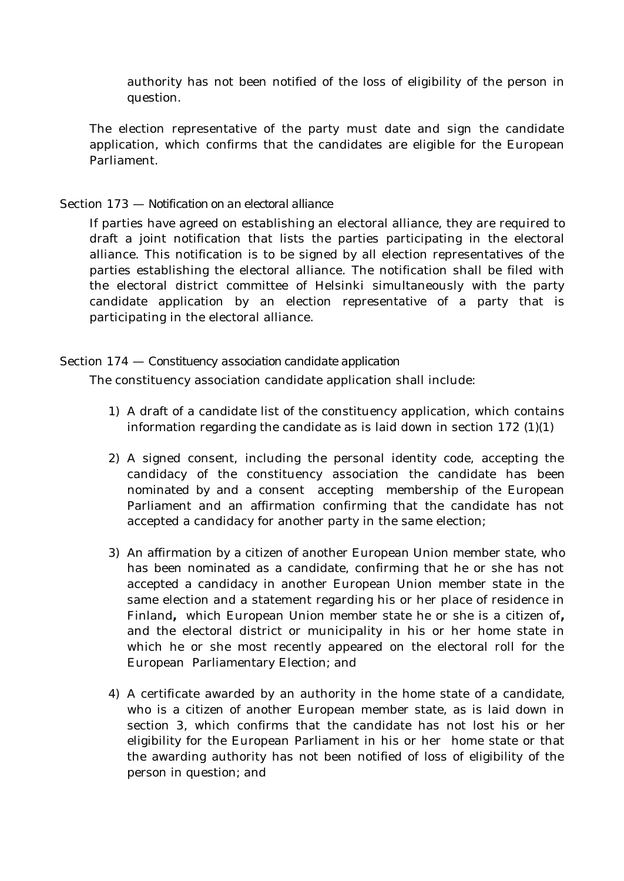authority has not been notified of the loss of eligibility of the person in question.

The election representative of the party must date and sign the candidate application, which confirms that the candidates are eligible for the European Parliament.

# Section 173 — *Notification on an electoral alliance*

If parties have agreed on establishing an electoral alliance, they are required to draft a joint notification that lists the parties participating in the electoral alliance. This notification is to be signed by all election representatives of the parties establishing the electoral alliance. The notification shall be filed with the electoral district committee of Helsinki simultaneously with the party candidate application by an election representative of a party that is participating in the electoral alliance.

# Section 174 — *Constituency association candidate application*

The constituency association candidate application shall include:

- 1) A draft of a candidate list of the constituency application, which contains information regarding the candidate as is laid down in section 172 (1)(1)
- 2) A signed consent, including the personal identity code, accepting the candidacy of the constituency association the candidate has been nominated by and a consent accepting membership of the European Parliament and an affirmation confirming that the candidate has not accepted a candidacy for another party in the same election;
- 3) An affirmation by a citizen of another European Union member state, who has been nominated as a candidate, confirming that he or she has not accepted a candidacy in another European Union member state in the same election and a statement regarding his or her place of residence in Finland**,** which European Union member state he or she is a citizen of**,** and the electoral district or municipality in his or her home state in which he or she most recently appeared on the electoral roll for the European Parliamentary Election; and
- 4) A certificate awarded by an authority in the home state of a candidate, who is a citizen of another European member state, as is laid down in section 3, which confirms that the candidate has not lost his or her eligibility for the European Parliament in his or her home state or that the awarding authority has not been notified of loss of eligibility of the person in question; and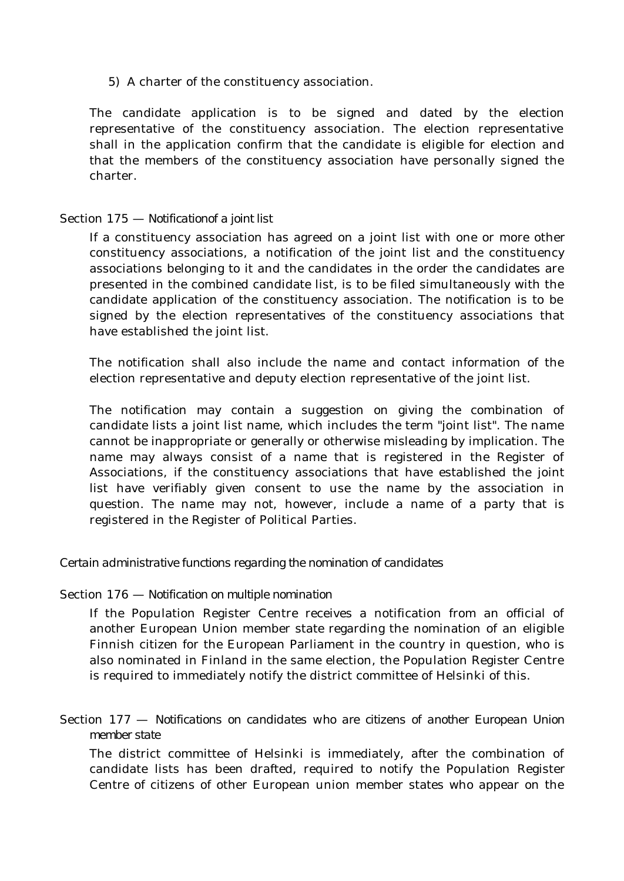5) A charter of the constituency association.

The candidate application is to be signed and dated by the election representative of the constituency association. The election representative shall in the application confirm that the candidate is eligible for election and that the members of the constituency association have personally signed the charter.

## Section 175 — *Notificationof a joint list*

If a constituency association has agreed on a joint list with one or more other constituency associations, a notification of the joint list and the constituency associations belonging to it and the candidates in the order the candidates are presented in the combined candidate list, is to be filed simultaneously with the candidate application of the constituency association. The notification is to be signed by the election representatives of the constituency associations that have established the joint list.

The notification shall also include the name and contact information of the election representative and deputy election representative of the joint list.

The notification may contain a suggestion on giving the combination of candidate lists a joint list name, which includes the term "joint list". The name cannot be inappropriate or generally or otherwise misleading by implication. The name may always consist of a name that is registered in the Register of Associations, if the constituency associations that have established the joint list have verifiably given consent to use the name by the association in question. The name may not, however, include a name of a party that is registered in the Register of Political Parties.

*Certain administrative functions regarding the nomination of candidates*

## Section 176 — *Notification on multiple nomination*

If the Population Register Centre receives a notification from an official of another European Union member state regarding the nomination of an eligible Finnish citizen for the European Parliament in the country in question, who is also nominated in Finland in the same election, the Population Register Centre is required to immediately notify the district committee of Helsinki of this.

Section 177 — *Notifications on candidates who are citizens of another European Union member state*

The district committee of Helsinki is immediately, after the combination of candidate lists has been drafted, required to notify the Population Register Centre of citizens of other European union member states who appear on the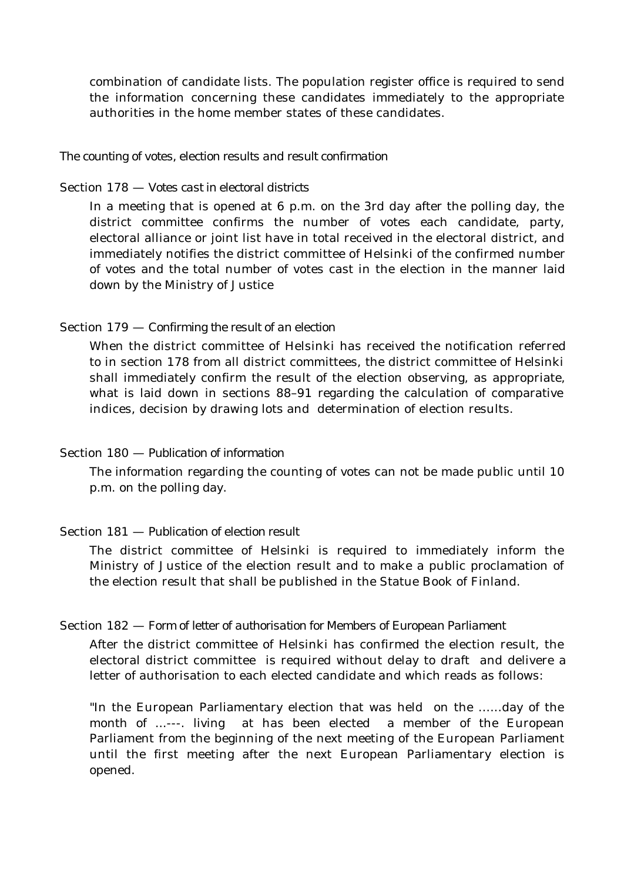combination of candidate lists. The population register office is required to send the information concerning these candidates immediately to the appropriate authorities in the home member states of these candidates.

#### *The counting of votes, election results and result confirmation*

#### Section 178 — *Votes cast in electoral districts*

In a meeting that is opened at 6 p.m. on the 3rd day after the polling day, the district committee confirms the number of votes each candidate, party, electoral alliance or joint list have in total received in the electoral district, and immediately notifies the district committee of Helsinki of the confirmed number of votes and the total number of votes cast in the election in the manner laid down by the Ministry of Justice

#### Section 179 — *Confirming the result of an election*

When the district committee of Helsinki has received the notification referred to in section 178 from all district committees, the district committee of Helsinki shall immediately confirm the result of the election observing, as appropriate, what is laid down in sections 88–91 regarding the calculation of comparative indices, decision by drawing lots and determination of election results.

## Section 180 — *Publication of information*

The information regarding the counting of votes can not be made public until 10 p.m. on the polling day.

### Section 181 — *Publication of election result*

The district committee of Helsinki is required to immediately inform the Ministry of Justice of the election result and to make a public proclamation of the election result that shall be published in the Statue Book of Finland.

#### Section 182 — *Form of letter of authorisation for Members of European Parliament*

After the district committee of Helsinki has confirmed the election result, the electoral district committee is required without delay to draft and delivere a letter of authorisation to each elected candidate and which reads as follows:

"In the European Parliamentary election that was held on the ......day of the month of ...---. livingat has been elected a member of the European Parliament from the beginning of the next meeting of the European Parliament until the first meeting after the next European Parliamentary election is opened.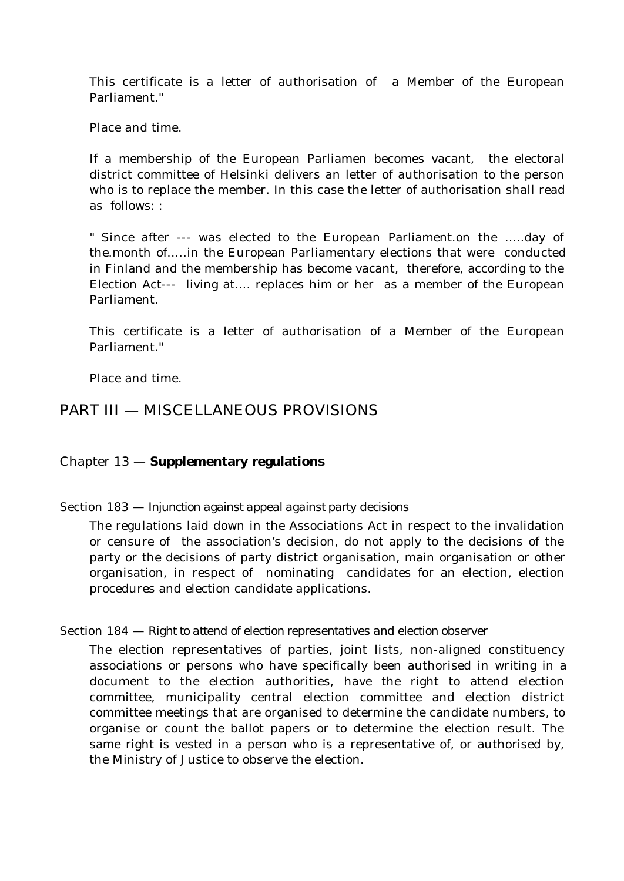This certificate is a letter of authorisation of a Member of the European Parliament."

Place and time.

If a membership of the European Parliamen becomes vacant, the electoral district committee of Helsinki delivers an letter of authorisation to the person who is to replace the member. In this case the letter of authorisation shall read as follows: :

" Since after --- was elected to the European Parliament.on the …..day of the.month of.....in the European Parliamentary elections that were conducted in Finland and the membership has become vacant, therefore, according to the Election Act--- living at…. replaces him or her as a member of the European Parliament.

This certificate is a letter of authorisation of a Member of the European Parliament."

Place and time.

# PART III — MISCELLANEOUS PROVISIONS

## Chapter 13 — **Supplementary regulations**

Section 183 — *Injunction against appeal against party decisions*

The regulations laid down in the Associations Act in respect to the invalidation or censure of the association's decision, do not apply to the decisions of the party or the decisions of party district organisation, main organisation or other organisation, in respect of nominating candidates for an election, election procedures and election candidate applications.

## Section 184 — *Right to attend of election representatives and election observer*

The election representatives of parties, joint lists, non-aligned constituency associations or persons who have specifically been authorised in writing in a document to the election authorities, have the right to attend election committee, municipality central election committee and election district committee meetings that are organised to determine the candidate numbers, to organise or count the ballot papers or to determine the election result. The same right is vested in a person who is a representative of, or authorised by, the Ministry of Justice to observe the election.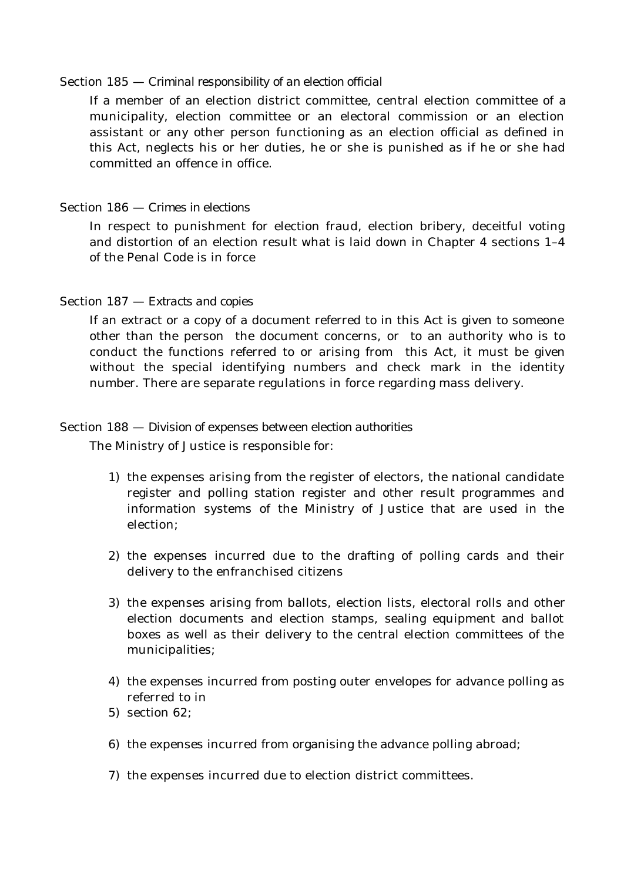### Section 185 — *Criminal responsibility of an election official*

If a member of an election district committee, central election committee of a municipality, election committee or an electoral commission or an election assistant or any other person functioning as an election official as defined in this Act, neglects his or her duties, he or she is punished as if he or she had committed an offence in office.

## Section 186 — *Crimes in elections*

In respect to punishment for election fraud, election bribery, deceitful voting and distortion of an election result what is laid down in Chapter 4 sections 1–4 of the Penal Code is in force

## Section 187 — *Extracts and copies*

If an extract or a copy of a document referred to in this Act is given to someone other than the person the document concerns, or to an authority who is to conduct the functions referred to or arising from this Act, it must be given without the special identifying numbers and check mark in the identity number. There are separate regulations in force regarding mass delivery.

## Section 188 — *Division of expenses between election authorities*

The Ministry of Justice is responsible for:

- 1) the expenses arising from the register of electors, the national candidate register and polling station register and other result programmes and information systems of the Ministry of Justice that are used in the election;
- 2) the expenses incurred due to the drafting of polling cards and their delivery to the enfranchised citizens
- 3) the expenses arising from ballots, election lists, electoral rolls and other election documents and election stamps, sealing equipment and ballot boxes as well as their delivery to the central election committees of the municipalities;
- 4) the expenses incurred from posting outer envelopes for advance polling as referred to in
- 5) section 62;
- 6) the expenses incurred from organising the advance polling abroad;
- 7) the expenses incurred due to election district committees.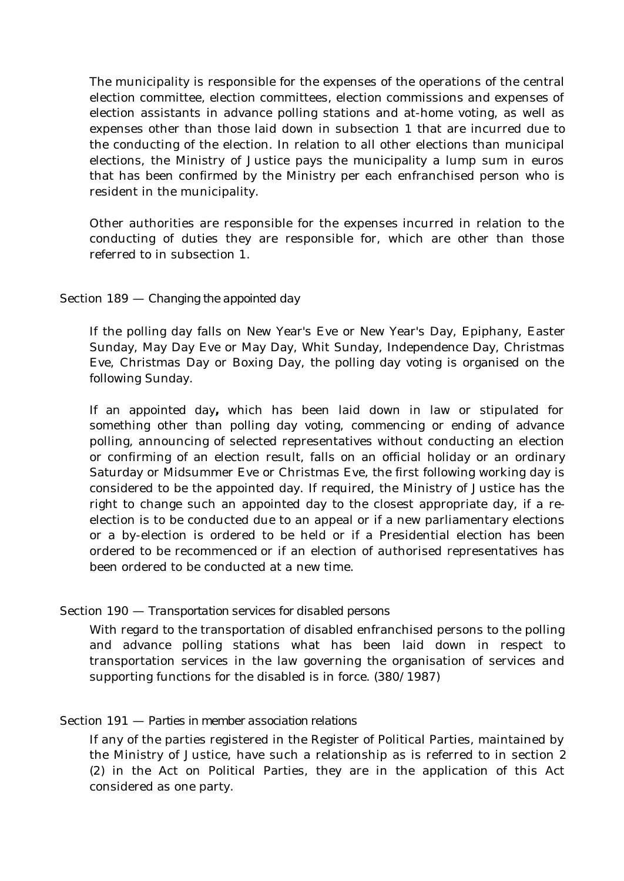The municipality is responsible for the expenses of the operations of the central election committee, election committees, election commissions and expenses of election assistants in advance polling stations and at-home voting, as well as expenses other than those laid down in subsection 1 that are incurred due to the conducting of the election. In relation to all other elections than municipal elections, the Ministry of Justice pays the municipality a lump sum in euros that has been confirmed by the Ministry per each enfranchised person who is resident in the municipality.

Other authorities are responsible for the expenses incurred in relation to the conducting of duties they are responsible for, which are other than those referred to in subsection 1.

## Section 189 — *Changing the appointed day*

If the polling day falls on New Year's Eve or New Year's Day, Epiphany, Easter Sunday, May Day Eve or May Day, Whit Sunday, Independence Day, Christmas Eve, Christmas Day or Boxing Day, the polling day voting is organised on the following Sunday.

If an appointed day**,** which has been laid down in law or stipulated for something other than polling day voting, commencing or ending of advance polling, announcing of selected representatives without conducting an election or confirming of an election result, falls on an official holiday or an ordinary Saturday or Midsummer Eve or Christmas Eve, the first following working day is considered to be the appointed day. If required, the Ministry of Justice has the right to change such an appointed day to the closest appropriate day, if a reelection is to be conducted due to an appeal or if a new parliamentary elections or a by-election is ordered to be held or if a Presidential election has been ordered to be recommenced or if an election of authorised representatives has been ordered to be conducted at a new time.

## Section 190 — *Transportation services for disabled persons*

With regard to the transportation of disabled enfranchised persons to the polling and advance polling stations what has been laid down in respect to transportation services in the law governing the organisation of services and supporting functions for the disabled is in force. (380/1987)

## Section 191 — *Parties in member association relations*

If any of the parties registered in the Register of Political Parties, maintained by the Ministry of Justice, have such a relationship as is referred to in section 2 (2) in the Act on Political Parties, they are in the application of this Act considered as one party.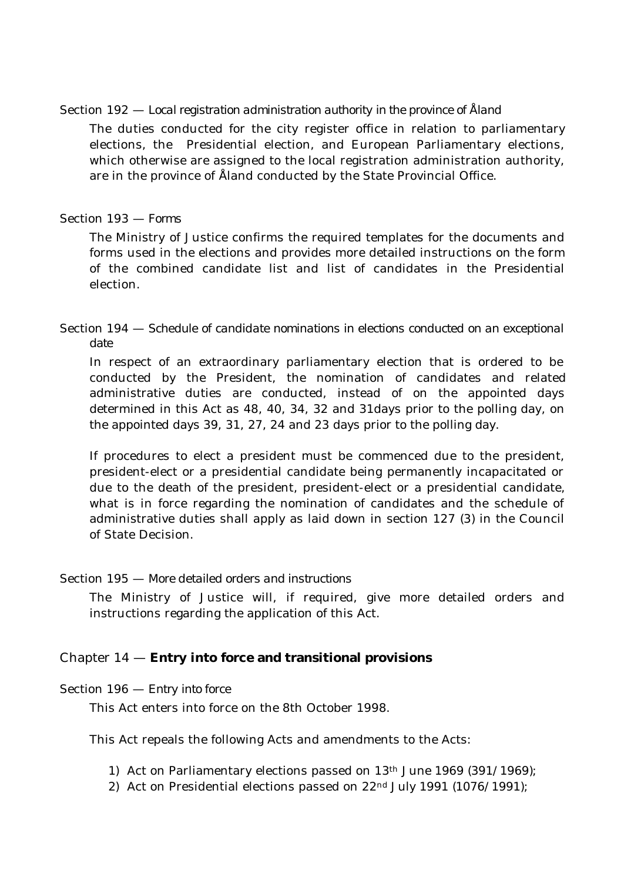Section 192 — *Local registration administration authority in the province of Åland*

The duties conducted for the city register office in relation to parliamentary elections, the Presidential election, and European Parliamentary elections, which otherwise are assigned to the local registration administration authority, are in the province of Åland conducted by the State Provincial Office.

## Section 193 — *Forms*

The Ministry of Justice confirms the required templates for the documents and forms used in the elections and provides more detailed instructions on the form of the combined candidate list and list of candidates in the Presidential election.

## Section 194 — *Schedule of candidate nominations in elections conducted on an exceptional date*

In respect of an extraordinary parliamentary election that is ordered to be conducted by the President, the nomination of candidates and related administrative duties are conducted, instead of on the appointed days determined in this Act as 48, 40, 34, 32 and 31days prior to the polling day, on the appointed days 39, 31, 27, 24 and 23 days prior to the polling day.

If procedures to elect a president must be commenced due to the president, president-elect or a presidential candidate being permanently incapacitated or due to the death of the president, president-elect or a presidential candidate, what is in force regarding the nomination of candidates and the schedule of administrative duties shall apply as laid down in section 127 (3) in the Council of State Decision.

## Section 195 — *More detailed orders and instructions*

The Ministry of Justice will, if required, give more detailed orders and instructions regarding the application of this Act.

# Chapter 14 — **Entry into force and transitional provisions**

## Section 196 — *Entry into force*

This Act enters into force on the 8th October 1998.

This Act repeals the following Acts and amendments to the Acts:

- 1) Act on Parliamentary elections passed on  $13<sup>th</sup>$  June  $1969$  (391/1969);
- 2) Act on Presidential elections passed on  $22<sup>nd</sup>$  July 1991 (1076/1991);